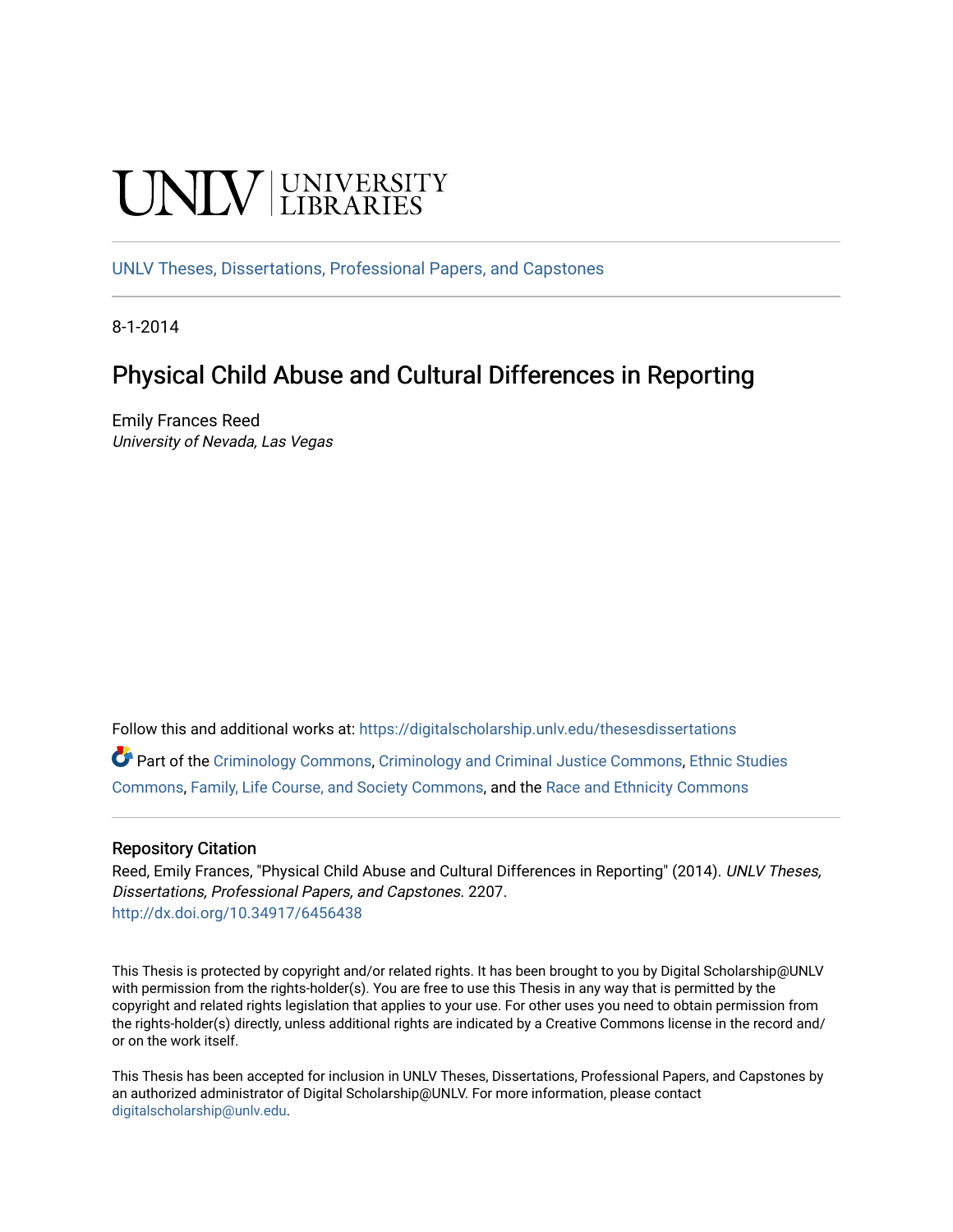# **UNIVERSITY**

[UNLV Theses, Dissertations, Professional Papers, and Capstones](https://digitalscholarship.unlv.edu/thesesdissertations)

8-1-2014

# Physical Child Abuse and Cultural Differences in Reporting

Emily Frances Reed University of Nevada, Las Vegas

Follow this and additional works at: [https://digitalscholarship.unlv.edu/thesesdissertations](https://digitalscholarship.unlv.edu/thesesdissertations?utm_source=digitalscholarship.unlv.edu%2Fthesesdissertations%2F2207&utm_medium=PDF&utm_campaign=PDFCoverPages)

Part of the [Criminology Commons](http://network.bepress.com/hgg/discipline/417?utm_source=digitalscholarship.unlv.edu%2Fthesesdissertations%2F2207&utm_medium=PDF&utm_campaign=PDFCoverPages), [Criminology and Criminal Justice Commons,](http://network.bepress.com/hgg/discipline/367?utm_source=digitalscholarship.unlv.edu%2Fthesesdissertations%2F2207&utm_medium=PDF&utm_campaign=PDFCoverPages) [Ethnic Studies](http://network.bepress.com/hgg/discipline/570?utm_source=digitalscholarship.unlv.edu%2Fthesesdissertations%2F2207&utm_medium=PDF&utm_campaign=PDFCoverPages) [Commons](http://network.bepress.com/hgg/discipline/570?utm_source=digitalscholarship.unlv.edu%2Fthesesdissertations%2F2207&utm_medium=PDF&utm_campaign=PDFCoverPages), [Family, Life Course, and Society Commons,](http://network.bepress.com/hgg/discipline/419?utm_source=digitalscholarship.unlv.edu%2Fthesesdissertations%2F2207&utm_medium=PDF&utm_campaign=PDFCoverPages) and the [Race and Ethnicity Commons](http://network.bepress.com/hgg/discipline/426?utm_source=digitalscholarship.unlv.edu%2Fthesesdissertations%2F2207&utm_medium=PDF&utm_campaign=PDFCoverPages)

#### Repository Citation

Reed, Emily Frances, "Physical Child Abuse and Cultural Differences in Reporting" (2014). UNLV Theses, Dissertations, Professional Papers, and Capstones. 2207. <http://dx.doi.org/10.34917/6456438>

This Thesis is protected by copyright and/or related rights. It has been brought to you by Digital Scholarship@UNLV with permission from the rights-holder(s). You are free to use this Thesis in any way that is permitted by the copyright and related rights legislation that applies to your use. For other uses you need to obtain permission from the rights-holder(s) directly, unless additional rights are indicated by a Creative Commons license in the record and/ or on the work itself.

This Thesis has been accepted for inclusion in UNLV Theses, Dissertations, Professional Papers, and Capstones by an authorized administrator of Digital Scholarship@UNLV. For more information, please contact [digitalscholarship@unlv.edu](mailto:digitalscholarship@unlv.edu).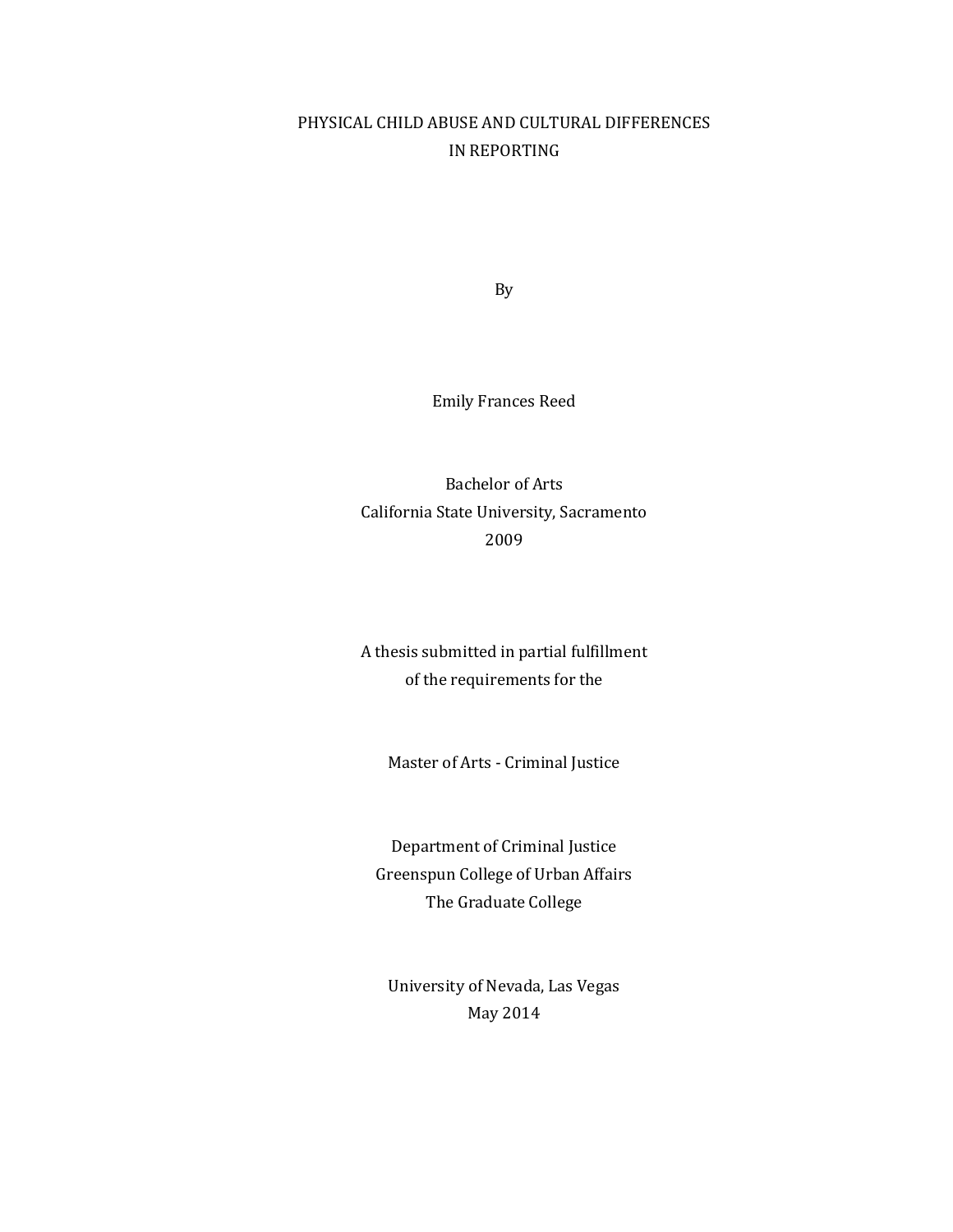## PHYSICAL CHILD ABUSE AND CULTURAL DIFFERENCES IN REPORTING

By

Emily Frances Reed

Bachelor of Arts California State University, Sacramento 2009

A thesis submitted in partial fulfillment of the requirements for the

Master of Arts - Criminal Justice

Department of Criminal Justice Greenspun College of Urban Affairs The Graduate College

University of Nevada, Las Vegas May 2014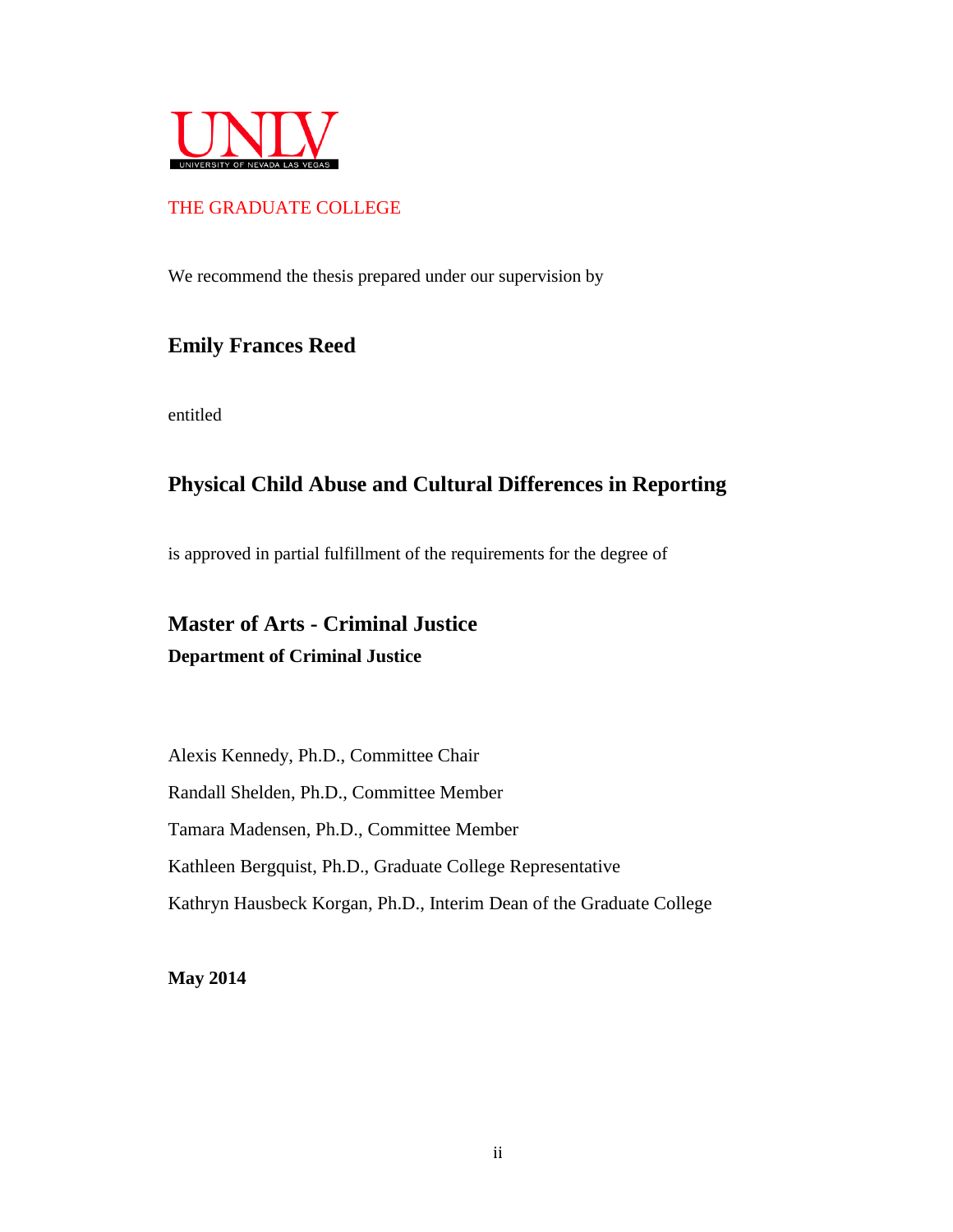

## THE GRADUATE COLLEGE

We recommend the thesis prepared under our supervision by

## **Emily Frances Reed**

entitled

# **Physical Child Abuse and Cultural Differences in Reporting**

is approved in partial fulfillment of the requirements for the degree of

# **Master of Arts - Criminal Justice Department of Criminal Justice**

Alexis Kennedy, Ph.D., Committee Chair Randall Shelden, Ph.D., Committee Member Tamara Madensen, Ph.D., Committee Member Kathleen Bergquist, Ph.D., Graduate College Representative Kathryn Hausbeck Korgan, Ph.D., Interim Dean of the Graduate College

**May 2014**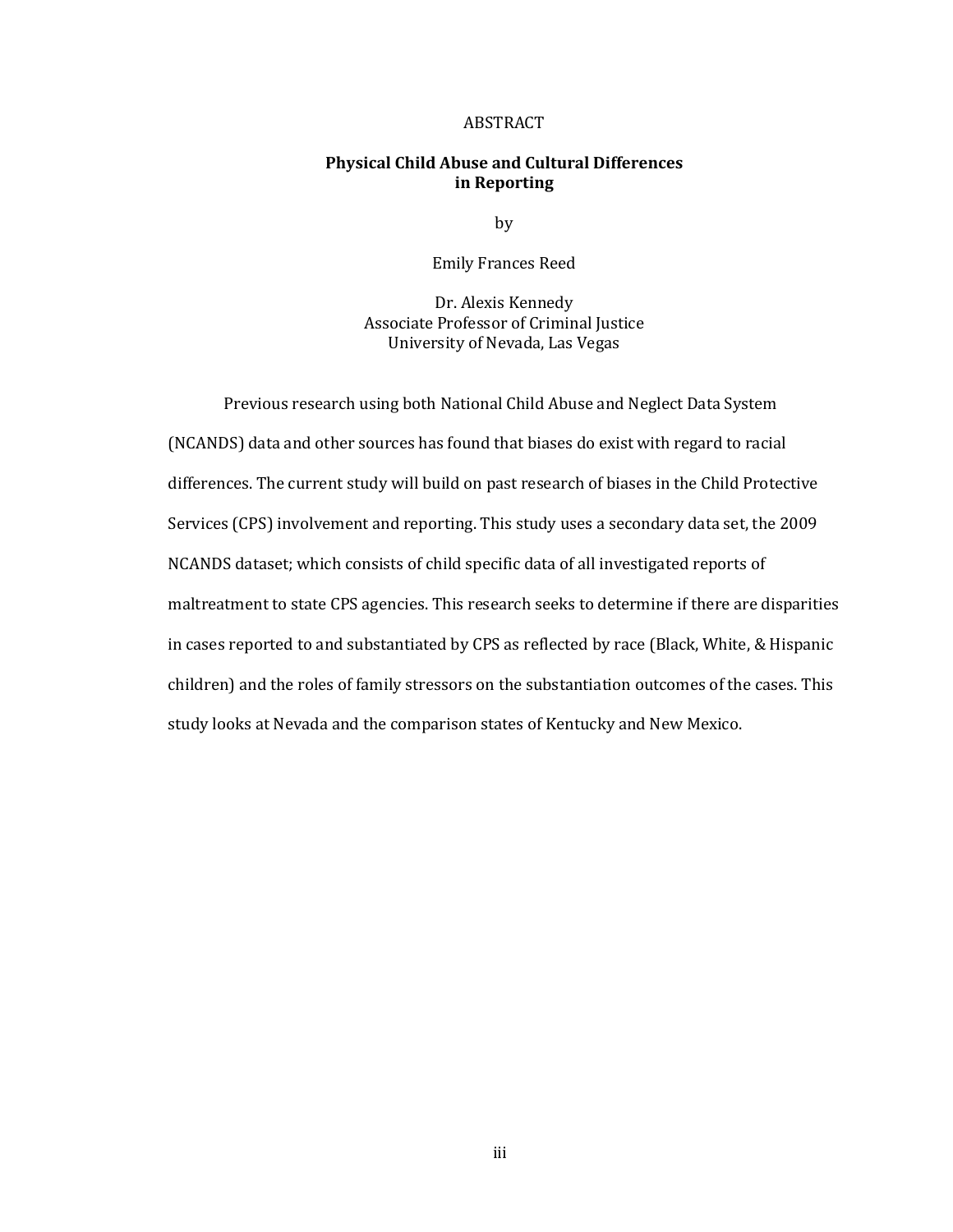#### ABSTRACT

#### **Physical Child Abuse and Cultural Differences in Reporting**

by

Emily Frances Reed

Dr. Alexis Kennedy Associate Professor of Criminal Justice University of Nevada, Las Vegas

Previous research using both National Child Abuse and Neglect Data System (NCANDS) data and other sources has found that biases do exist with regard to racial differences. The current study will build on past research of biases in the Child Protective Services (CPS) involvement and reporting. This study uses a secondary data set, the 2009 NCANDS dataset; which consists of child specific data of all investigated reports of maltreatment to state CPS agencies. This research seeks to determine if there are disparities in cases reported to and substantiated by CPS as reflected by race (Black, White, & Hispanic children) and the roles of family stressors on the substantiation outcomes of the cases. This study looks at Nevada and the comparison states of Kentucky and New Mexico.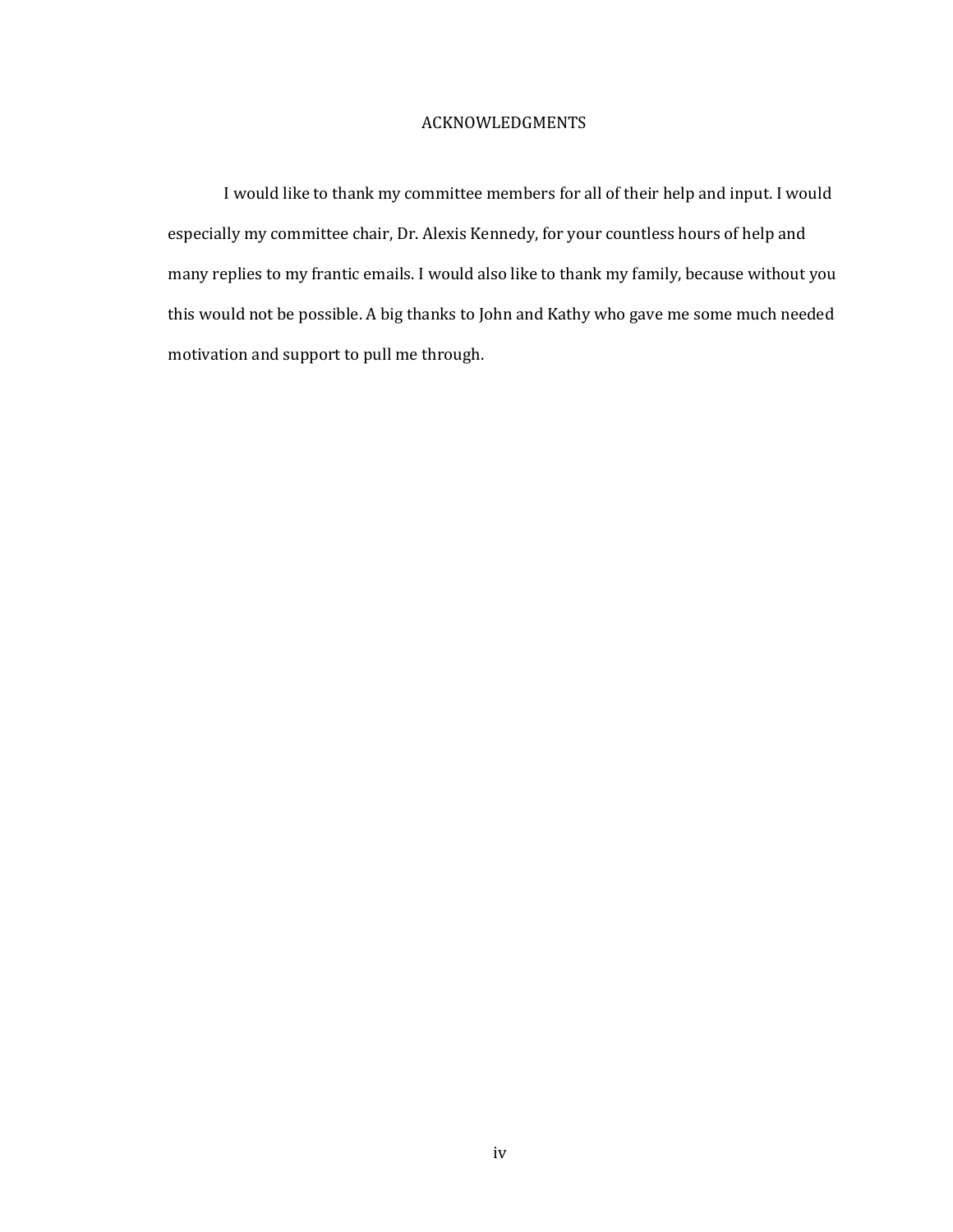#### ACKNOWLEDGMENTS

I would like to thank my committee members for all of their help and input. I would especially my committee chair, Dr. Alexis Kennedy, for your countless hours of help and many replies to my frantic emails. I would also like to thank my family, because without you this would not be possible. A big thanks to John and Kathy who gave me some much needed motivation and support to pull me through.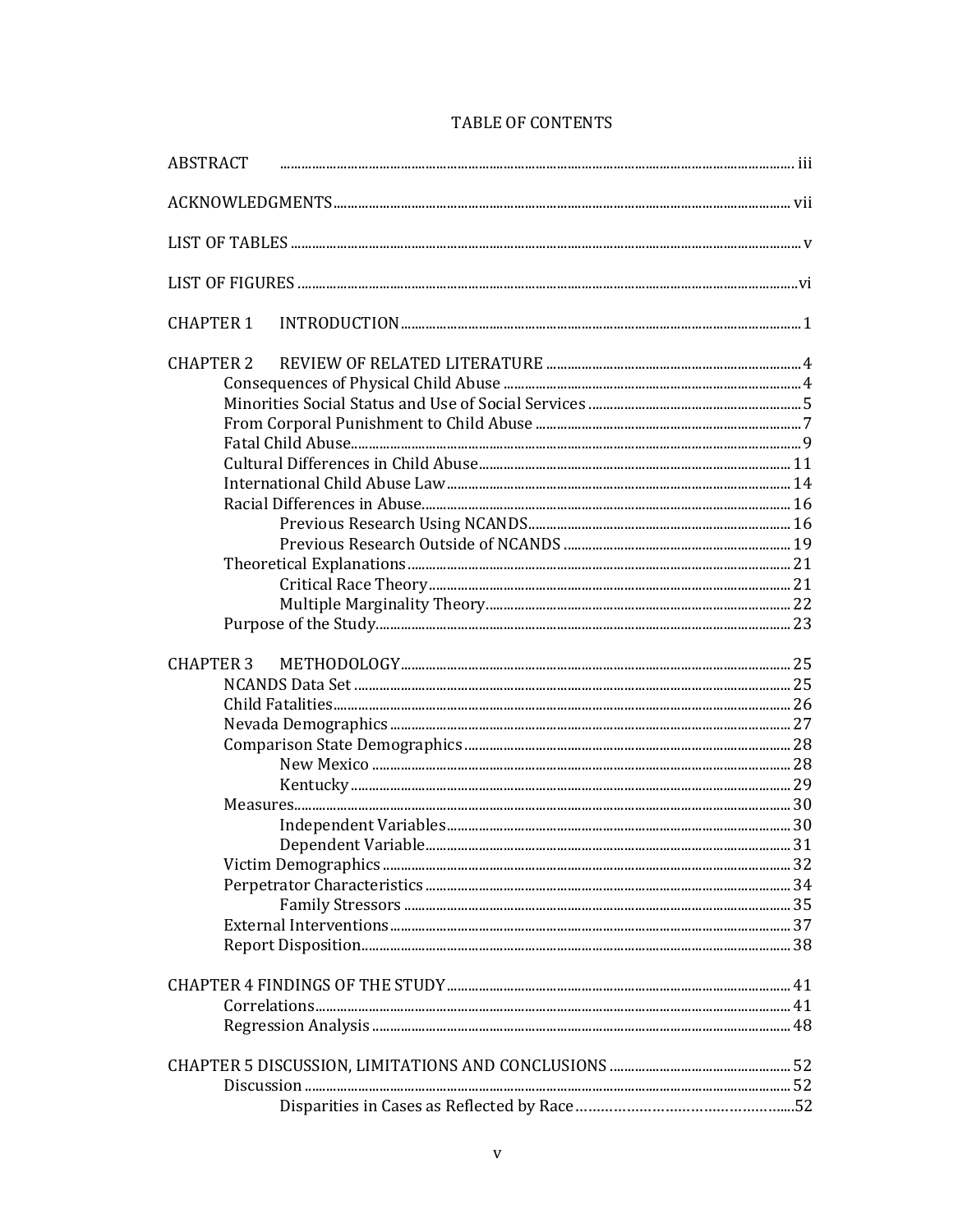| <b>CHAPTER 1</b> |  |
|------------------|--|
| <b>CHAPTER 2</b> |  |
|                  |  |
|                  |  |
|                  |  |
|                  |  |
|                  |  |
|                  |  |
|                  |  |
|                  |  |
|                  |  |
|                  |  |
|                  |  |
|                  |  |
|                  |  |
|                  |  |
| <b>CHAPTER 3</b> |  |
|                  |  |
|                  |  |
|                  |  |
|                  |  |
|                  |  |
|                  |  |
|                  |  |
|                  |  |
|                  |  |
|                  |  |
|                  |  |
|                  |  |
|                  |  |
|                  |  |
|                  |  |
|                  |  |
|                  |  |
|                  |  |
|                  |  |
|                  |  |
|                  |  |

### TABLE OF CONTENTS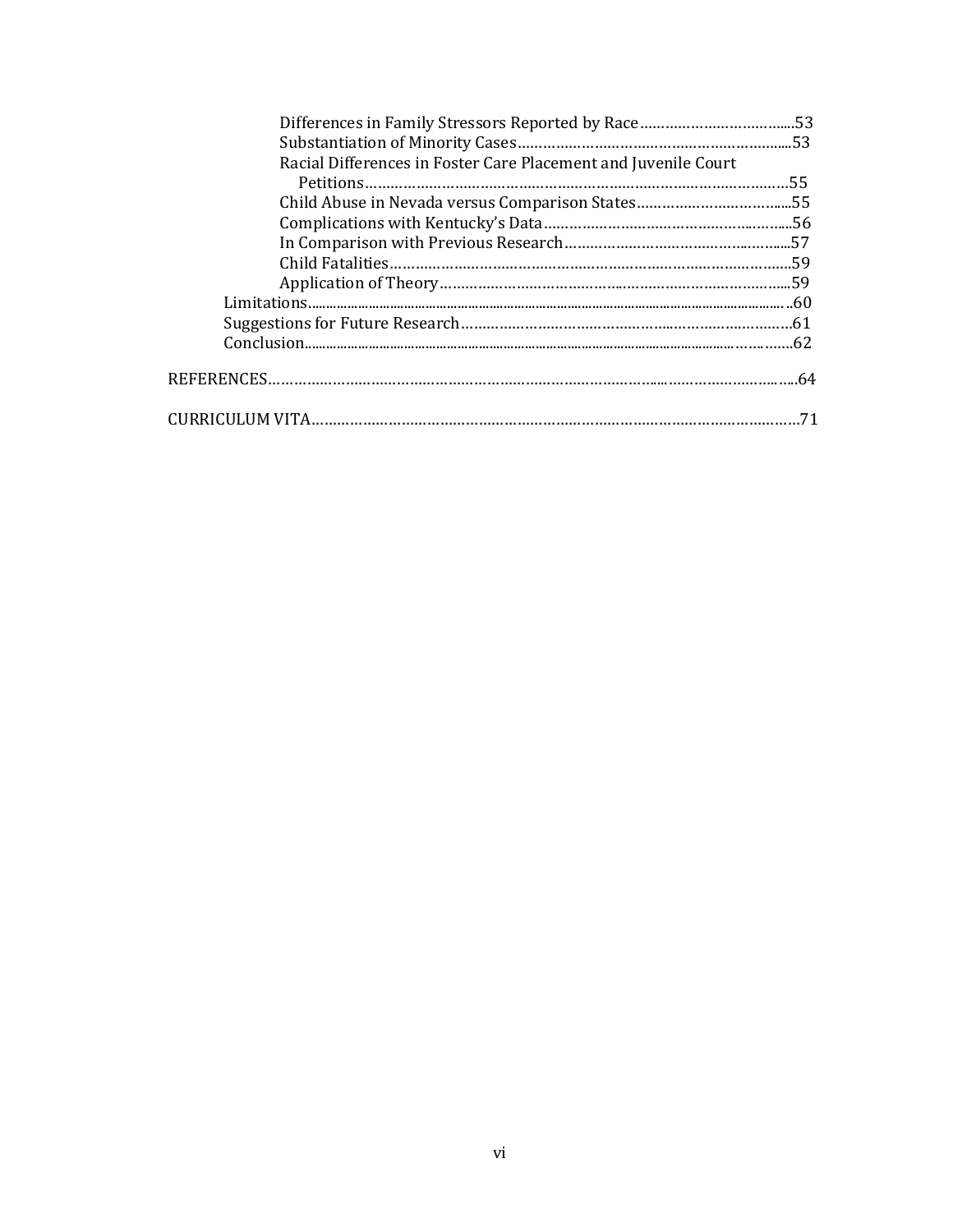| Racial Differences in Foster Care Placement and Juvenile Court |  |
|----------------------------------------------------------------|--|
|                                                                |  |
|                                                                |  |
|                                                                |  |
|                                                                |  |
|                                                                |  |
|                                                                |  |
|                                                                |  |
|                                                                |  |
|                                                                |  |
|                                                                |  |
|                                                                |  |
|                                                                |  |
|                                                                |  |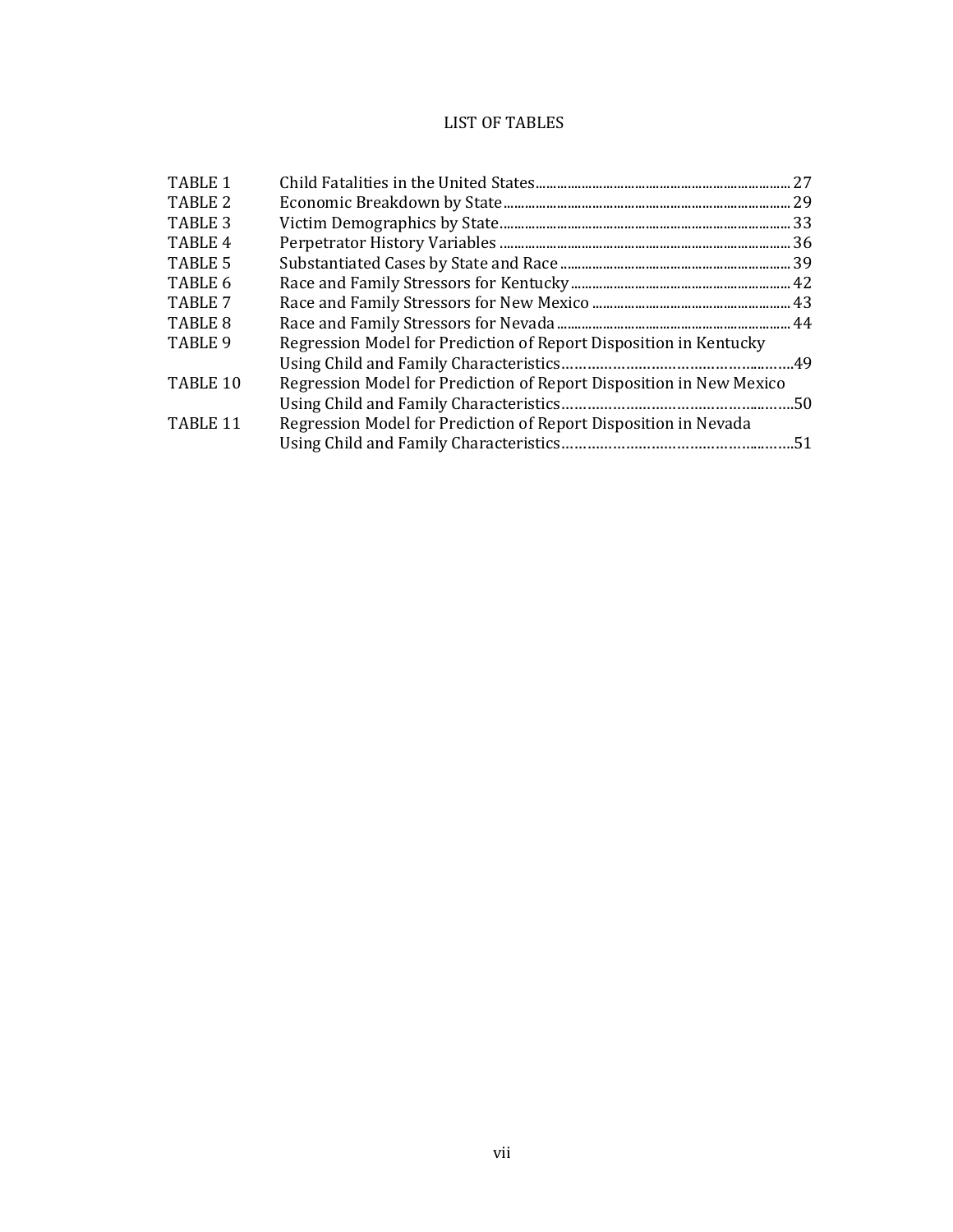## LIST OF TABLES

| TABLE 1            |                                                                     |  |
|--------------------|---------------------------------------------------------------------|--|
| TABLE 2            |                                                                     |  |
| TABLE 3            |                                                                     |  |
| TABLE <sub>4</sub> |                                                                     |  |
| TABLE 5            |                                                                     |  |
| TABLE 6            |                                                                     |  |
| TABLE 7            |                                                                     |  |
| TABLE 8            |                                                                     |  |
| TABLE 9            | Regression Model for Prediction of Report Disposition in Kentucky   |  |
|                    |                                                                     |  |
| TABLE 10           | Regression Model for Prediction of Report Disposition in New Mexico |  |
|                    |                                                                     |  |
| TABLE 11           | Regression Model for Prediction of Report Disposition in Nevada     |  |
|                    |                                                                     |  |
|                    |                                                                     |  |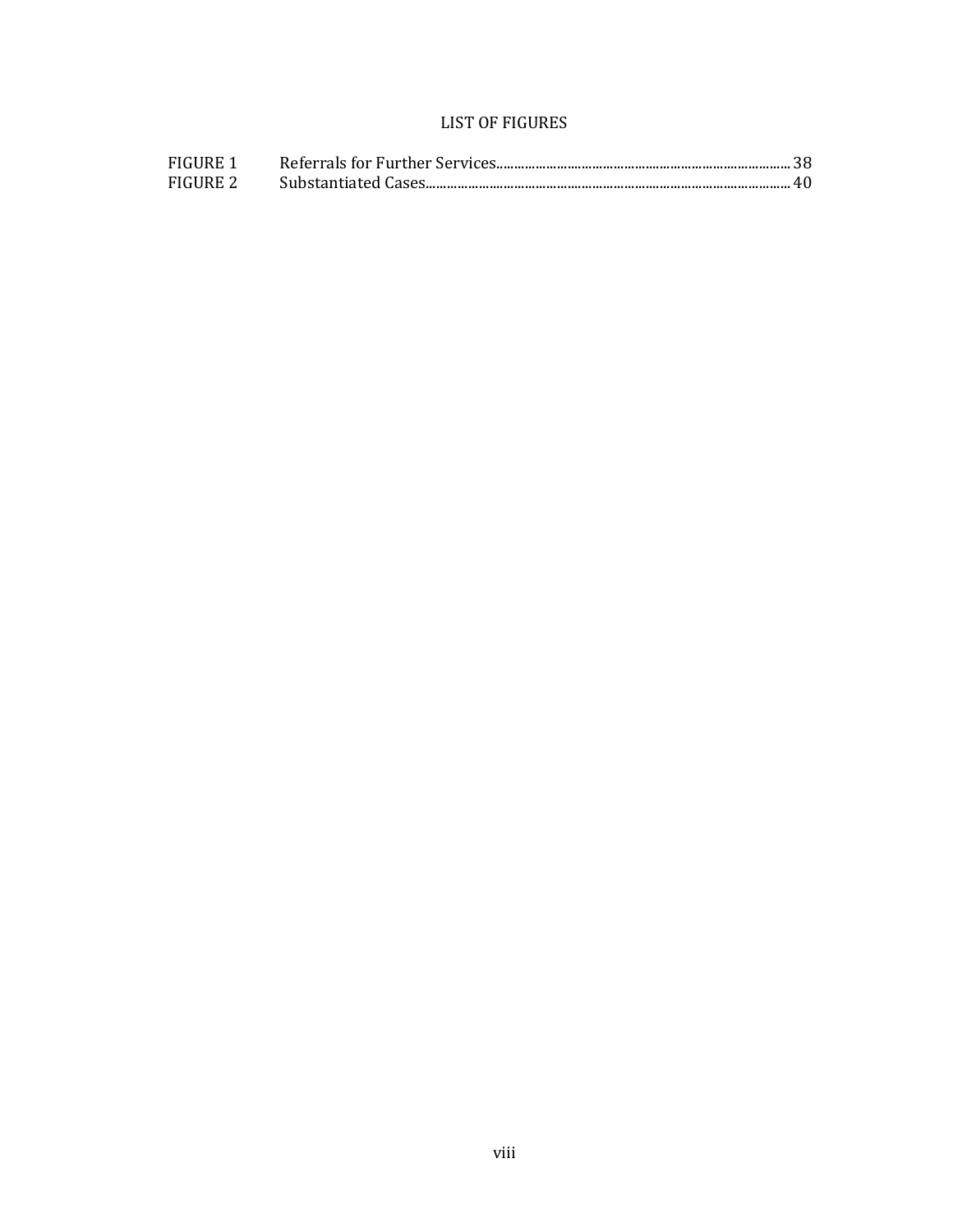## LIST OF FIGURES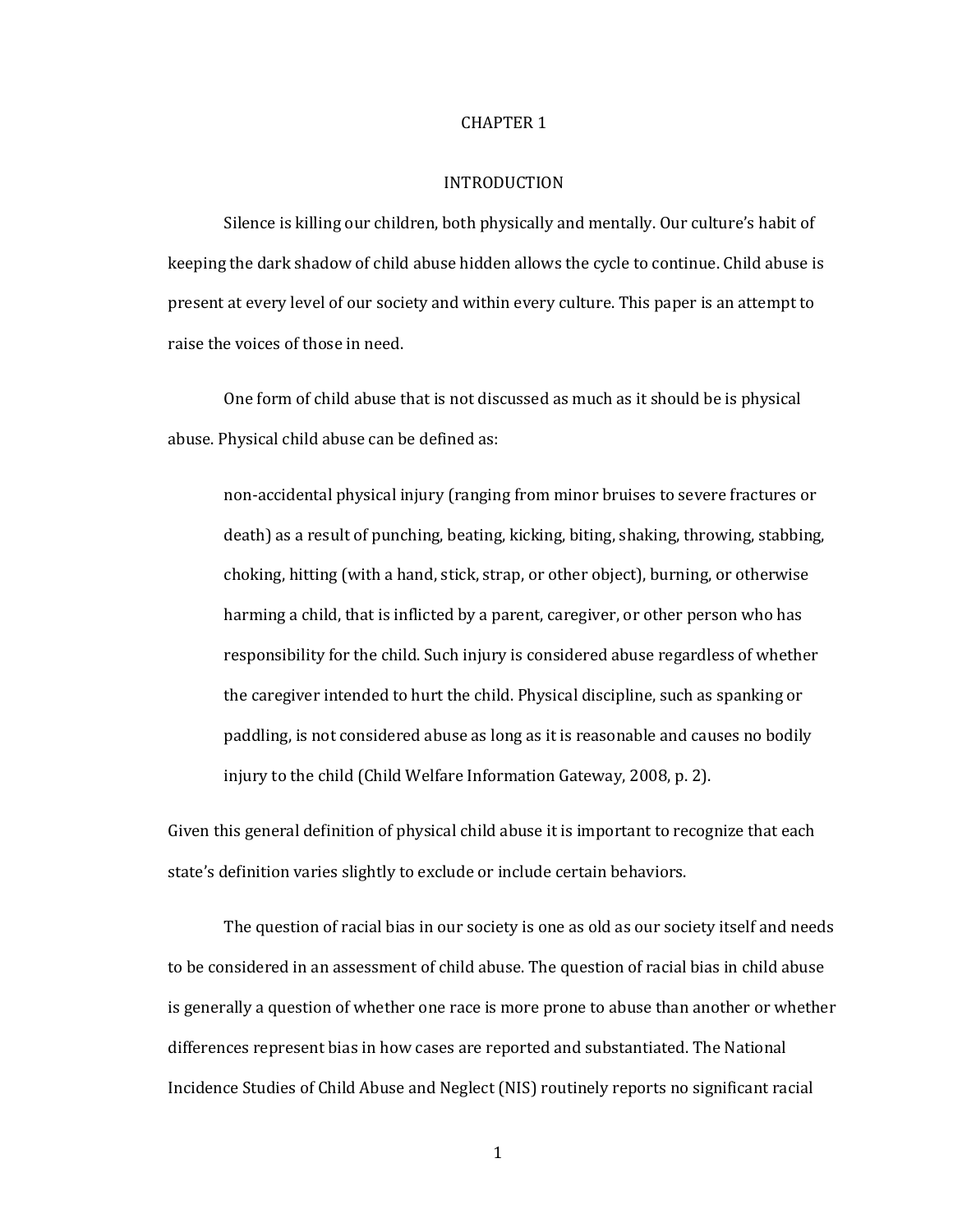#### CHAPTER 1

#### **INTRODUCTION**

Silence is killing our children, both physically and mentally. Our culture's habit of keeping the dark shadow of child abuse hidden allows the cycle to continue. Child abuse is present at every level of our society and within every culture. This paper is an attempt to raise the voices of those in need.

One form of child abuse that is not discussed as much as it should be is physical abuse. Physical child abuse can be defined as:

non-accidental physical injury (ranging from minor bruises to severe fractures or death) as a result of punching, beating, kicking, biting, shaking, throwing, stabbing, choking, hitting (with a hand, stick, strap, or other object), burning, or otherwise harming a child, that is inflicted by a parent, caregiver, or other person who has responsibility for the child. Such injury is considered abuse regardless of whether the caregiver intended to hurt the child. Physical discipline, such as spanking or paddling, is not considered abuse as long as it is reasonable and causes no bodily injury to the child (Child Welfare Information Gateway, 2008, p. 2).

Given this general definition of physical child abuse it is important to recognize that each state's definition varies slightly to exclude or include certain behaviors.

The question of racial bias in our society is one as old as our society itself and needs to be considered in an assessment of child abuse. The question of racial bias in child abuse is generally a question of whether one race is more prone to abuse than another or whether differences represent bias in how cases are reported and substantiated. The National Incidence Studies of Child Abuse and Neglect (NIS) routinely reports no significant racial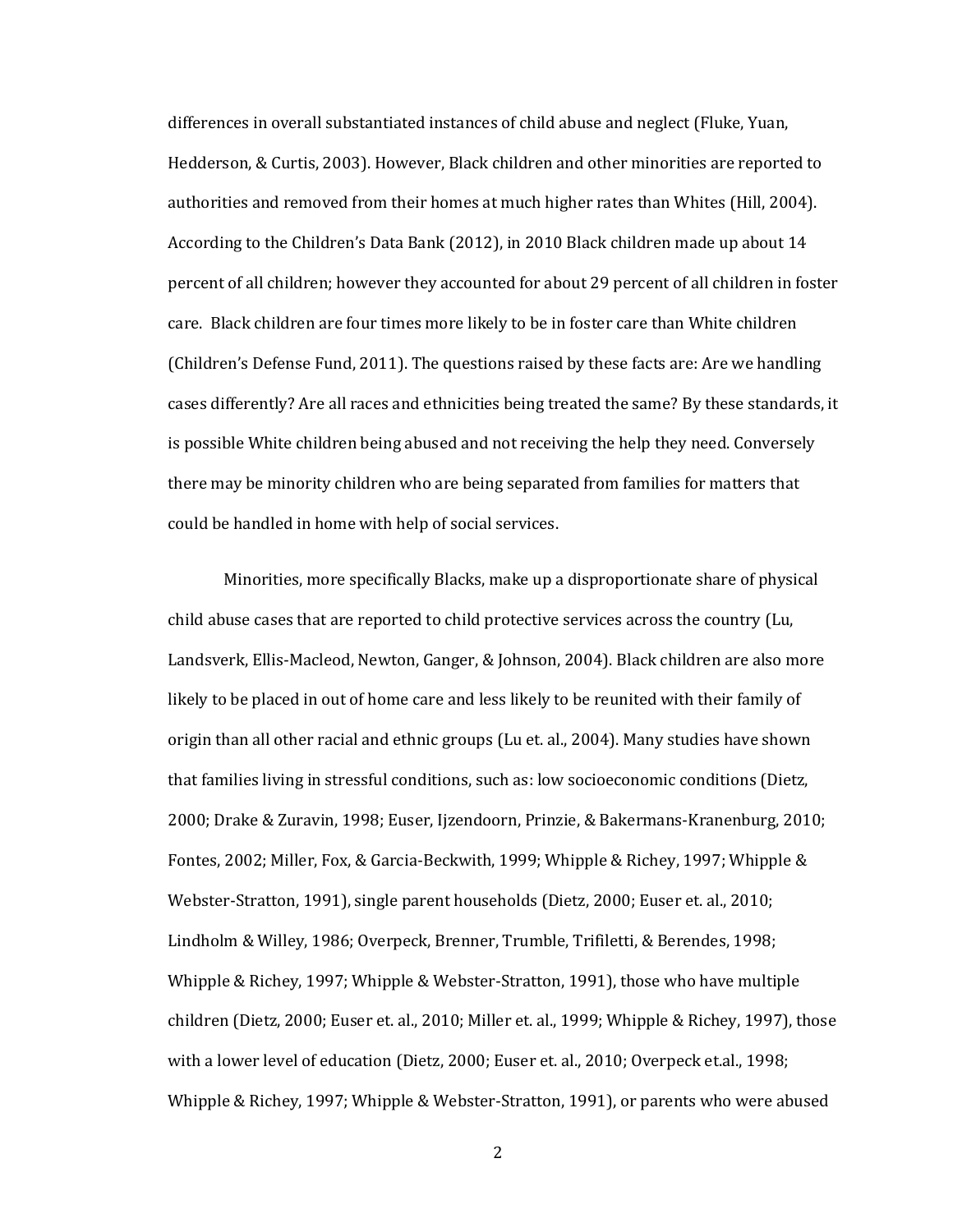differences in overall substantiated instances of child abuse and neglect (Fluke, Yuan, Hedderson, & Curtis, 2003). However, Black children and other minorities are reported to authorities and removed from their homes at much higher rates than Whites (Hill, 2004). According to the Children's Data Bank (2012), in 2010 Black children made up about 14 percent of all children; however they accounted for about 29 percent of all children in foster care. Black children are four times more likely to be in foster care than White children (Children's Defense Fund, 2011). The questions raised by these facts are: Are we handling cases differently? Are all races and ethnicities being treated the same? By these standards, it is possible White children being abused and not receiving the help they need. Conversely there may be minority children who are being separated from families for matters that could be handled in home with help of social services.

Minorities, more specifically Blacks, make up a disproportionate share of physical child abuse cases that are reported to child protective services across the country (Lu, Landsverk, Ellis-Macleod, Newton, Ganger, & Johnson, 2004). Black children are also more likely to be placed in out of home care and less likely to be reunited with their family of origin than all other racial and ethnic groups (Lu et. al., 2004). Many studies have shown that families living in stressful conditions, such as: low socioeconomic conditions (Dietz, 2000; Drake & Zuravin, 1998; Euser, Ijzendoorn, Prinzie, & Bakermans-Kranenburg, 2010; Fontes, 2002; Miller, Fox, & Garcia-Beckwith, 1999; Whipple & Richey, 1997; Whipple & Webster-Stratton, 1991), single parent households (Dietz, 2000; Euser et. al., 2010; Lindholm & Willey, 1986; Overpeck, Brenner, Trumble, Trifiletti, & Berendes, 1998; Whipple & Richey, 1997; Whipple & Webster-Stratton, 1991), those who have multiple children (Dietz, 2000; Euser et. al., 2010; Miller et. al., 1999; Whipple & Richey, 1997), those with a lower level of education (Dietz, 2000; Euser et. al., 2010; Overpeck et.al., 1998; Whipple & Richey, 1997; Whipple & Webster-Stratton, 1991), or parents who were abused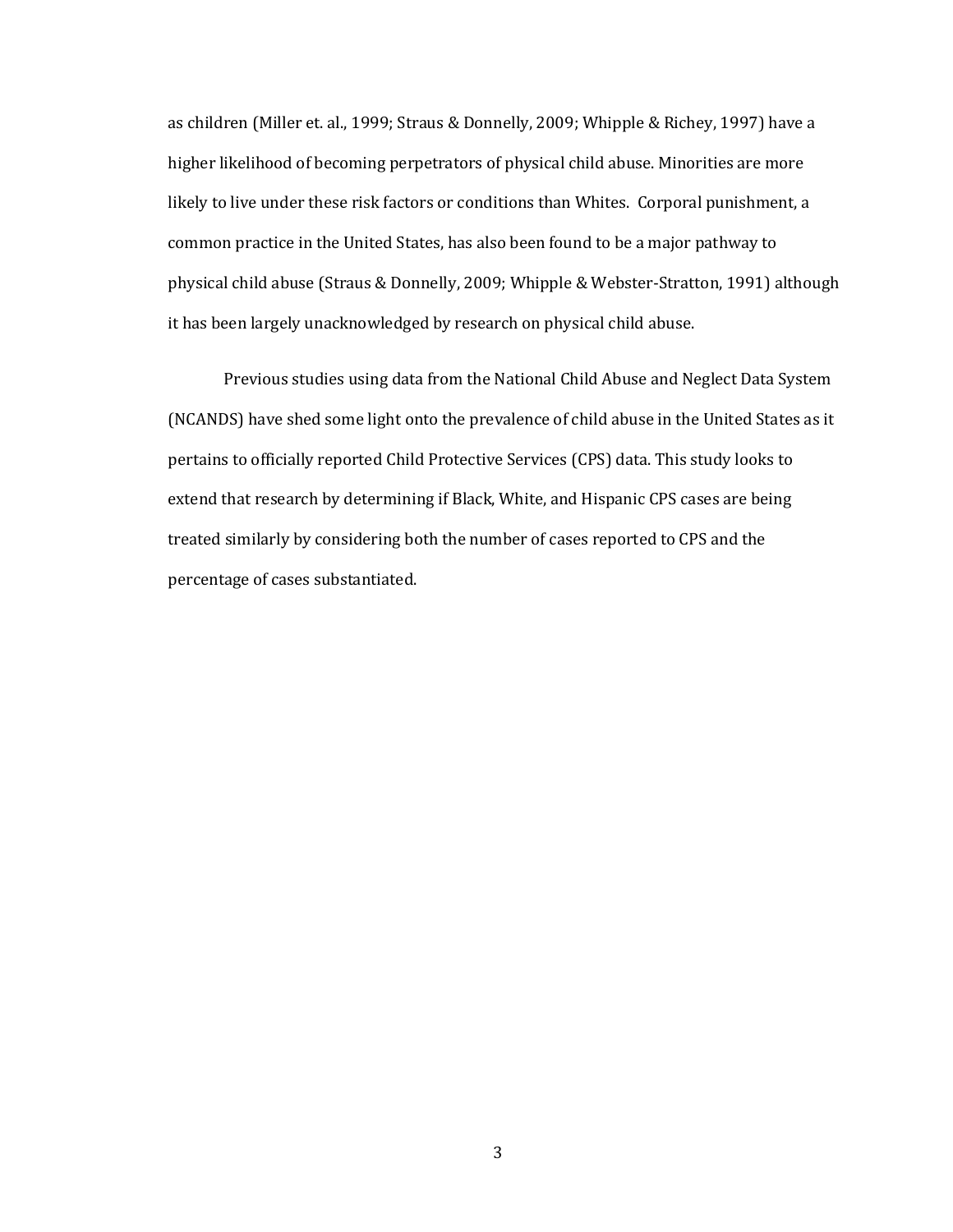as children (Miller et. al., 1999; Straus & Donnelly, 2009; Whipple & Richey, 1997) have a higher likelihood of becoming perpetrators of physical child abuse. Minorities are more likely to live under these risk factors or conditions than Whites. Corporal punishment, a common practice in the United States, has also been found to be a major pathway to physical child abuse (Straus & Donnelly, 2009; Whipple & Webster-Stratton, 1991) although it has been largely unacknowledged by research on physical child abuse.

Previous studies using data from the National Child Abuse and Neglect Data System (NCANDS) have shed some light onto the prevalence of child abuse in the United States as it pertains to officially reported Child Protective Services (CPS) data. This study looks to extend that research by determining if Black, White, and Hispanic CPS cases are being treated similarly by considering both the number of cases reported to CPS and the percentage of cases substantiated.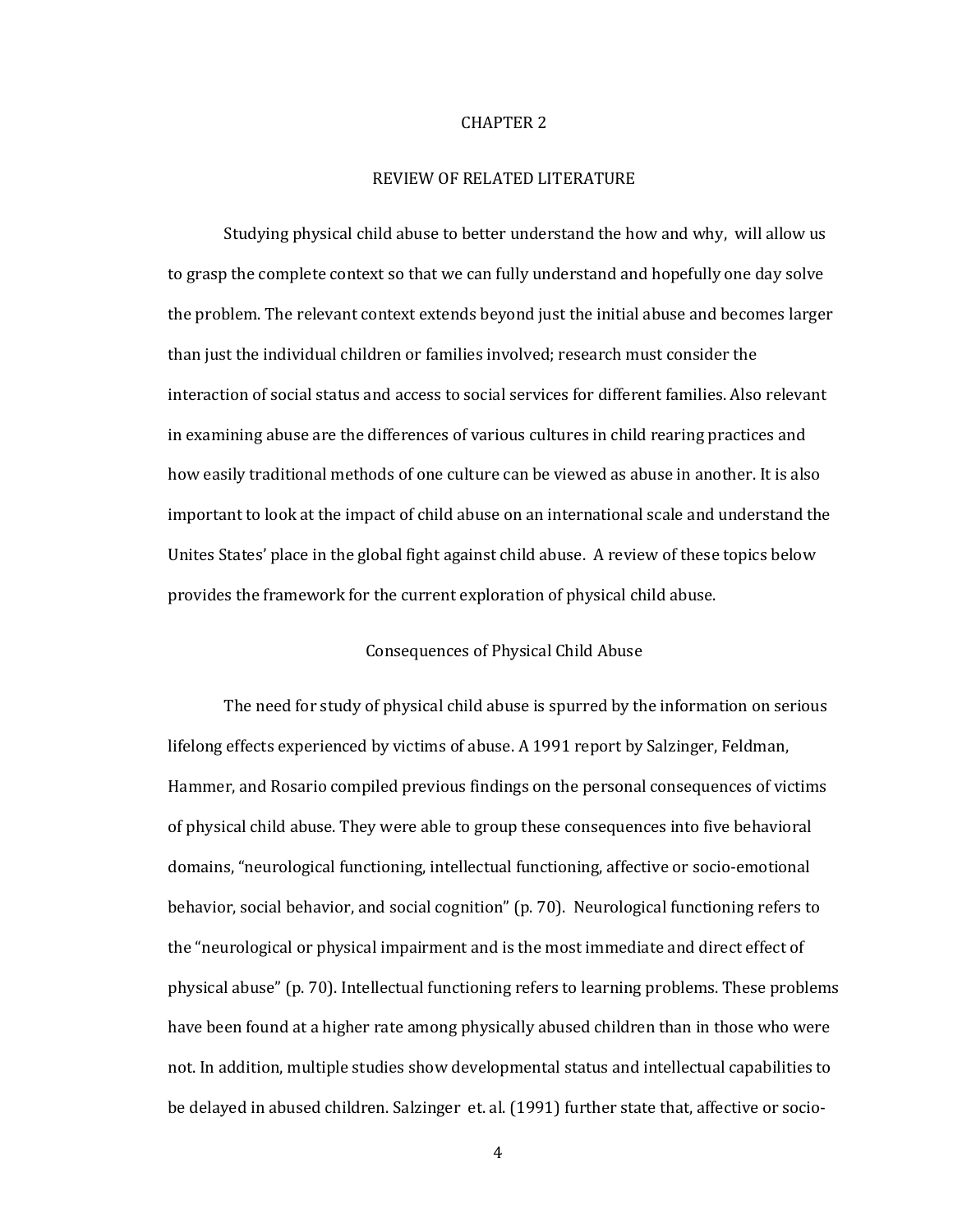#### CHAPTER 2

#### REVIEW OF RELATED LITERATURE

Studying physical child abuse to better understand the how and why, will allow us to grasp the complete context so that we can fully understand and hopefully one day solve the problem. The relevant context extends beyond just the initial abuse and becomes larger than just the individual children or families involved; research must consider the interaction of social status and access to social services for different families. Also relevant in examining abuse are the differences of various cultures in child rearing practices and how easily traditional methods of one culture can be viewed as abuse in another. It is also important to look at the impact of child abuse on an international scale and understand the Unites States' place in the global fight against child abuse. A review of these topics below provides the framework for the current exploration of physical child abuse.

#### Consequences of Physical Child Abuse

The need for study of physical child abuse is spurred by the information on serious lifelong effects experienced by victims of abuse. A 1991 report by Salzinger, Feldman, Hammer, and Rosario compiled previous findings on the personal consequences of victims of physical child abuse. They were able to group these consequences into five behavioral domains, "neurological functioning, intellectual functioning, affective or socio-emotional behavior, social behavior, and social cognition" (p. 70). Neurological functioning refers to the "neurological or physical impairment and is the most immediate and direct effect of physical abuse" (p. 70). Intellectual functioning refers to learning problems. These problems have been found at a higher rate among physically abused children than in those who were not. In addition, multiple studies show developmental status and intellectual capabilities to be delayed in abused children. Salzinger et. al. (1991) further state that, affective or socio-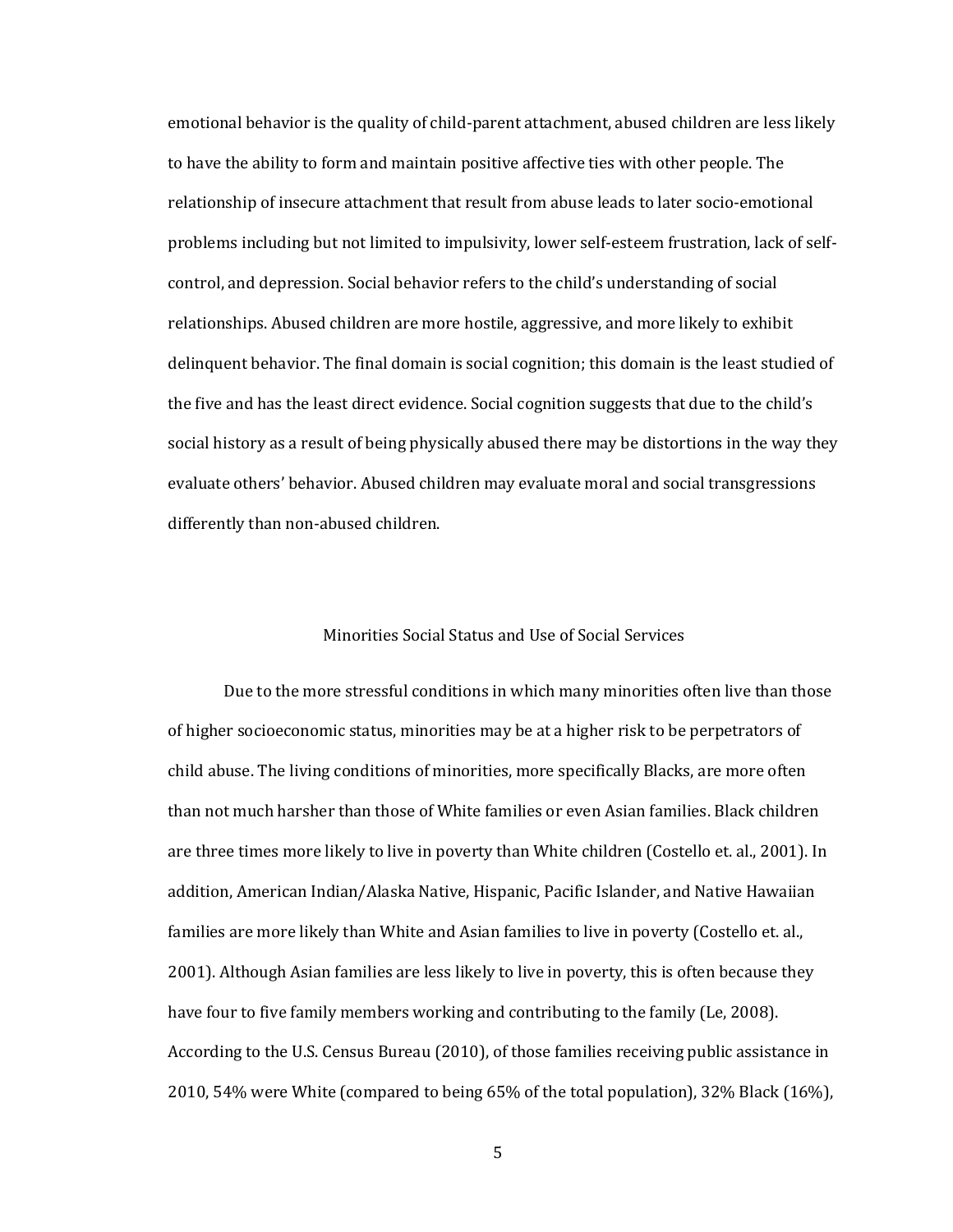emotional behavior is the quality of child-parent attachment, abused children are less likely to have the ability to form and maintain positive affective ties with other people. The relationship of insecure attachment that result from abuse leads to later socio-emotional problems including but not limited to impulsivity, lower self-esteem frustration, lack of selfcontrol, and depression. Social behavior refers to the child's understanding of social relationships. Abused children are more hostile, aggressive, and more likely to exhibit delinquent behavior. The final domain is social cognition; this domain is the least studied of the five and has the least direct evidence. Social cognition suggests that due to the child's social history as a result of being physically abused there may be distortions in the way they evaluate others' behavior. Abused children may evaluate moral and social transgressions differently than non-abused children.

#### Minorities Social Status and Use of Social Services

Due to the more stressful conditions in which many minorities often live than those of higher socioeconomic status, minorities may be at a higher risk to be perpetrators of child abuse. The living conditions of minorities, more specifically Blacks, are more often than not much harsher than those of White families or even Asian families. Black children are three times more likely to live in poverty than White children (Costello et. al., 2001). In addition, American Indian/Alaska Native, Hispanic, Pacific Islander, and Native Hawaiian families are more likely than White and Asian families to live in poverty (Costello et. al., 2001). Although Asian families are less likely to live in poverty, this is often because they have four to five family members working and contributing to the family (Le, 2008). According to the U.S. Census Bureau (2010), of those families receiving public assistance in 2010, 54% were White (compared to being 65% of the total population), 32% Black (16%),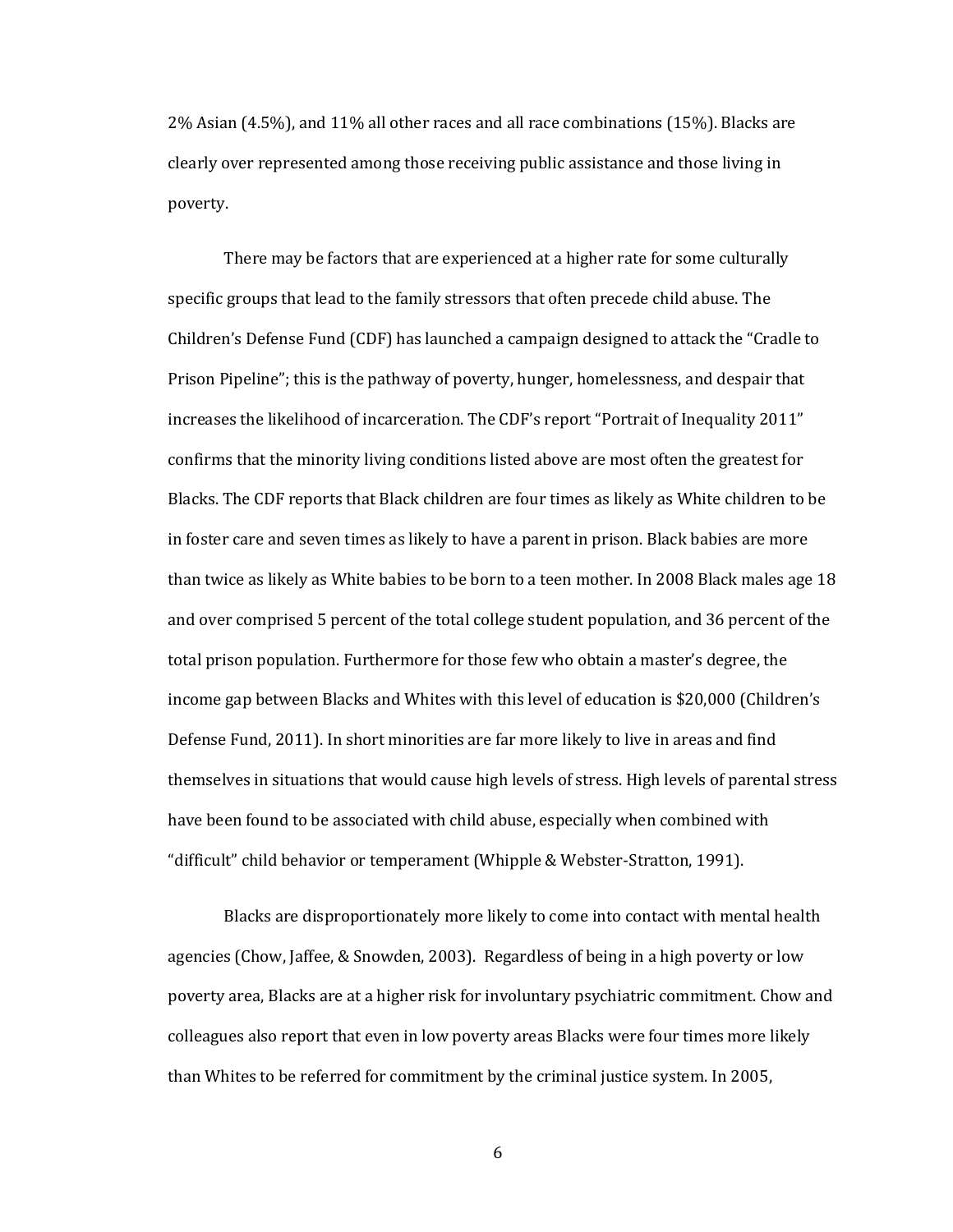2% Asian (4.5%), and 11% all other races and all race combinations (15%). Blacks are clearly over represented among those receiving public assistance and those living in poverty.

There may be factors that are experienced at a higher rate for some culturally specific groups that lead to the family stressors that often precede child abuse. The Children's Defense Fund (CDF) has launched a campaign designed to attack the "Cradle to Prison Pipeline"; this is the pathway of poverty, hunger, homelessness, and despair that increases the likelihood of incarceration. The CDF's report "Portrait of Inequality 2011" confirms that the minority living conditions listed above are most often the greatest for Blacks. The CDF reports that Black children are four times as likely as White children to be in foster care and seven times as likely to have a parent in prison. Black babies are more than twice as likely as White babies to be born to a teen mother. In 2008 Black males age 18 and over comprised 5 percent of the total college student population, and 36 percent of the total prison population. Furthermore for those few who obtain a master's degree, the income gap between Blacks and Whites with this level of education is \$20,000 (Children's Defense Fund, 2011). In short minorities are far more likely to live in areas and find themselves in situations that would cause high levels of stress. High levels of parental stress have been found to be associated with child abuse, especially when combined with "difficult" child behavior or temperament (Whipple & Webster-Stratton, 1991).

Blacks are disproportionately more likely to come into contact with mental health agencies (Chow, Jaffee, & Snowden, 2003). Regardless of being in a high poverty or low poverty area, Blacks are at a higher risk for involuntary psychiatric commitment. Chow and colleagues also report that even in low poverty areas Blacks were four times more likely than Whites to be referred for commitment by the criminal justice system. In 2005,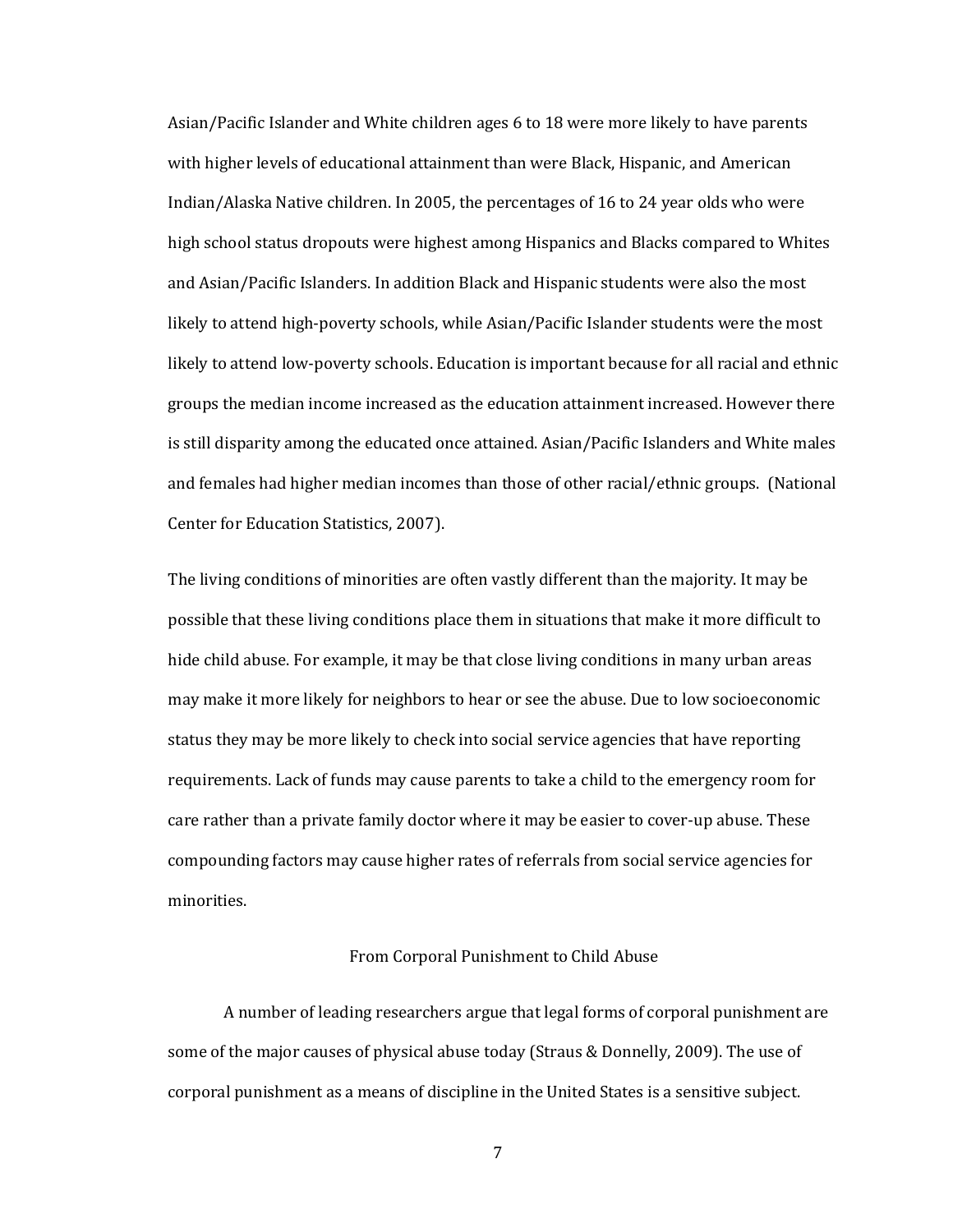Asian/Pacific Islander and White children ages 6 to 18 were more likely to have parents with higher levels of educational attainment than were Black, Hispanic, and American Indian/Alaska Native children. In 2005, the percentages of 16 to 24 year olds who were high school status dropouts were highest among Hispanics and Blacks compared to Whites and Asian/Pacific Islanders. In addition Black and Hispanic students were also the most likely to attend high-poverty schools, while Asian/Pacific Islander students were the most likely to attend low-poverty schools. Education is important because for all racial and ethnic groups the median income increased as the education attainment increased. However there is still disparity among the educated once attained. Asian/Pacific Islanders and White males and females had higher median incomes than those of other racial/ethnic groups. (National Center for Education Statistics, 2007).

The living conditions of minorities are often vastly different than the majority. It may be possible that these living conditions place them in situations that make it more difficult to hide child abuse. For example, it may be that close living conditions in many urban areas may make it more likely for neighbors to hear or see the abuse. Due to low socioeconomic status they may be more likely to check into social service agencies that have reporting requirements. Lack of funds may cause parents to take a child to the emergency room for care rather than a private family doctor where it may be easier to cover-up abuse. These compounding factors may cause higher rates of referrals from social service agencies for minorities.

#### From Corporal Punishment to Child Abuse

A number of leading researchers argue that legal forms of corporal punishment are some of the major causes of physical abuse today (Straus & Donnelly, 2009). The use of corporal punishment as a means of discipline in the United States is a sensitive subject.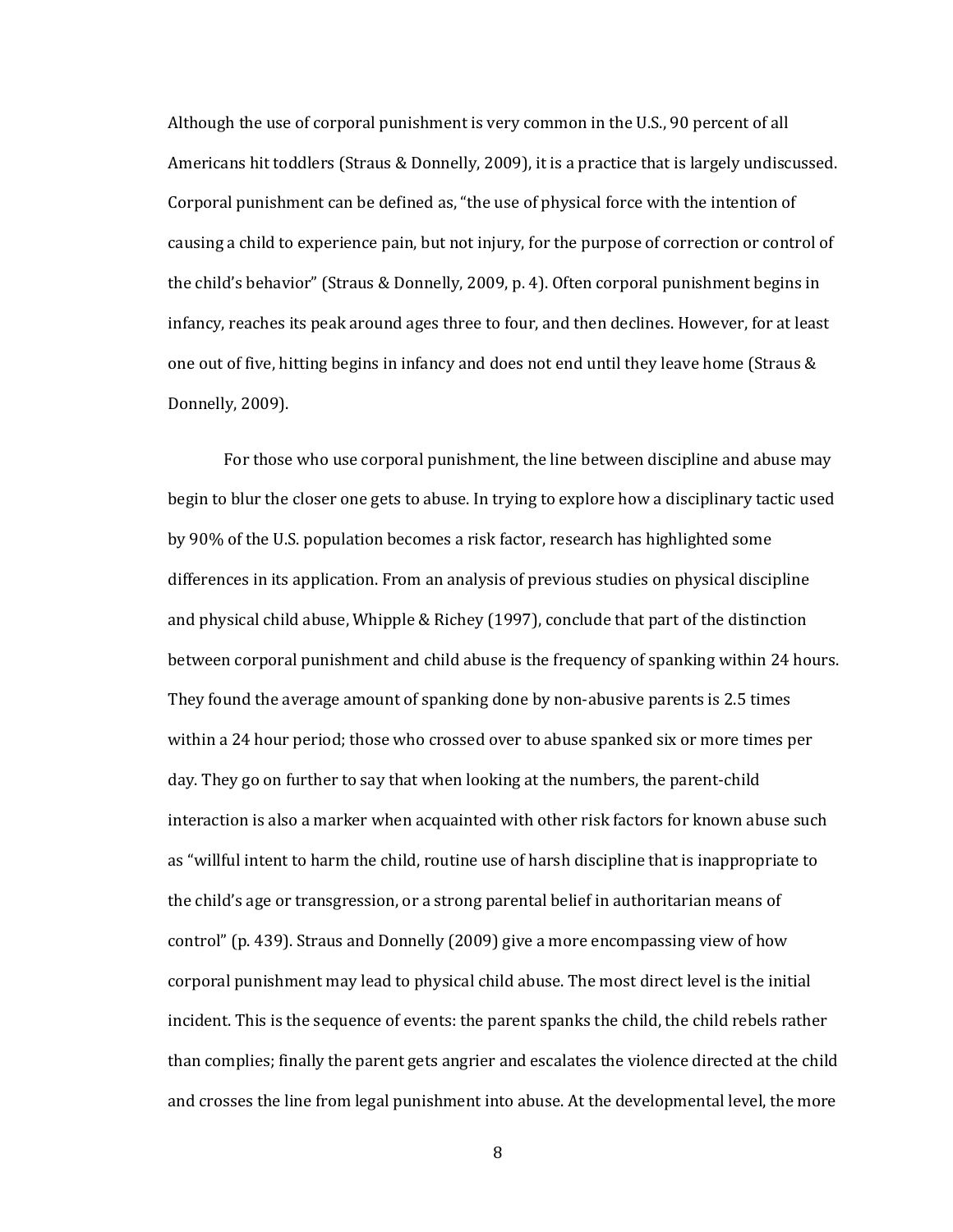Although the use of corporal punishment is very common in the U.S., 90 percent of all Americans hit toddlers (Straus & Donnelly, 2009), it is a practice that is largely undiscussed. Corporal punishment can be defined as, "the use of physical force with the intention of causing a child to experience pain, but not injury, for the purpose of correction or control of the child's behavior" (Straus & Donnelly, 2009, p. 4). Often corporal punishment begins in infancy, reaches its peak around ages three to four, and then declines. However, for at least one out of five, hitting begins in infancy and does not end until they leave home (Straus & Donnelly, 2009).

For those who use corporal punishment, the line between discipline and abuse may begin to blur the closer one gets to abuse. In trying to explore how a disciplinary tactic used by 90% of the U.S. population becomes a risk factor, research has highlighted some differences in its application. From an analysis of previous studies on physical discipline and physical child abuse, Whipple & Richey (1997), conclude that part of the distinction between corporal punishment and child abuse is the frequency of spanking within 24 hours. They found the average amount of spanking done by non-abusive parents is 2.5 times within a 24 hour period; those who crossed over to abuse spanked six or more times per day. They go on further to say that when looking at the numbers, the parent-child interaction is also a marker when acquainted with other risk factors for known abuse such as "willful intent to harm the child, routine use of harsh discipline that is inappropriate to the child's age or transgression, or a strong parental belief in authoritarian means of control" (p. 439). Straus and Donnelly (2009) give a more encompassing view of how corporal punishment may lead to physical child abuse. The most direct level is the initial incident. This is the sequence of events: the parent spanks the child, the child rebels rather than complies; finally the parent gets angrier and escalates the violence directed at the child and crosses the line from legal punishment into abuse. At the developmental level, the more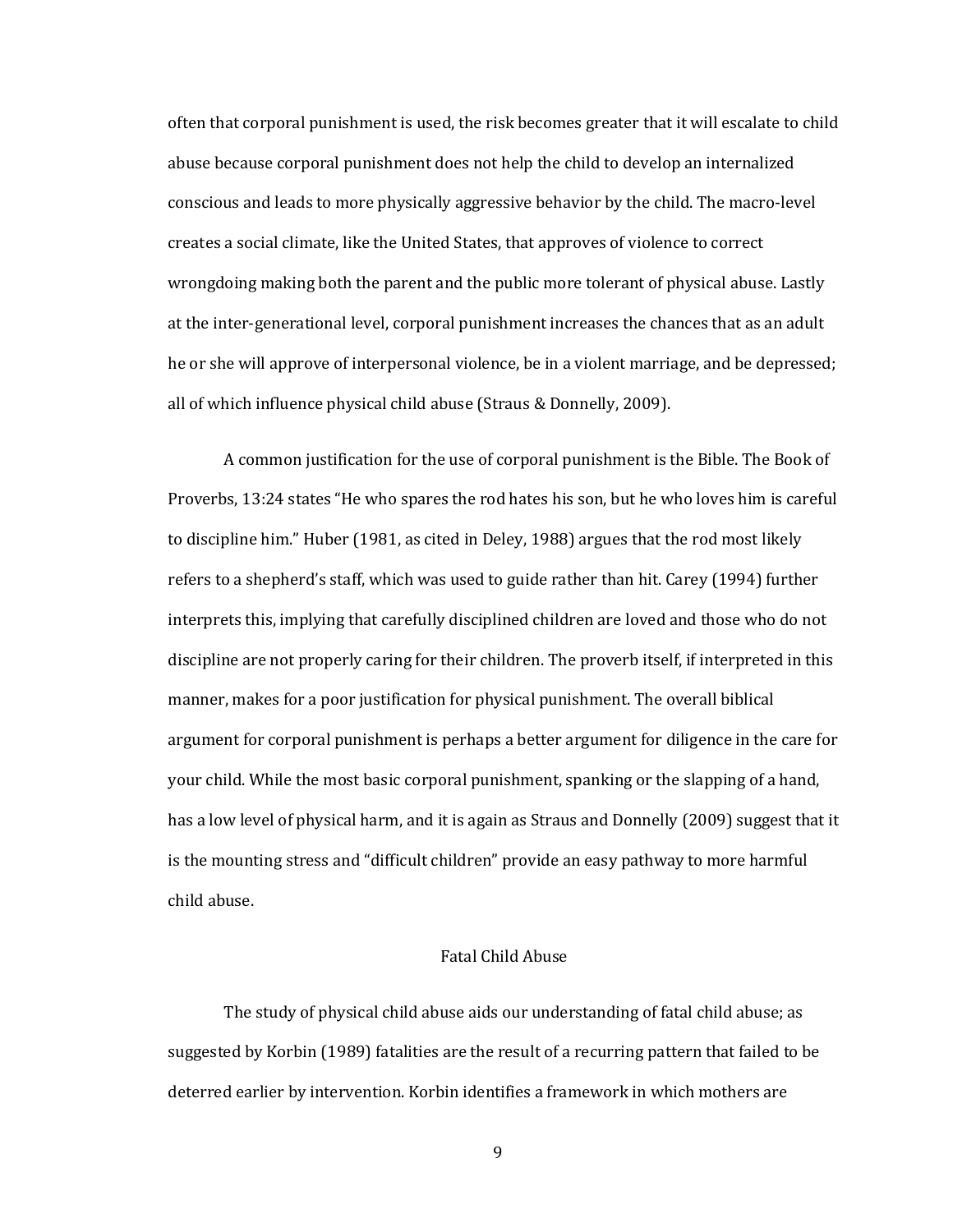often that corporal punishment is used, the risk becomes greater that it will escalate to child abuse because corporal punishment does not help the child to develop an internalized conscious and leads to more physically aggressive behavior by the child. The macro-level creates a social climate, like the United States, that approves of violence to correct wrongdoing making both the parent and the public more tolerant of physical abuse. Lastly at the inter-generational level, corporal punishment increases the chances that as an adult he or she will approve of interpersonal violence, be in a violent marriage, and be depressed; all of which influence physical child abuse (Straus & Donnelly, 2009).

A common justification for the use of corporal punishment is the Bible. The Book of Proverbs, 13:24 states "He who spares the rod hates his son, but he who loves him is careful to discipline him." Huber (1981, as cited in Deley, 1988) argues that the rod most likely refers to a shepherd's staff, which was used to guide rather than hit. Carey (1994) further interprets this, implying that carefully disciplined children are loved and those who do not discipline are not properly caring for their children. The proverb itself, if interpreted in this manner, makes for a poor justification for physical punishment. The overall biblical argument for corporal punishment is perhaps a better argument for diligence in the care for your child. While the most basic corporal punishment, spanking or the slapping of a hand, has a low level of physical harm, and it is again as Straus and Donnelly (2009) suggest that it is the mounting stress and "difficult children" provide an easy pathway to more harmful child abuse.

#### Fatal Child Abuse

The study of physical child abuse aids our understanding of fatal child abuse; as suggested by Korbin (1989) fatalities are the result of a recurring pattern that failed to be deterred earlier by intervention. Korbin identifies a framework in which mothers are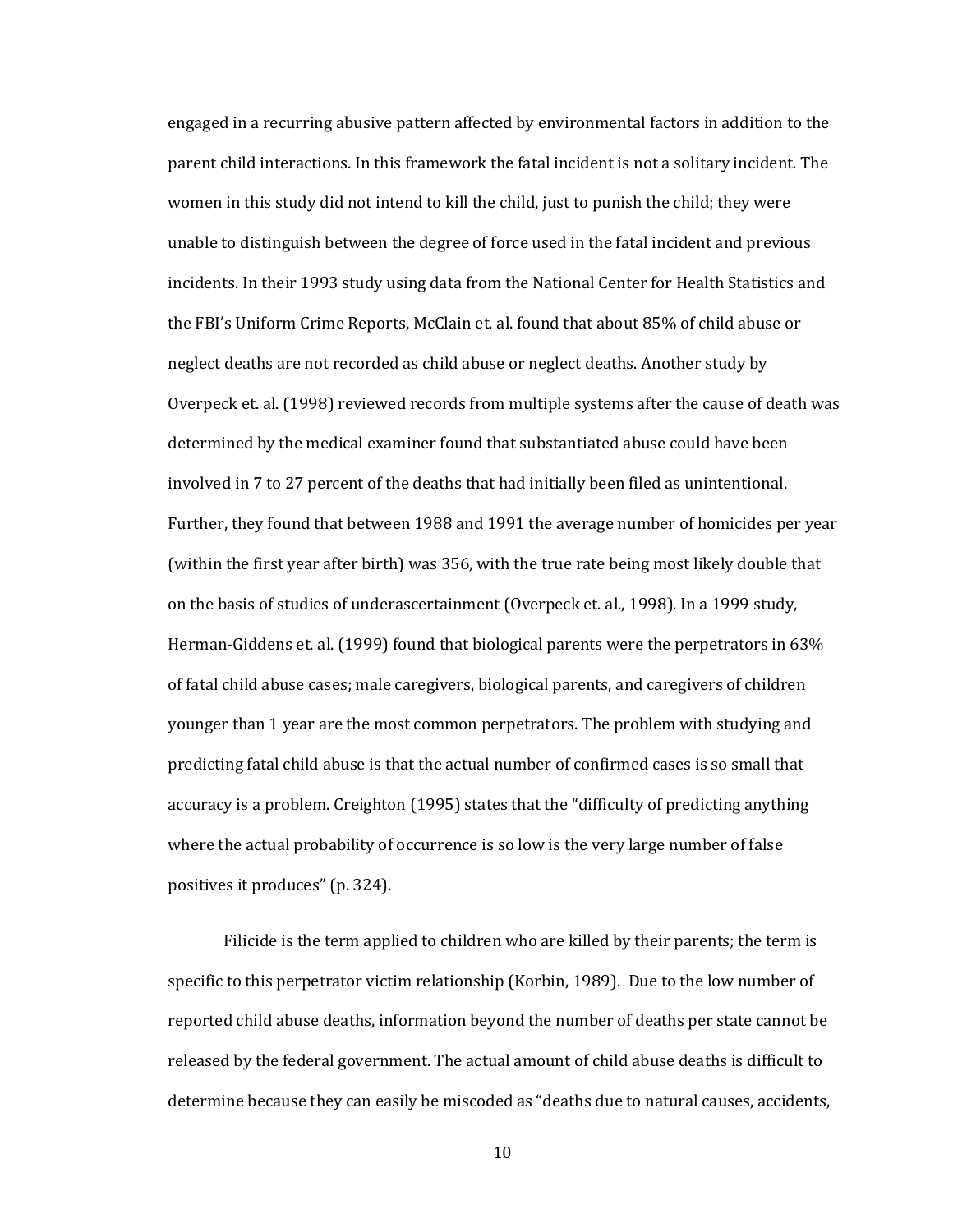engaged in a recurring abusive pattern affected by environmental factors in addition to the parent child interactions. In this framework the fatal incident is not a solitary incident. The women in this study did not intend to kill the child, just to punish the child; they were unable to distinguish between the degree of force used in the fatal incident and previous incidents. In their 1993 study using data from the National Center for Health Statistics and the FBI's Uniform Crime Reports, McClain et. al. found that about 85% of child abuse or neglect deaths are not recorded as child abuse or neglect deaths. Another study by Overpeck et. al. (1998) reviewed records from multiple systems after the cause of death was determined by the medical examiner found that substantiated abuse could have been involved in 7 to 27 percent of the deaths that had initially been filed as unintentional. Further, they found that between 1988 and 1991 the average number of homicides per year (within the first year after birth) was 356, with the true rate being most likely double that on the basis of studies of underascertainment (Overpeck et. al., 1998). In a 1999 study, Herman-Giddens et. al. (1999) found that biological parents were the perpetrators in 63% of fatal child abuse cases; male caregivers, biological parents, and caregivers of children younger than 1 year are the most common perpetrators. The problem with studying and predicting fatal child abuse is that the actual number of confirmed cases is so small that accuracy is a problem. Creighton (1995) states that the "difficulty of predicting anything where the actual probability of occurrence is so low is the very large number of false positives it produces" (p. 324).

Filicide is the term applied to children who are killed by their parents; the term is specific to this perpetrator victim relationship (Korbin, 1989). Due to the low number of reported child abuse deaths, information beyond the number of deaths per state cannot be released by the federal government. The actual amount of child abuse deaths is difficult to determine because they can easily be miscoded as "deaths due to natural causes, accidents,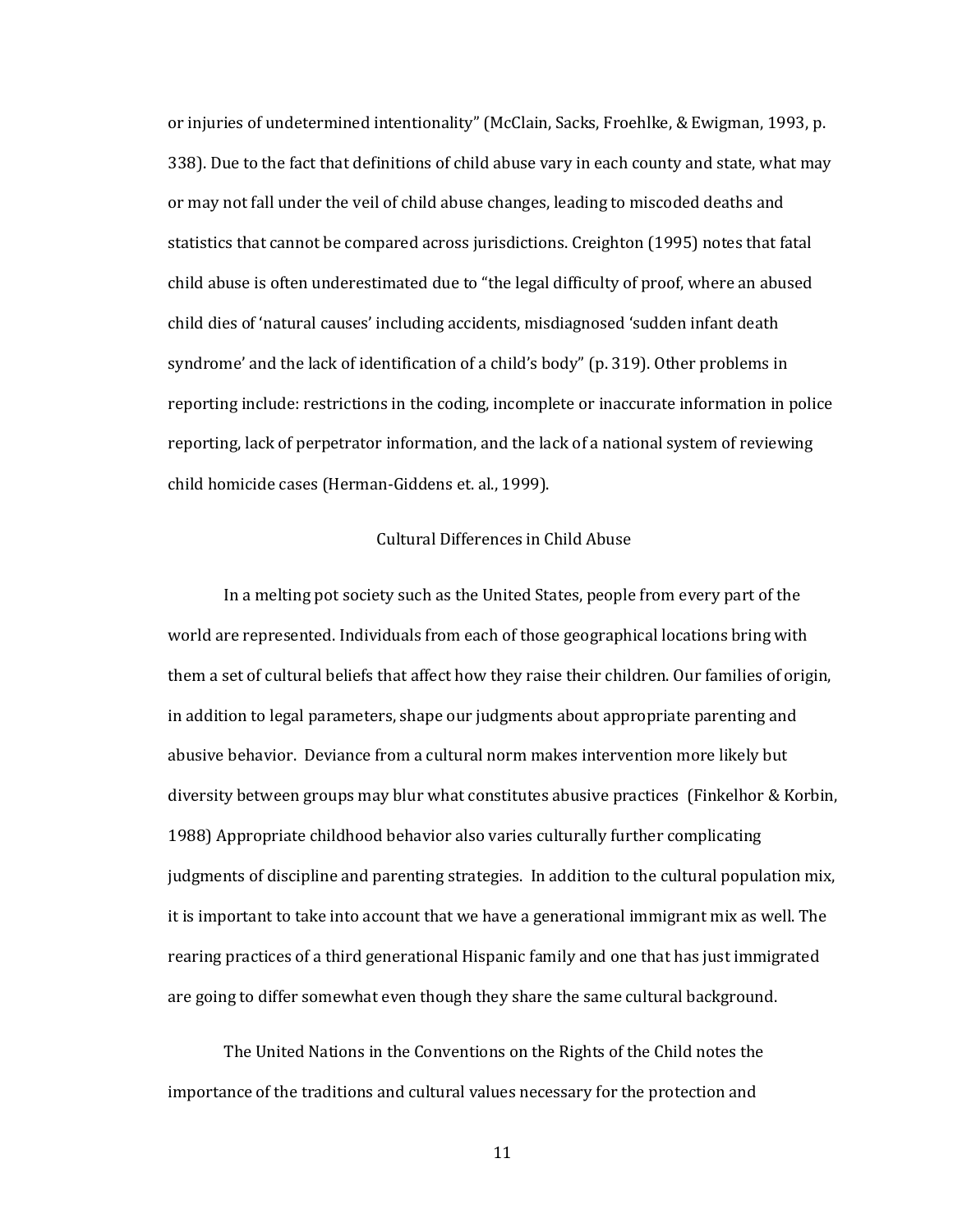or injuries of undetermined intentionality" (McClain, Sacks, Froehlke, & Ewigman, 1993, p. 338). Due to the fact that definitions of child abuse vary in each county and state, what may or may not fall under the veil of child abuse changes, leading to miscoded deaths and statistics that cannot be compared across jurisdictions. Creighton (1995) notes that fatal child abuse is often underestimated due to "the legal difficulty of proof, where an abused child dies of 'natural causes' including accidents, misdiagnosed 'sudden infant death syndrome' and the lack of identification of a child's body" (p. 319). Other problems in reporting include: restrictions in the coding, incomplete or inaccurate information in police reporting, lack of perpetrator information, and the lack of a national system of reviewing child homicide cases (Herman-Giddens et. al., 1999).

#### Cultural Differences in Child Abuse

In a melting pot society such as the United States, people from every part of the world are represented. Individuals from each of those geographical locations bring with them a set of cultural beliefs that affect how they raise their children. Our families of origin, in addition to legal parameters, shape our judgments about appropriate parenting and abusive behavior. Deviance from a cultural norm makes intervention more likely but diversity between groups may blur what constitutes abusive practices (Finkelhor & Korbin, 1988) Appropriate childhood behavior also varies culturally further complicating judgments of discipline and parenting strategies. In addition to the cultural population mix, it is important to take into account that we have a generational immigrant mix as well. The rearing practices of a third generational Hispanic family and one that has just immigrated are going to differ somewhat even though they share the same cultural background.

The United Nations in the Conventions on the Rights of the Child notes the importance of the traditions and cultural values necessary for the protection and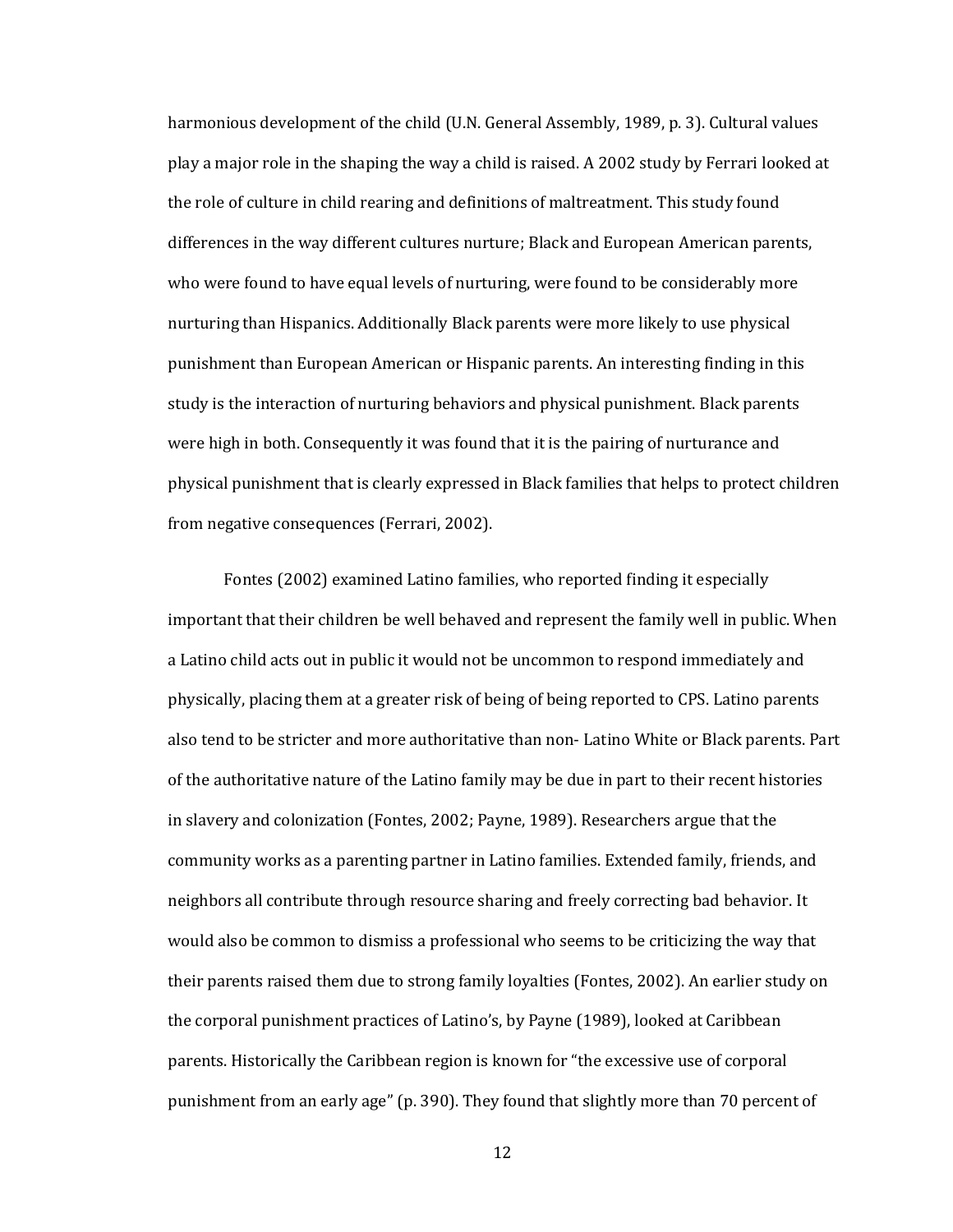harmonious development of the child (U.N. General Assembly, 1989, p. 3). Cultural values play a major role in the shaping the way a child is raised. A 2002 study by Ferrari looked at the role of culture in child rearing and definitions of maltreatment. This study found differences in the way different cultures nurture; Black and European American parents, who were found to have equal levels of nurturing, were found to be considerably more nurturing than Hispanics. Additionally Black parents were more likely to use physical punishment than European American or Hispanic parents. An interesting finding in this study is the interaction of nurturing behaviors and physical punishment. Black parents were high in both. Consequently it was found that it is the pairing of nurturance and physical punishment that is clearly expressed in Black families that helps to protect children from negative consequences (Ferrari, 2002).

Fontes (2002) examined Latino families, who reported finding it especially important that their children be well behaved and represent the family well in public. When a Latino child acts out in public it would not be uncommon to respond immediately and physically, placing them at a greater risk of being of being reported to CPS. Latino parents also tend to be stricter and more authoritative than non- Latino White or Black parents. Part of the authoritative nature of the Latino family may be due in part to their recent histories in slavery and colonization (Fontes, 2002; Payne, 1989). Researchers argue that the community works as a parenting partner in Latino families. Extended family, friends, and neighbors all contribute through resource sharing and freely correcting bad behavior. It would also be common to dismiss a professional who seems to be criticizing the way that their parents raised them due to strong family loyalties (Fontes, 2002). An earlier study on the corporal punishment practices of Latino's, by Payne (1989), looked at Caribbean parents. Historically the Caribbean region is known for "the excessive use of corporal punishment from an early age" (p. 390). They found that slightly more than 70 percent of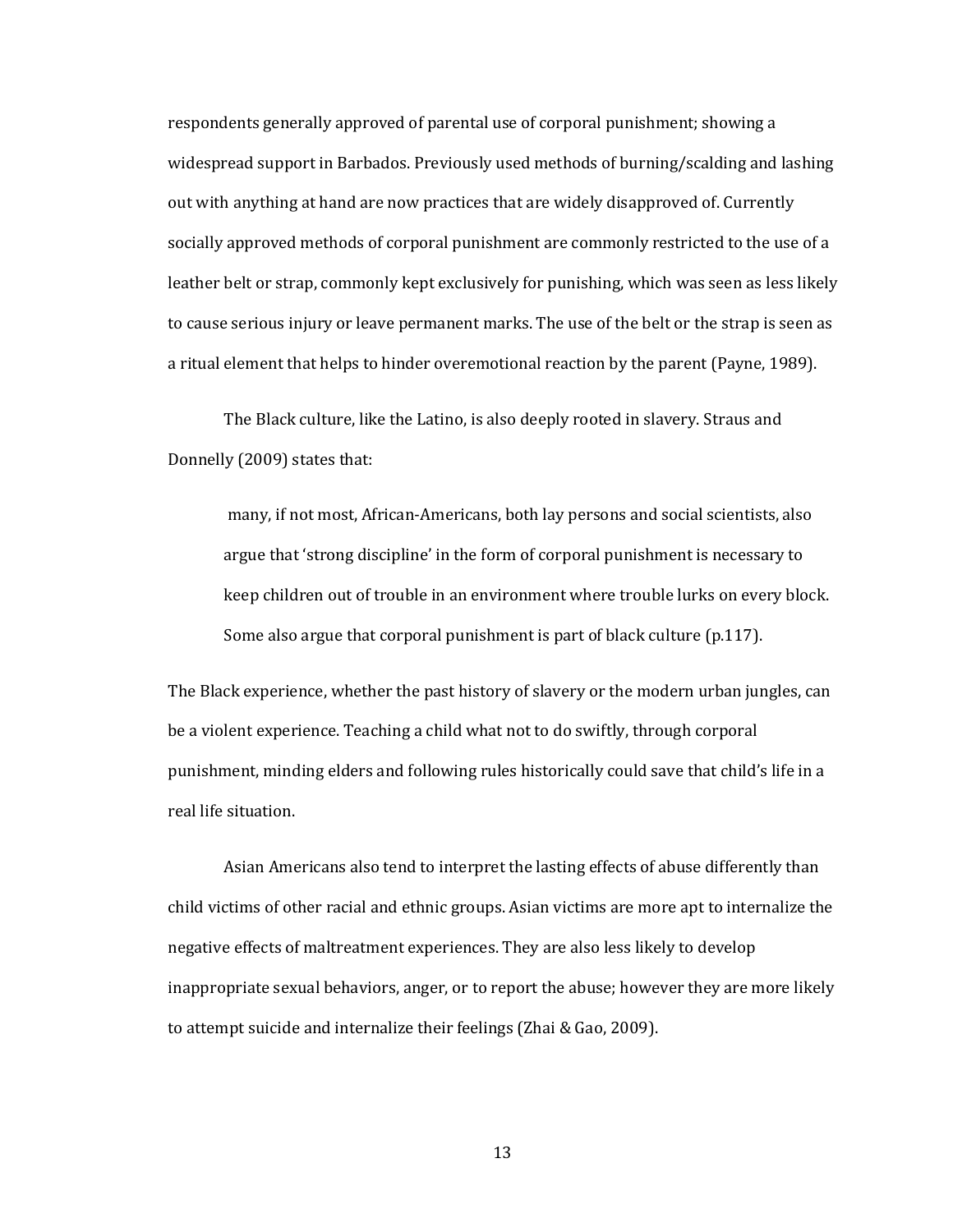respondents generally approved of parental use of corporal punishment; showing a widespread support in Barbados. Previously used methods of burning/scalding and lashing out with anything at hand are now practices that are widely disapproved of. Currently socially approved methods of corporal punishment are commonly restricted to the use of a leather belt or strap, commonly kept exclusively for punishing, which was seen as less likely to cause serious injury or leave permanent marks. The use of the belt or the strap is seen as a ritual element that helps to hinder overemotional reaction by the parent (Payne, 1989).

The Black culture, like the Latino, is also deeply rooted in slavery. Straus and Donnelly (2009) states that:

many, if not most, African-Americans, both lay persons and social scientists, also argue that 'strong discipline' in the form of corporal punishment is necessary to keep children out of trouble in an environment where trouble lurks on every block. Some also argue that corporal punishment is part of black culture (p.117).

The Black experience, whether the past history of slavery or the modern urban jungles, can be a violent experience. Teaching a child what not to do swiftly, through corporal punishment, minding elders and following rules historically could save that child's life in a real life situation.

Asian Americans also tend to interpret the lasting effects of abuse differently than child victims of other racial and ethnic groups. Asian victims are more apt to internalize the negative effects of maltreatment experiences. They are also less likely to develop inappropriate sexual behaviors, anger, or to report the abuse; however they are more likely to attempt suicide and internalize their feelings (Zhai & Gao, 2009).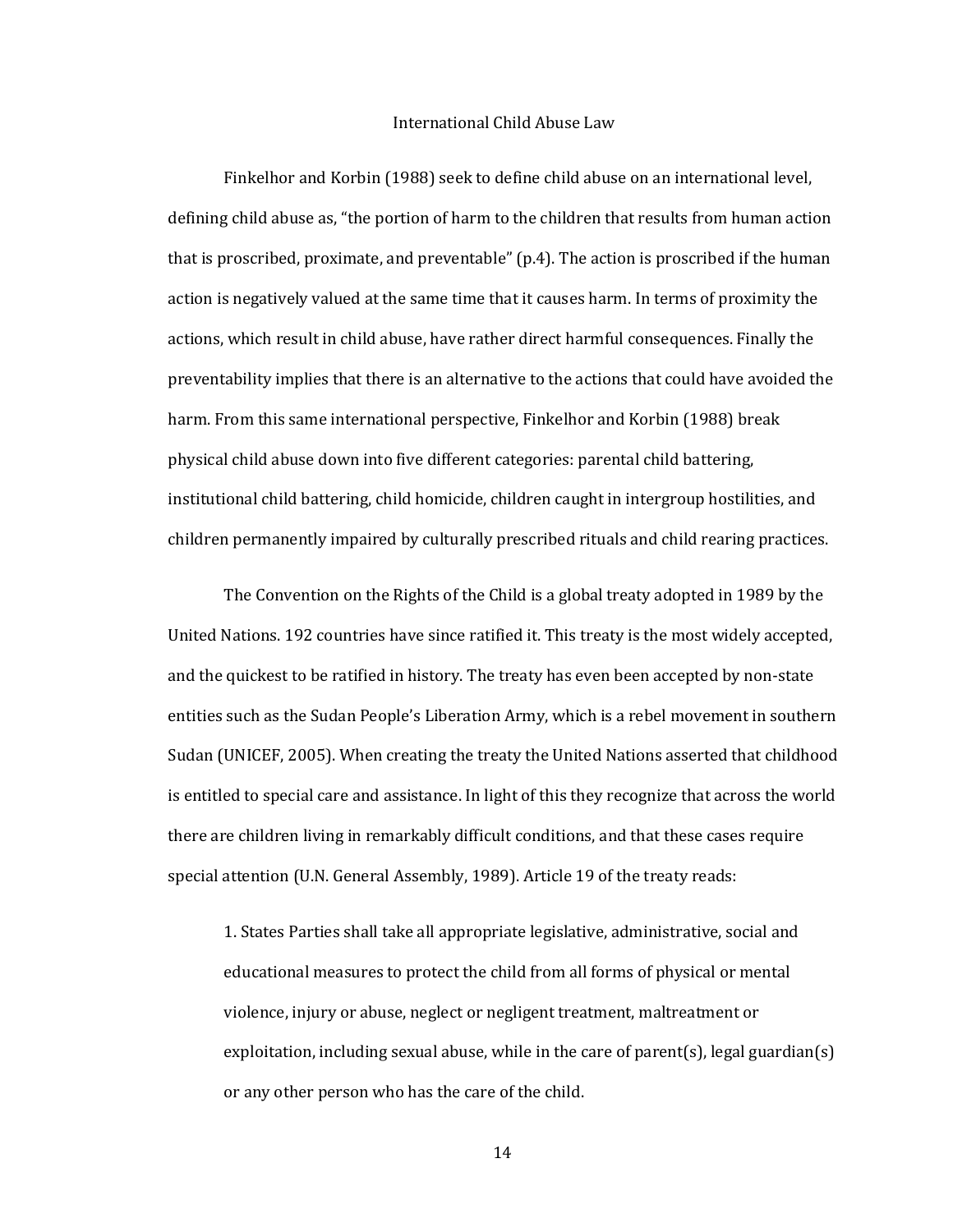#### International Child Abuse Law

Finkelhor and Korbin (1988) seek to define child abuse on an international level, defining child abuse as, "the portion of harm to the children that results from human action that is proscribed, proximate, and preventable" (p.4). The action is proscribed if the human action is negatively valued at the same time that it causes harm. In terms of proximity the actions, which result in child abuse, have rather direct harmful consequences. Finally the preventability implies that there is an alternative to the actions that could have avoided the harm. From this same international perspective, Finkelhor and Korbin (1988) break physical child abuse down into five different categories: parental child battering, institutional child battering, child homicide, children caught in intergroup hostilities, and children permanently impaired by culturally prescribed rituals and child rearing practices.

The Convention on the Rights of the Child is a global treaty adopted in 1989 by the United Nations. 192 countries have since ratified it. This treaty is the most widely accepted, and the quickest to be ratified in history. The treaty has even been accepted by non-state entities such as the Sudan People's Liberation Army, which is a rebel movement in southern Sudan (UNICEF, 2005). When creating the treaty the United Nations asserted that childhood is entitled to special care and assistance. In light of this they recognize that across the world there are children living in remarkably difficult conditions, and that these cases require special attention (U.N. General Assembly, 1989). Article 19 of the treaty reads:

1. States Parties shall take all appropriate legislative, administrative, social and educational measures to protect the child from all forms of physical or mental violence, injury or abuse, neglect or negligent treatment, maltreatment or exploitation, including sexual abuse, while in the care of parent(s), legal guardian(s) or any other person who has the care of the child.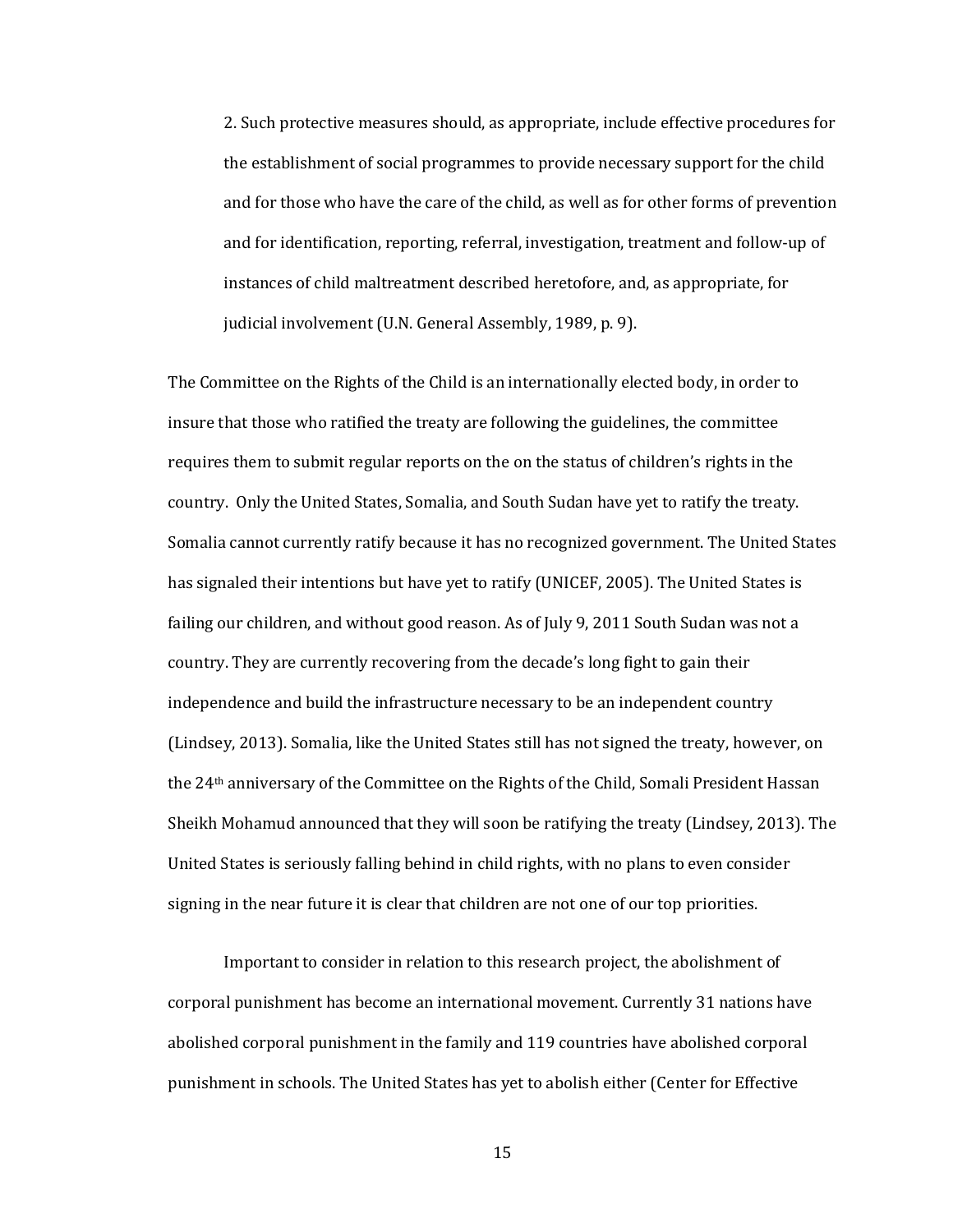2. Such protective measures should, as appropriate, include effective procedures for the establishment of social programmes to provide necessary support for the child and for those who have the care of the child, as well as for other forms of prevention and for identification, reporting, referral, investigation, treatment and follow-up of instances of child maltreatment described heretofore, and, as appropriate, for judicial involvement (U.N. General Assembly, 1989, p. 9).

The Committee on the Rights of the Child is an internationally elected body, in order to insure that those who ratified the treaty are following the guidelines, the committee requires them to submit regular reports on the on the status of children's rights in the country. Only the United States, Somalia, and South Sudan have yet to ratify the treaty. Somalia cannot currently ratify because it has no recognized government. The United States has signaled their intentions but have yet to ratify (UNICEF, 2005). The United States is failing our children, and without good reason. As of July 9, 2011 South Sudan was not a country. They are currently recovering from the decade's long fight to gain their independence and build the infrastructure necessary to be an independent country (Lindsey, 2013). Somalia, like the United States still has not signed the treaty, however, on the 24th anniversary of the Committee on the Rights of the Child, Somali President Hassan Sheikh Mohamud announced that they will soon be ratifying the treaty (Lindsey, 2013). The United States is seriously falling behind in child rights, with no plans to even consider signing in the near future it is clear that children are not one of our top priorities.

Important to consider in relation to this research project, the abolishment of corporal punishment has become an international movement. Currently 31 nations have abolished corporal punishment in the family and 119 countries have abolished corporal punishment in schools. The United States has yet to abolish either (Center for Effective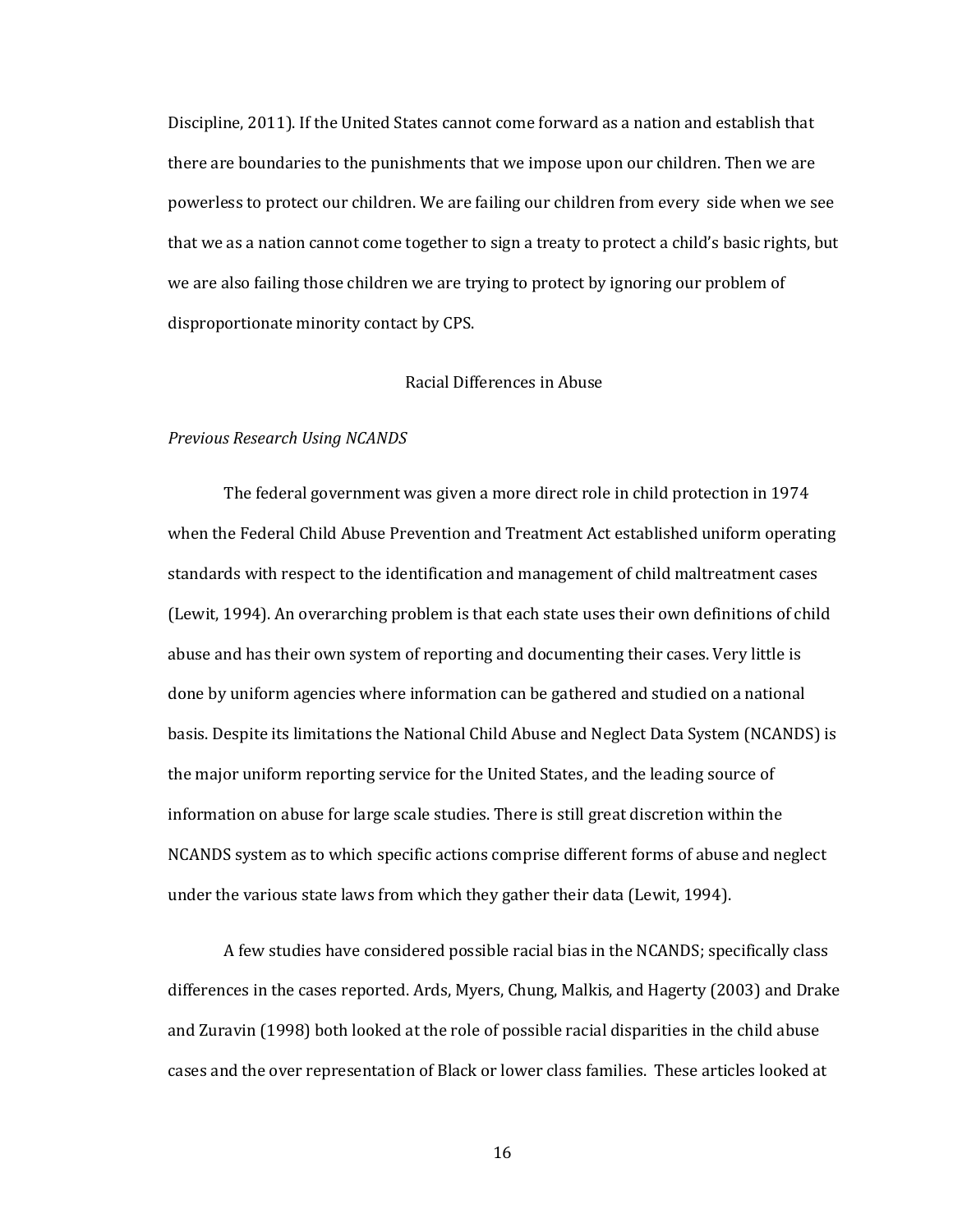Discipline, 2011). If the United States cannot come forward as a nation and establish that there are boundaries to the punishments that we impose upon our children. Then we are powerless to protect our children. We are failing our children from every side when we see that we as a nation cannot come together to sign a treaty to protect a child's basic rights, but we are also failing those children we are trying to protect by ignoring our problem of disproportionate minority contact by CPS.

#### Racial Differences in Abuse

#### *Previous Research Using NCANDS*

The federal government was given a more direct role in child protection in 1974 when the Federal Child Abuse Prevention and Treatment Act established uniform operating standards with respect to the identification and management of child maltreatment cases (Lewit, 1994). An overarching problem is that each state uses their own definitions of child abuse and has their own system of reporting and documenting their cases. Very little is done by uniform agencies where information can be gathered and studied on a national basis. Despite its limitations the National Child Abuse and Neglect Data System (NCANDS) is the major uniform reporting service for the United States, and the leading source of information on abuse for large scale studies. There is still great discretion within the NCANDS system as to which specific actions comprise different forms of abuse and neglect under the various state laws from which they gather their data (Lewit, 1994).

A few studies have considered possible racial bias in the NCANDS; specifically class differences in the cases reported. Ards, Myers, Chung, Malkis, and Hagerty (2003) and Drake and Zuravin (1998) both looked at the role of possible racial disparities in the child abuse cases and the over representation of Black or lower class families. These articles looked at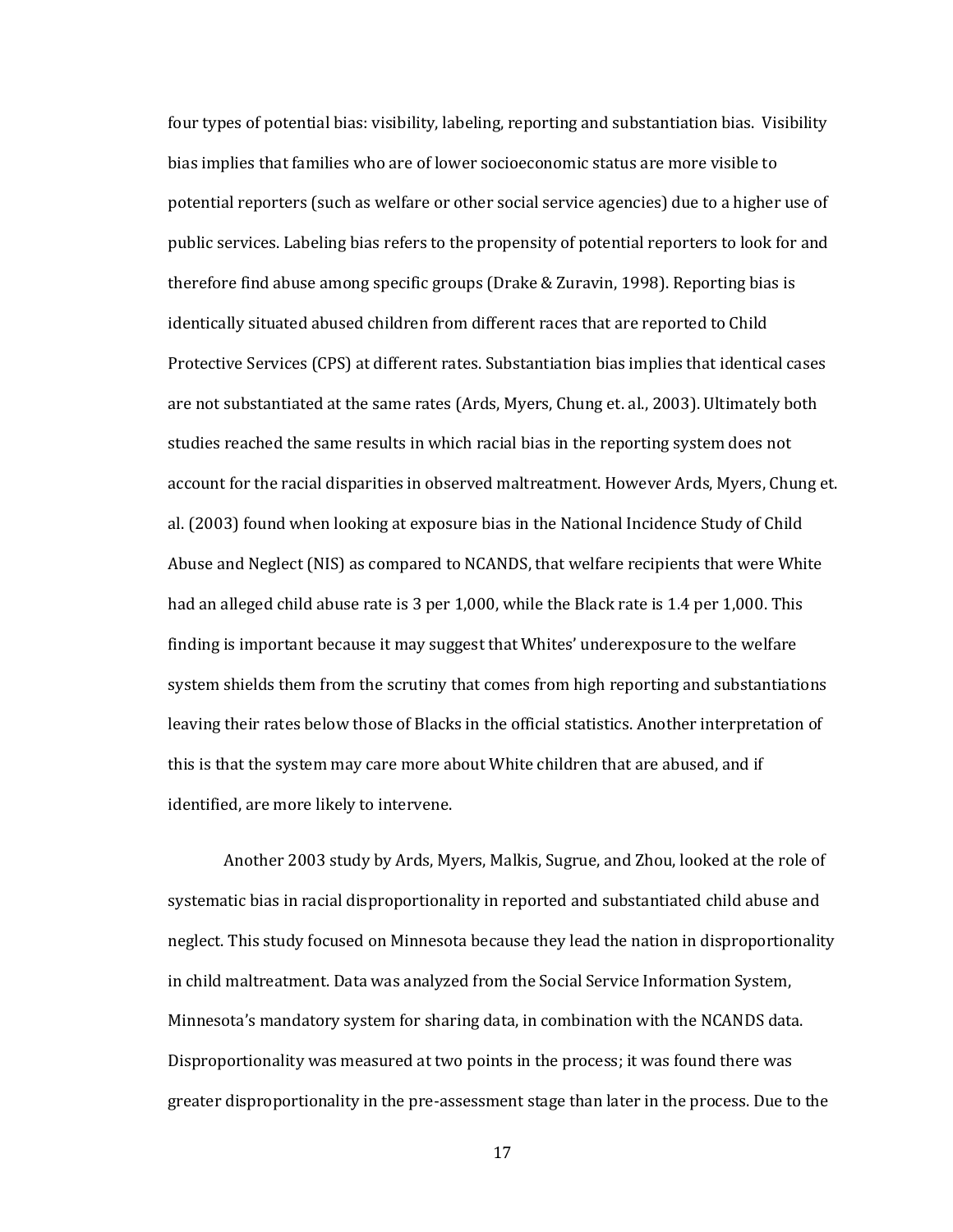four types of potential bias: visibility, labeling, reporting and substantiation bias. Visibility bias implies that families who are of lower socioeconomic status are more visible to potential reporters (such as welfare or other social service agencies) due to a higher use of public services. Labeling bias refers to the propensity of potential reporters to look for and therefore find abuse among specific groups (Drake & Zuravin, 1998). Reporting bias is identically situated abused children from different races that are reported to Child Protective Services (CPS) at different rates. Substantiation bias implies that identical cases are not substantiated at the same rates (Ards, Myers, Chung et. al., 2003). Ultimately both studies reached the same results in which racial bias in the reporting system does not account for the racial disparities in observed maltreatment. However Ards, Myers, Chung et. al. (2003) found when looking at exposure bias in the National Incidence Study of Child Abuse and Neglect (NIS) as compared to NCANDS, that welfare recipients that were White had an alleged child abuse rate is 3 per 1,000, while the Black rate is 1.4 per 1,000. This finding is important because it may suggest that Whites' underexposure to the welfare system shields them from the scrutiny that comes from high reporting and substantiations leaving their rates below those of Blacks in the official statistics. Another interpretation of this is that the system may care more about White children that are abused, and if identified, are more likely to intervene.

Another 2003 study by Ards, Myers, Malkis, Sugrue, and Zhou, looked at the role of systematic bias in racial disproportionality in reported and substantiated child abuse and neglect. This study focused on Minnesota because they lead the nation in disproportionality in child maltreatment. Data was analyzed from the Social Service Information System, Minnesota's mandatory system for sharing data, in combination with the NCANDS data. Disproportionality was measured at two points in the process; it was found there was greater disproportionality in the pre-assessment stage than later in the process. Due to the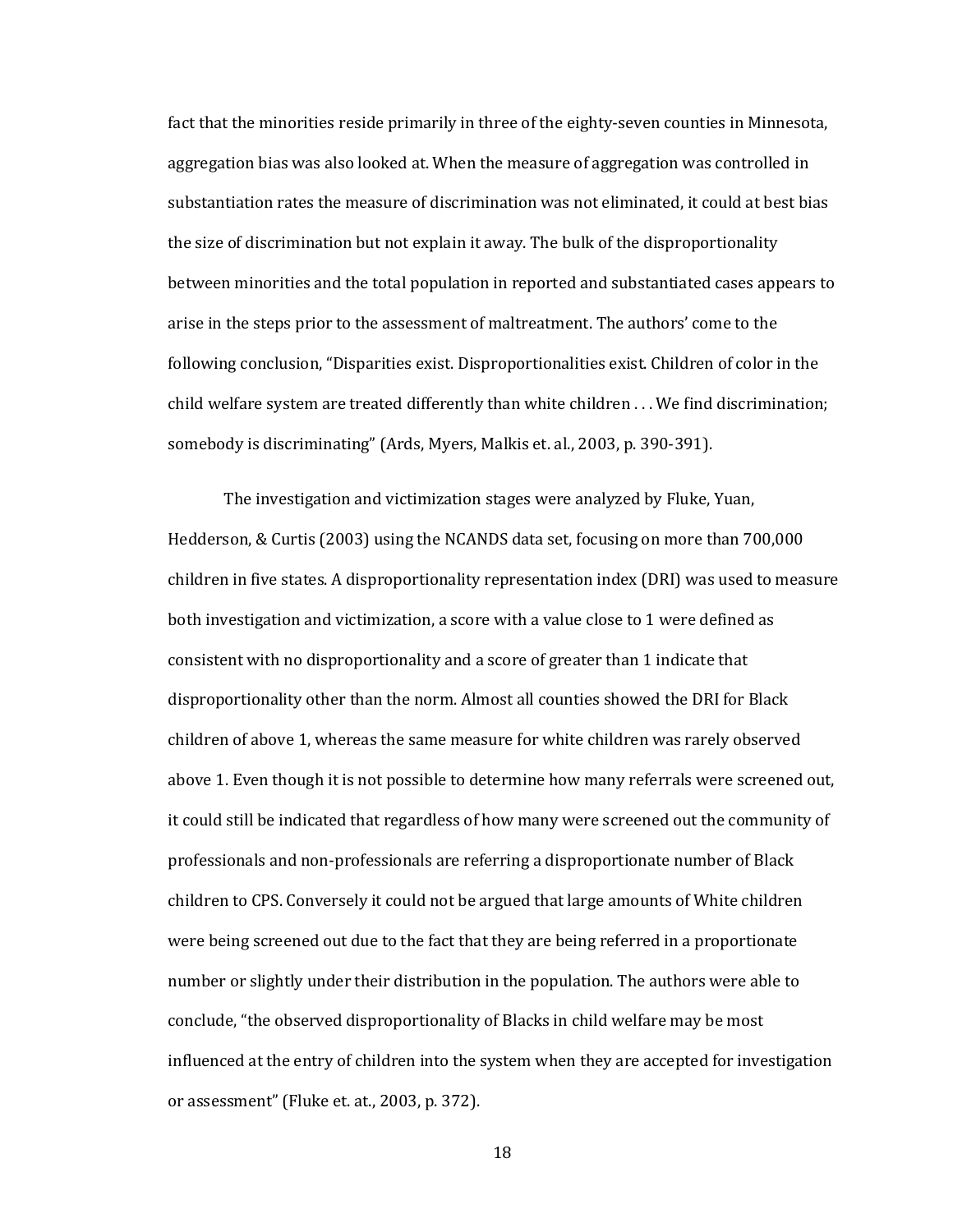fact that the minorities reside primarily in three of the eighty-seven counties in Minnesota, aggregation bias was also looked at. When the measure of aggregation was controlled in substantiation rates the measure of discrimination was not eliminated, it could at best bias the size of discrimination but not explain it away. The bulk of the disproportionality between minorities and the total population in reported and substantiated cases appears to arise in the steps prior to the assessment of maltreatment. The authors' come to the following conclusion, "Disparities exist. Disproportionalities exist. Children of color in the child welfare system are treated differently than white children . . . We find discrimination; somebody is discriminating" (Ards, Myers, Malkis et. al., 2003, p. 390-391).

The investigation and victimization stages were analyzed by Fluke, Yuan, Hedderson, & Curtis (2003) using the NCANDS data set, focusing on more than 700,000 children in five states. A disproportionality representation index (DRI) was used to measure both investigation and victimization, a score with a value close to 1 were defined as consistent with no disproportionality and a score of greater than 1 indicate that disproportionality other than the norm. Almost all counties showed the DRI for Black children of above 1, whereas the same measure for white children was rarely observed above 1. Even though it is not possible to determine how many referrals were screened out, it could still be indicated that regardless of how many were screened out the community of professionals and non-professionals are referring a disproportionate number of Black children to CPS. Conversely it could not be argued that large amounts of White children were being screened out due to the fact that they are being referred in a proportionate number or slightly under their distribution in the population. The authors were able to conclude, "the observed disproportionality of Blacks in child welfare may be most influenced at the entry of children into the system when they are accepted for investigation or assessment" (Fluke et. at., 2003, p. 372).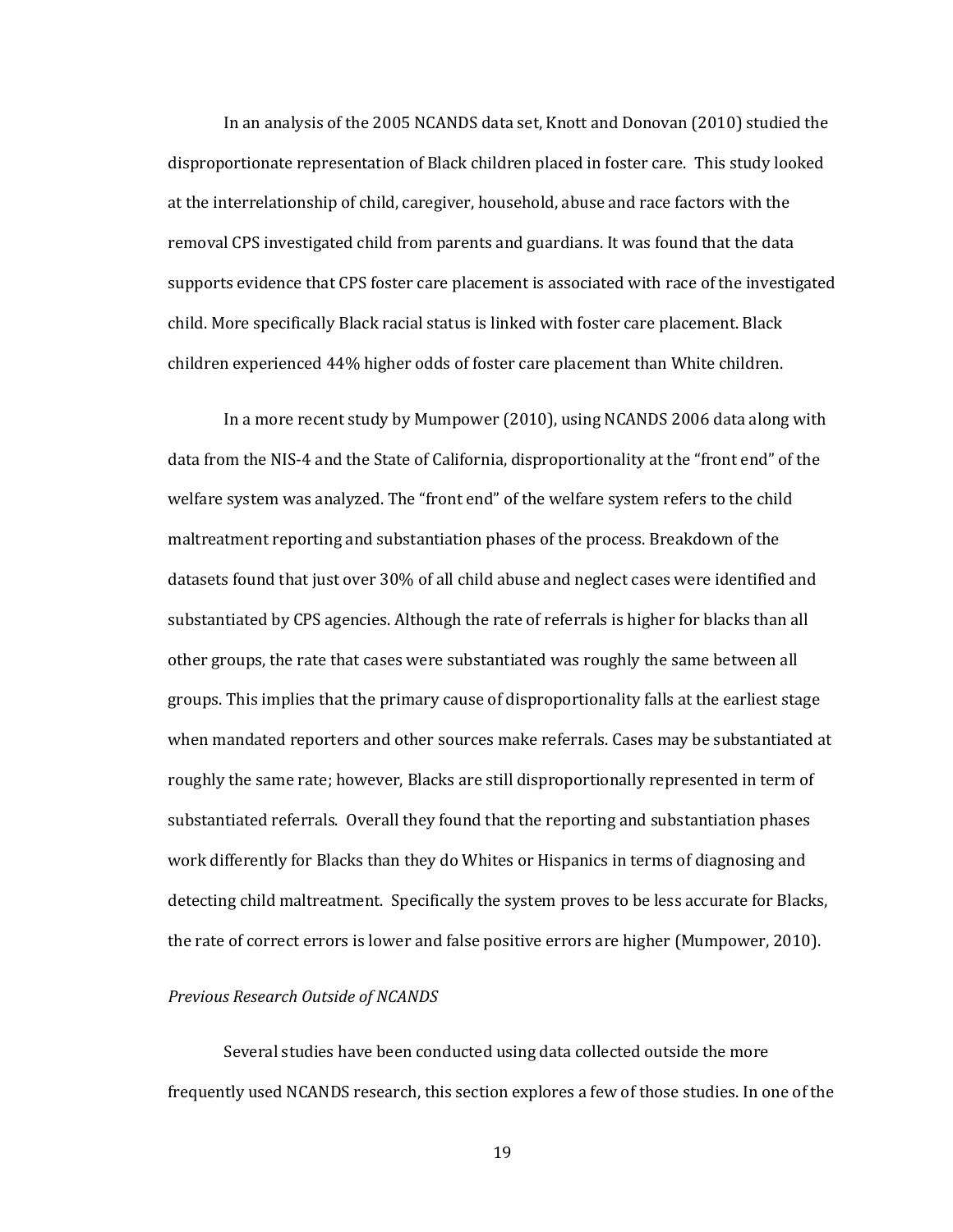In an analysis of the 2005 NCANDS data set, Knott and Donovan (2010) studied the disproportionate representation of Black children placed in foster care. This study looked at the interrelationship of child, caregiver, household, abuse and race factors with the removal CPS investigated child from parents and guardians. It was found that the data supports evidence that CPS foster care placement is associated with race of the investigated child. More specifically Black racial status is linked with foster care placement. Black children experienced 44% higher odds of foster care placement than White children.

In a more recent study by Mumpower (2010), using NCANDS 2006 data along with data from the NIS-4 and the State of California, disproportionality at the "front end" of the welfare system was analyzed. The "front end" of the welfare system refers to the child maltreatment reporting and substantiation phases of the process. Breakdown of the datasets found that just over 30% of all child abuse and neglect cases were identified and substantiated by CPS agencies. Although the rate of referrals is higher for blacks than all other groups, the rate that cases were substantiated was roughly the same between all groups. This implies that the primary cause of disproportionality falls at the earliest stage when mandated reporters and other sources make referrals. Cases may be substantiated at roughly the same rate; however, Blacks are still disproportionally represented in term of substantiated referrals. Overall they found that the reporting and substantiation phases work differently for Blacks than they do Whites or Hispanics in terms of diagnosing and detecting child maltreatment. Specifically the system proves to be less accurate for Blacks, the rate of correct errors is lower and false positive errors are higher (Mumpower, 2010).

#### *Previous Research Outside of NCANDS*

Several studies have been conducted using data collected outside the more frequently used NCANDS research, this section explores a few of those studies. In one of the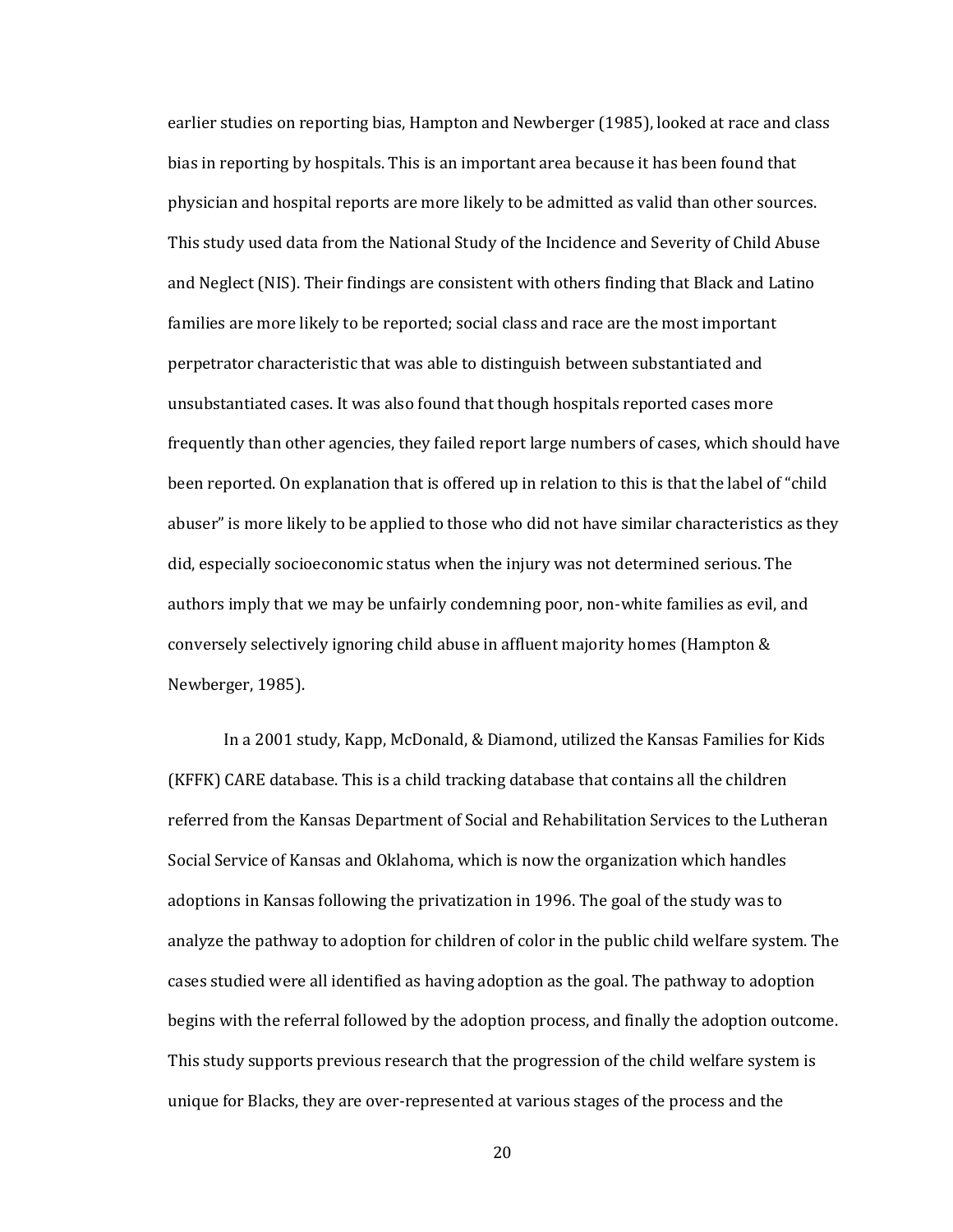earlier studies on reporting bias, Hampton and Newberger (1985), looked at race and class bias in reporting by hospitals. This is an important area because it has been found that physician and hospital reports are more likely to be admitted as valid than other sources. This study used data from the National Study of the Incidence and Severity of Child Abuse and Neglect (NIS). Their findings are consistent with others finding that Black and Latino families are more likely to be reported; social class and race are the most important perpetrator characteristic that was able to distinguish between substantiated and unsubstantiated cases. It was also found that though hospitals reported cases more frequently than other agencies, they failed report large numbers of cases, which should have been reported. On explanation that is offered up in relation to this is that the label of "child abuser" is more likely to be applied to those who did not have similar characteristics as they did, especially socioeconomic status when the injury was not determined serious. The authors imply that we may be unfairly condemning poor, non-white families as evil, and conversely selectively ignoring child abuse in affluent majority homes (Hampton & Newberger, 1985).

In a 2001 study, Kapp, McDonald, & Diamond, utilized the Kansas Families for Kids (KFFK) CARE database. This is a child tracking database that contains all the children referred from the Kansas Department of Social and Rehabilitation Services to the Lutheran Social Service of Kansas and Oklahoma, which is now the organization which handles adoptions in Kansas following the privatization in 1996. The goal of the study was to analyze the pathway to adoption for children of color in the public child welfare system. The cases studied were all identified as having adoption as the goal. The pathway to adoption begins with the referral followed by the adoption process, and finally the adoption outcome. This study supports previous research that the progression of the child welfare system is unique for Blacks, they are over-represented at various stages of the process and the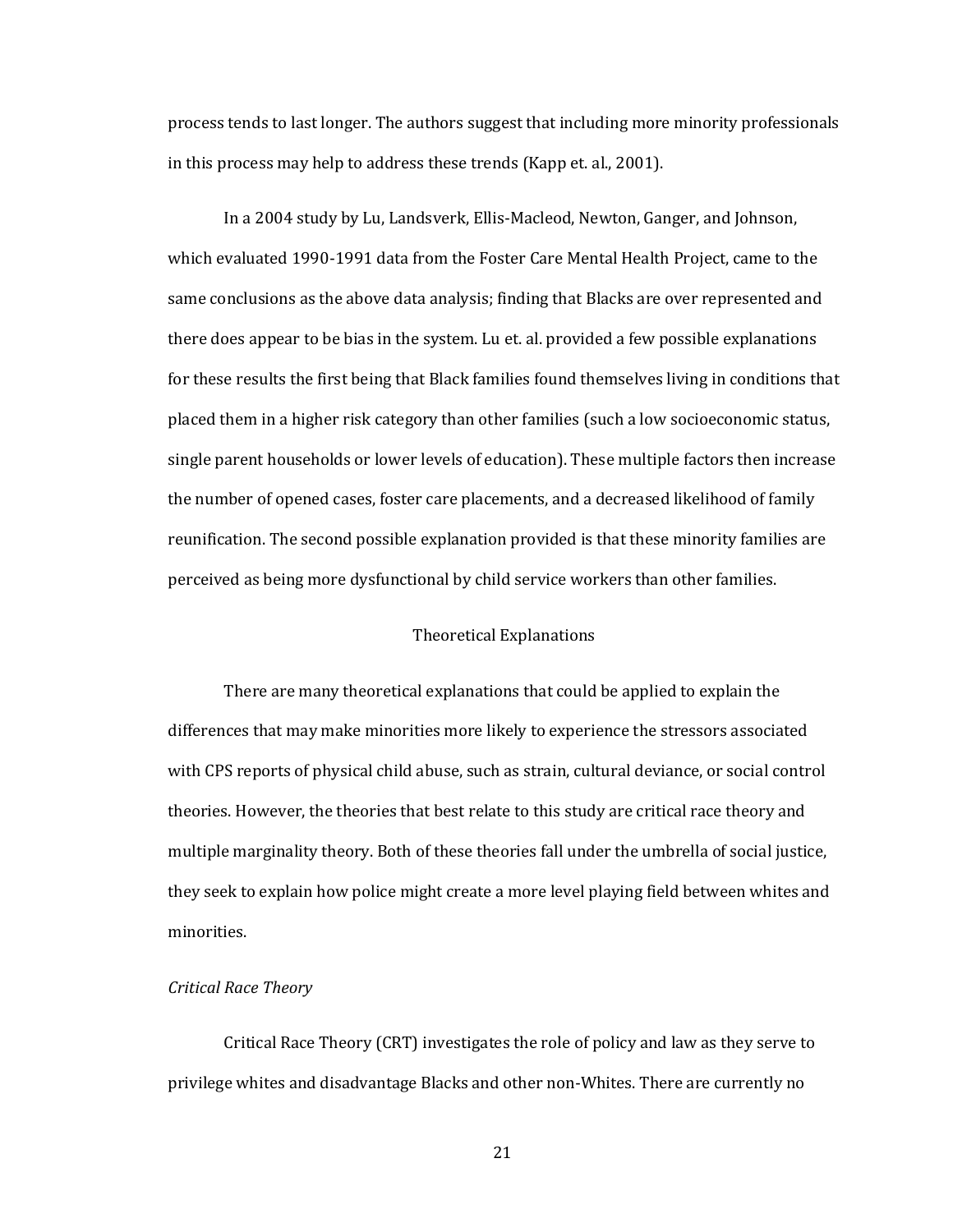process tends to last longer. The authors suggest that including more minority professionals in this process may help to address these trends (Kapp et. al., 2001).

In a 2004 study by Lu, Landsverk, Ellis-Macleod, Newton, Ganger, and Johnson, which evaluated 1990-1991 data from the Foster Care Mental Health Project, came to the same conclusions as the above data analysis; finding that Blacks are over represented and there does appear to be bias in the system. Lu et. al. provided a few possible explanations for these results the first being that Black families found themselves living in conditions that placed them in a higher risk category than other families (such a low socioeconomic status, single parent households or lower levels of education). These multiple factors then increase the number of opened cases, foster care placements, and a decreased likelihood of family reunification. The second possible explanation provided is that these minority families are perceived as being more dysfunctional by child service workers than other families.

#### Theoretical Explanations

There are many theoretical explanations that could be applied to explain the differences that may make minorities more likely to experience the stressors associated with CPS reports of physical child abuse, such as strain, cultural deviance, or social control theories. However, the theories that best relate to this study are critical race theory and multiple marginality theory. Both of these theories fall under the umbrella of social justice, they seek to explain how police might create a more level playing field between whites and minorities.

#### *Critical Race Theory*

Critical Race Theory (CRT) investigates the role of policy and law as they serve to privilege whites and disadvantage Blacks and other non-Whites. There are currently no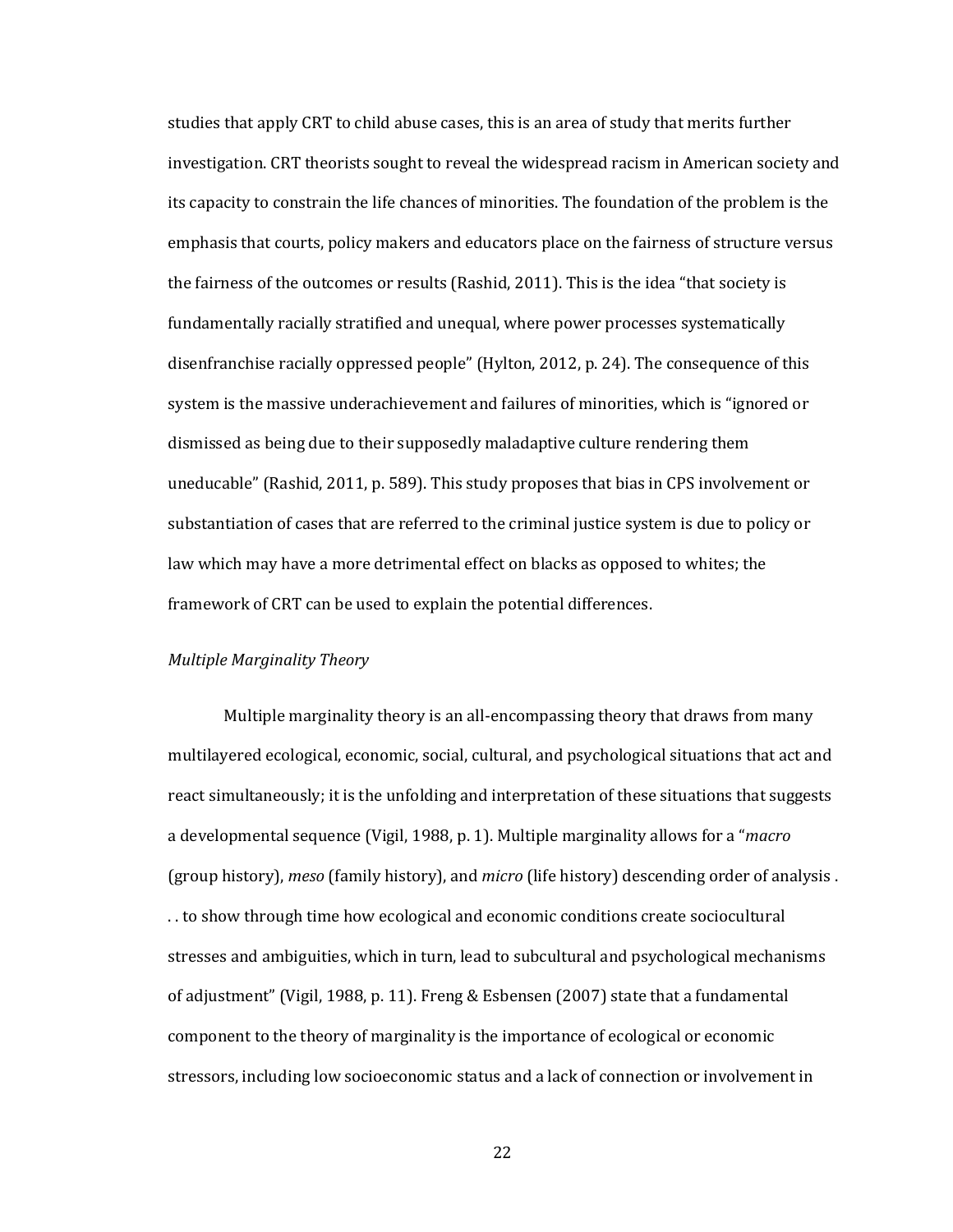studies that apply CRT to child abuse cases, this is an area of study that merits further investigation. CRT theorists sought to reveal the widespread racism in American society and its capacity to constrain the life chances of minorities. The foundation of the problem is the emphasis that courts, policy makers and educators place on the fairness of structure versus the fairness of the outcomes or results (Rashid, 2011). This is the idea "that society is fundamentally racially stratified and unequal, where power processes systematically disenfranchise racially oppressed people" (Hylton, 2012, p. 24). The consequence of this system is the massive underachievement and failures of minorities, which is "ignored or dismissed as being due to their supposedly maladaptive culture rendering them uneducable" (Rashid, 2011, p. 589). This study proposes that bias in CPS involvement or substantiation of cases that are referred to the criminal justice system is due to policy or law which may have a more detrimental effect on blacks as opposed to whites; the framework of CRT can be used to explain the potential differences.

#### *Multiple Marginality Theory*

Multiple marginality theory is an all-encompassing theory that draws from many multilayered ecological, economic, social, cultural, and psychological situations that act and react simultaneously; it is the unfolding and interpretation of these situations that suggests a developmental sequence (Vigil, 1988, p. 1). Multiple marginality allows for a "*macro* (group history), *meso* (family history), and *micro* (life history) descending order of analysis . . . to show through time how ecological and economic conditions create sociocultural stresses and ambiguities, which in turn, lead to subcultural and psychological mechanisms of adjustment" (Vigil, 1988, p. 11). Freng & Esbensen (2007) state that a fundamental component to the theory of marginality is the importance of ecological or economic stressors, including low socioeconomic status and a lack of connection or involvement in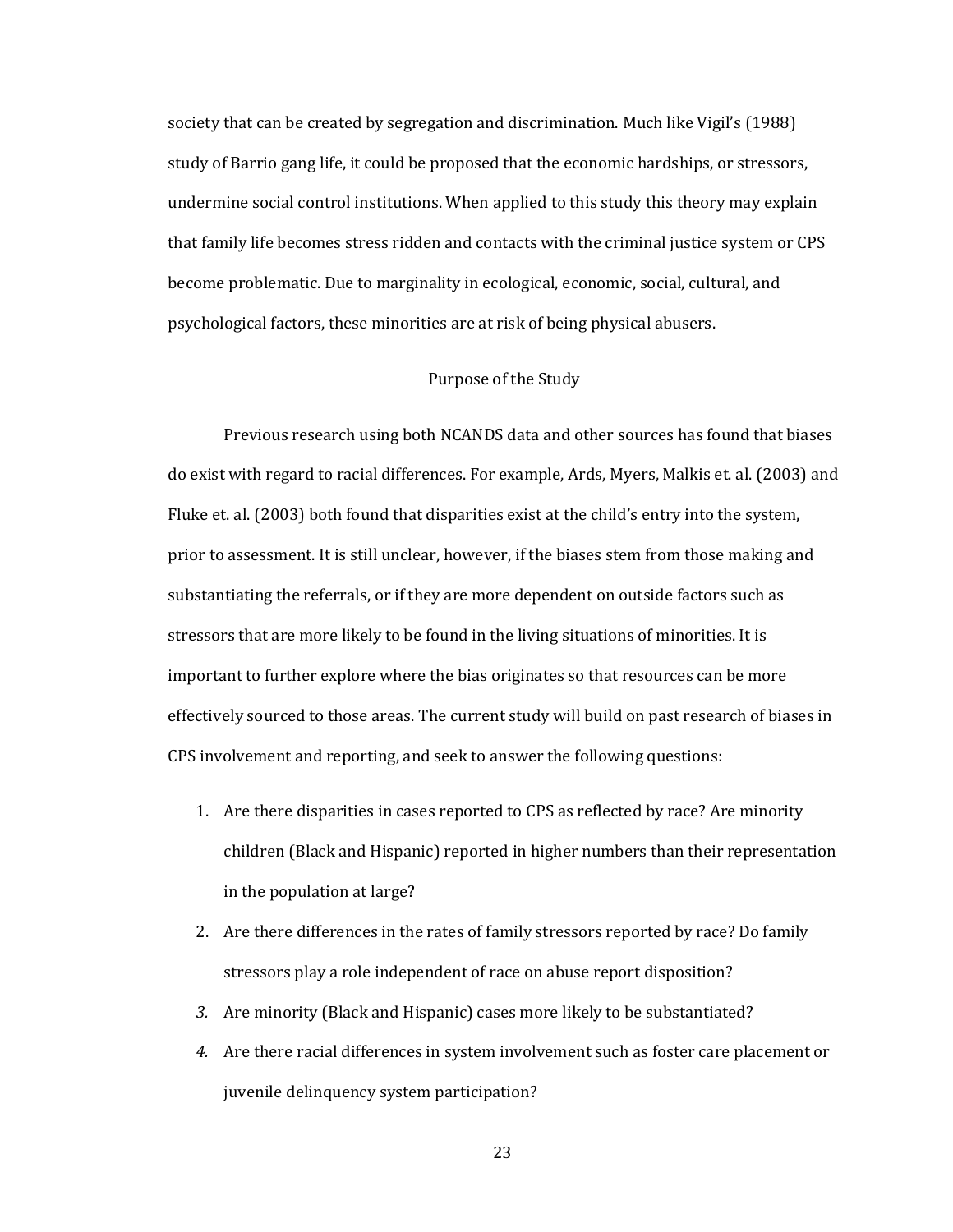society that can be created by segregation and discrimination. Much like Vigil's (1988) study of Barrio gang life, it could be proposed that the economic hardships, or stressors, undermine social control institutions. When applied to this study this theory may explain that family life becomes stress ridden and contacts with the criminal justice system or CPS become problematic. Due to marginality in ecological, economic, social, cultural, and psychological factors, these minorities are at risk of being physical abusers.

#### Purpose of the Study

Previous research using both NCANDS data and other sources has found that biases do exist with regard to racial differences. For example, Ards, Myers, Malkis et. al. (2003) and Fluke et. al. (2003) both found that disparities exist at the child's entry into the system, prior to assessment. It is still unclear, however, if the biases stem from those making and substantiating the referrals, or if they are more dependent on outside factors such as stressors that are more likely to be found in the living situations of minorities. It is important to further explore where the bias originates so that resources can be more effectively sourced to those areas. The current study will build on past research of biases in CPS involvement and reporting, and seek to answer the following questions:

- 1. Are there disparities in cases reported to CPS as reflected by race? Are minority children (Black and Hispanic) reported in higher numbers than their representation in the population at large?
- 2. Are there differences in the rates of family stressors reported by race? Do family stressors play a role independent of race on abuse report disposition?
- *3.* Are minority (Black and Hispanic) cases more likely to be substantiated?
- *4.* Are there racial differences in system involvement such as foster care placement or juvenile delinquency system participation?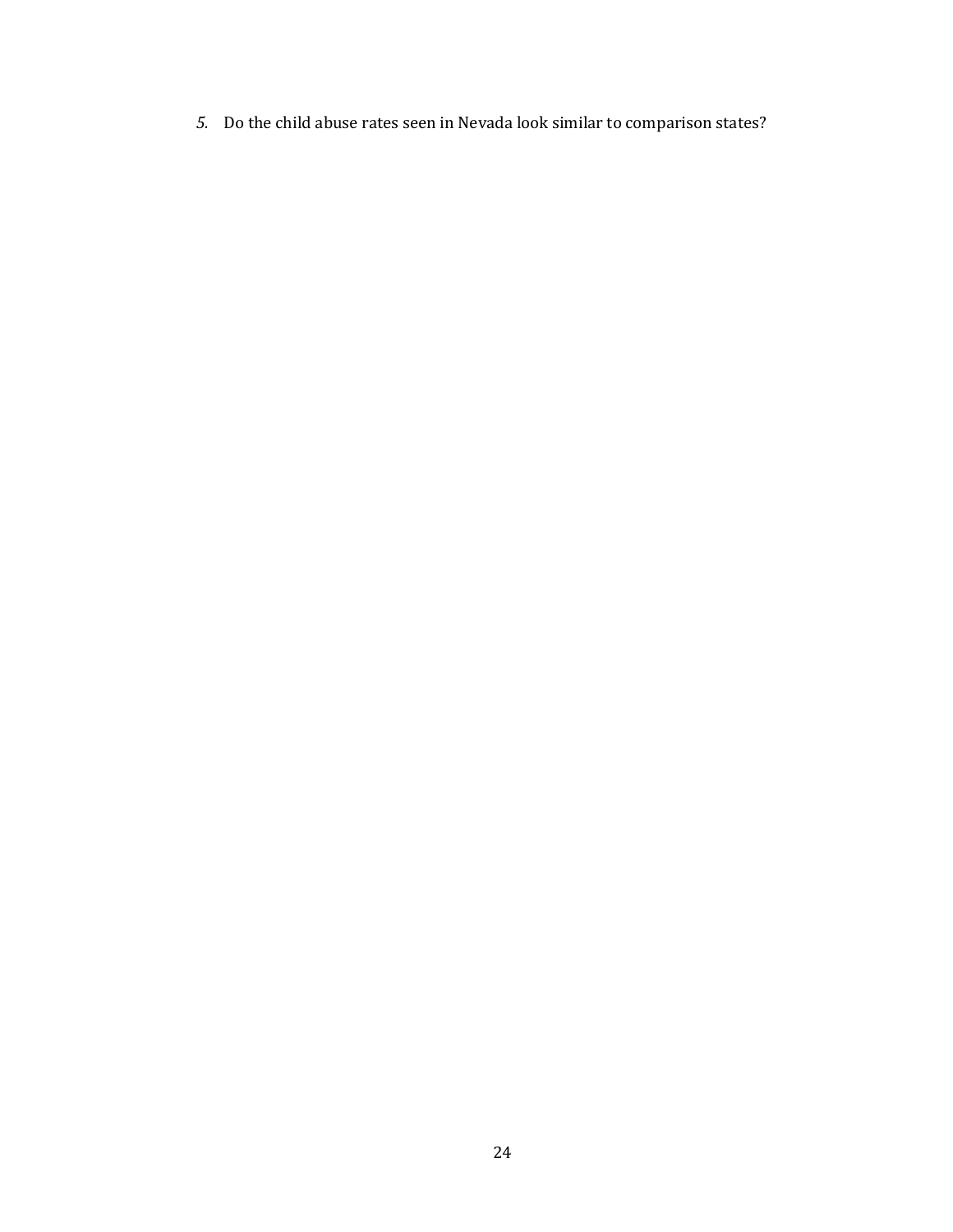*5.* Do the child abuse rates seen in Nevada look similar to comparison states?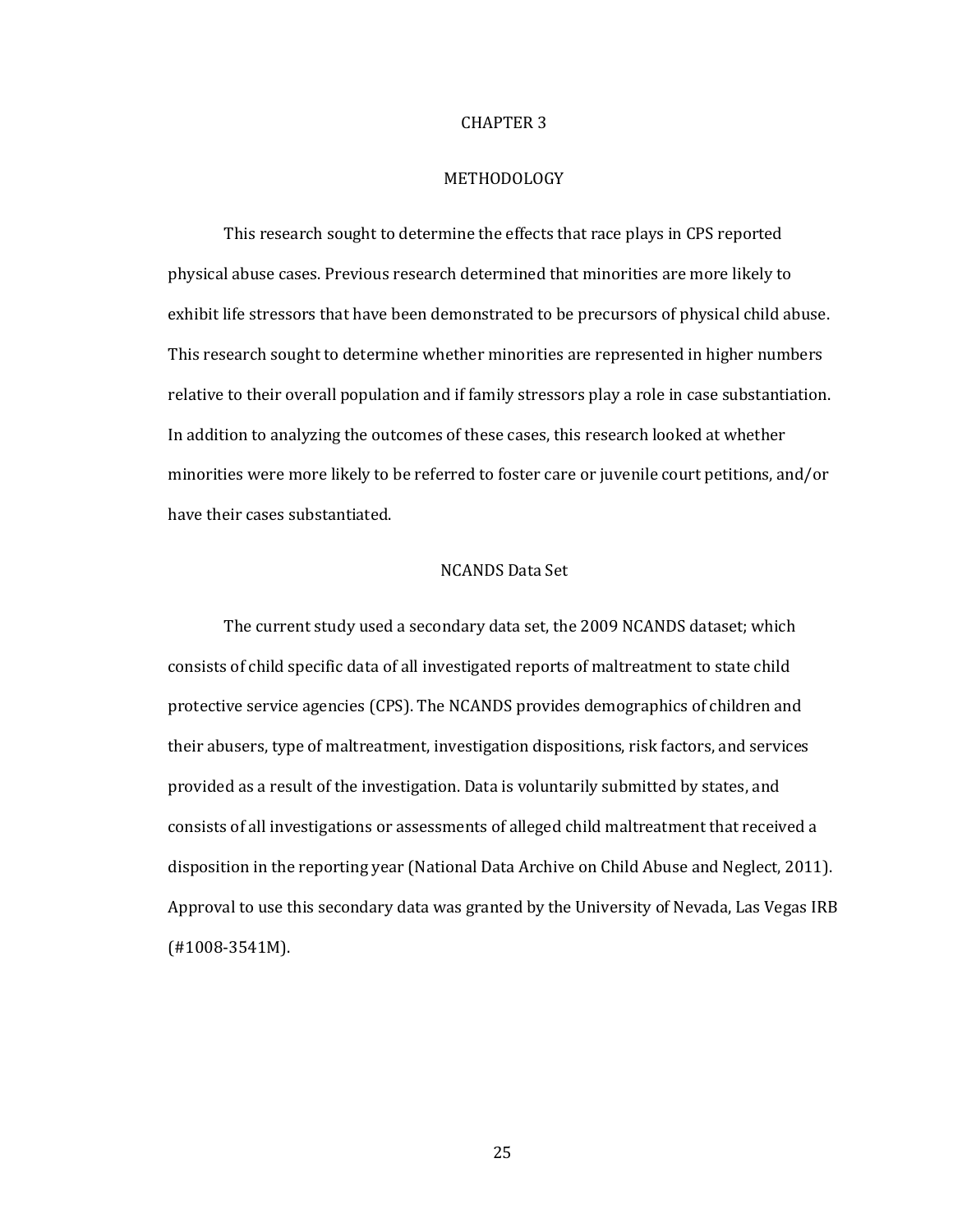#### CHAPTER 3

#### METHODOLOGY

This research sought to determine the effects that race plays in CPS reported physical abuse cases. Previous research determined that minorities are more likely to exhibit life stressors that have been demonstrated to be precursors of physical child abuse. This research sought to determine whether minorities are represented in higher numbers relative to their overall population and if family stressors play a role in case substantiation. In addition to analyzing the outcomes of these cases, this research looked at whether minorities were more likely to be referred to foster care or juvenile court petitions, and/or have their cases substantiated.

#### NCANDS Data Set

The current study used a secondary data set, the 2009 NCANDS dataset; which consists of child specific data of all investigated reports of maltreatment to state child protective service agencies (CPS). The NCANDS provides demographics of children and their abusers, type of maltreatment, investigation dispositions, risk factors, and services provided as a result of the investigation. Data is voluntarily submitted by states, and consists of all investigations or assessments of alleged child maltreatment that received a disposition in the reporting year (National Data Archive on Child Abuse and Neglect, 2011). Approval to use this secondary data was granted by the University of Nevada, Las Vegas IRB (#1008-3541M).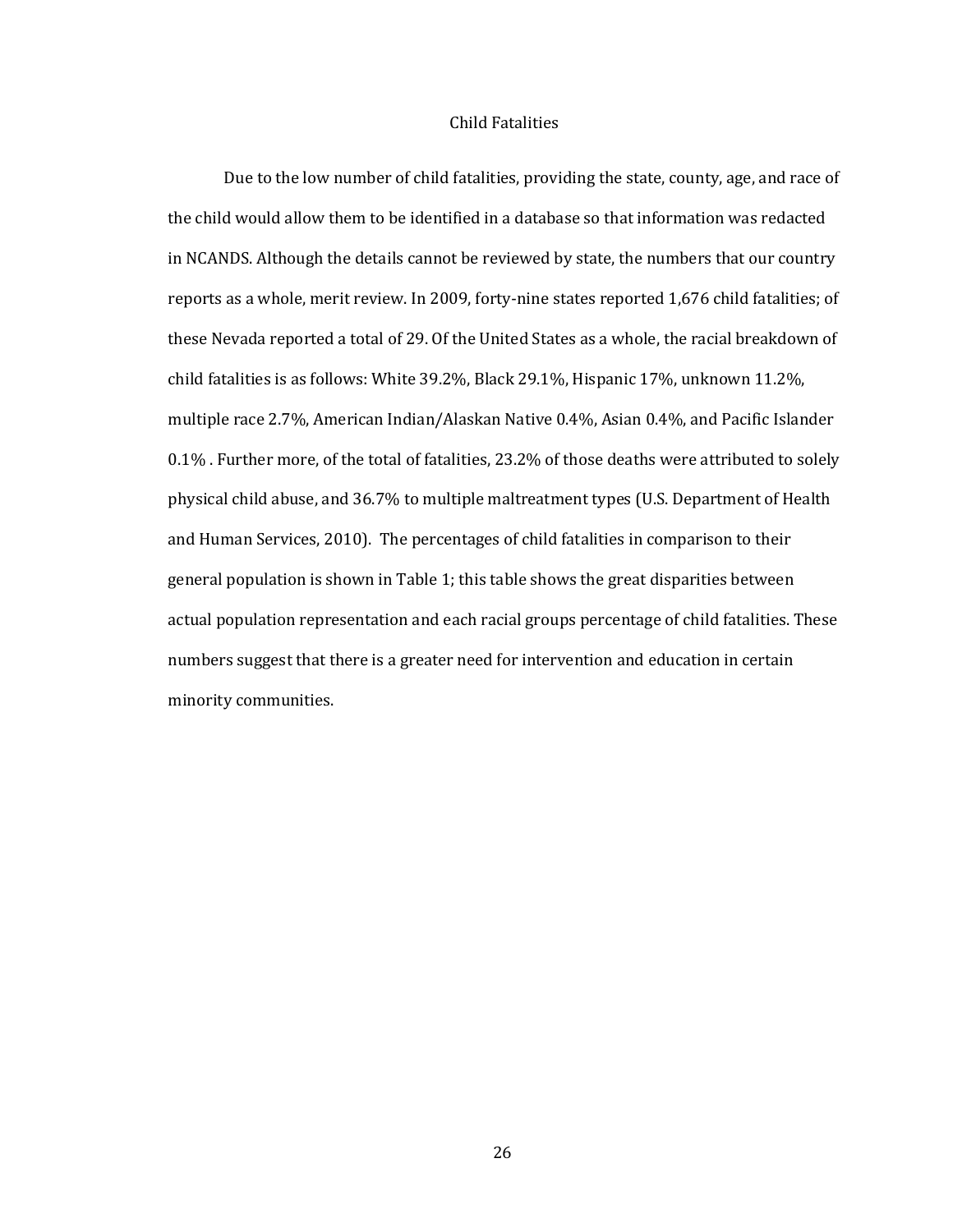#### Child Fatalities

Due to the low number of child fatalities, providing the state, county, age, and race of the child would allow them to be identified in a database so that information was redacted in NCANDS. Although the details cannot be reviewed by state, the numbers that our country reports as a whole, merit review. In 2009, forty-nine states reported 1,676 child fatalities; of these Nevada reported a total of 29. Of the United States as a whole, the racial breakdown of child fatalities is as follows: White 39.2%, Black 29.1%, Hispanic 17%, unknown 11.2%, multiple race 2.7%, American Indian/Alaskan Native 0.4%, Asian 0.4%, and Pacific Islander 0.1% . Further more, of the total of fatalities, 23.2% of those deaths were attributed to solely physical child abuse, and 36.7% to multiple maltreatment types (U.S. Department of Health and Human Services, 2010). The percentages of child fatalities in comparison to their general population is shown in Table 1; this table shows the great disparities between actual population representation and each racial groups percentage of child fatalities. These numbers suggest that there is a greater need for intervention and education in certain minority communities.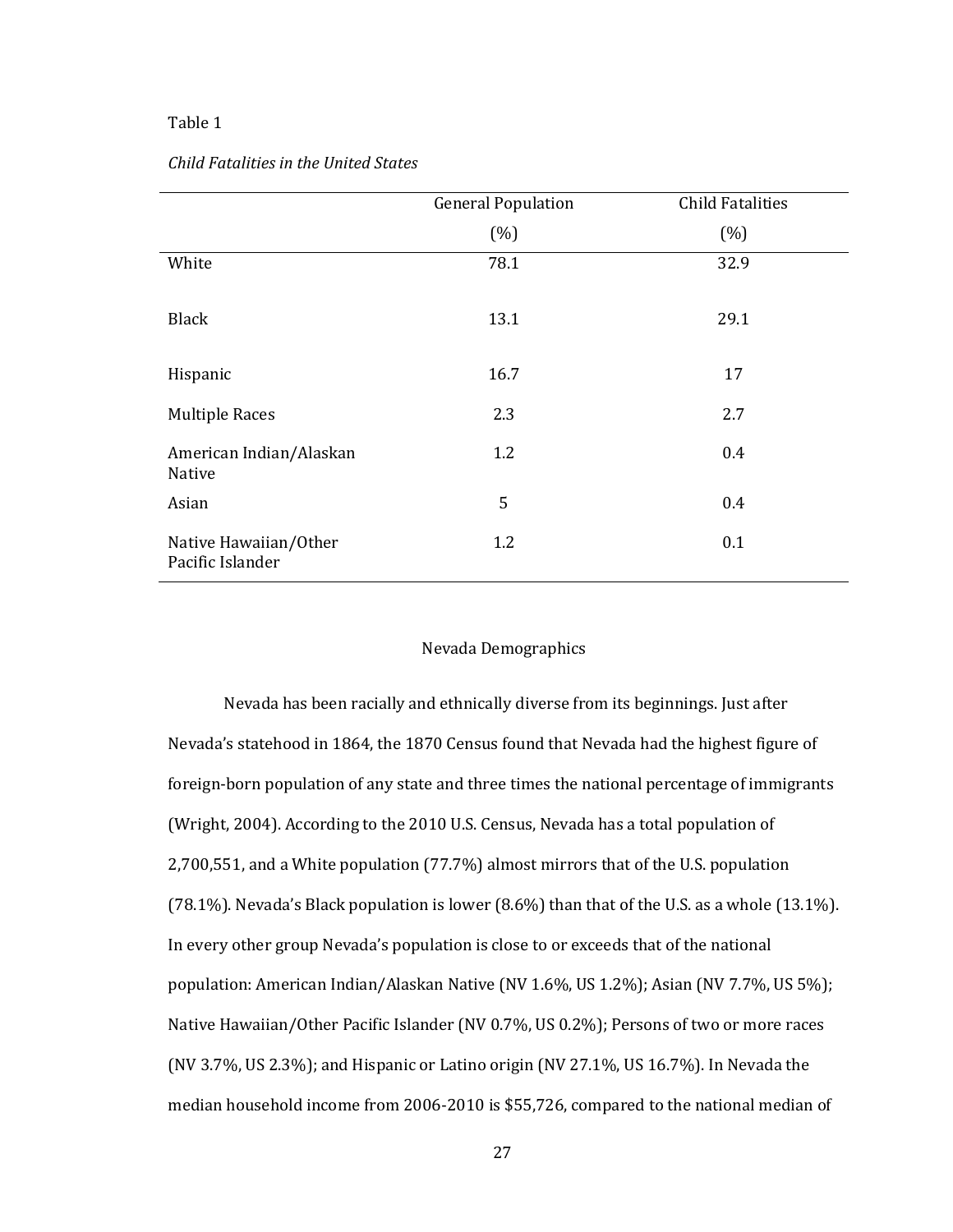#### Table 1

| Child Fatalities in the United States |  |
|---------------------------------------|--|
|---------------------------------------|--|

|                                           | <b>General Population</b> | <b>Child Fatalities</b> |
|-------------------------------------------|---------------------------|-------------------------|
|                                           | (% )                      | (% )                    |
| White                                     | 78.1                      | 32.9                    |
| <b>Black</b>                              | 13.1                      | 29.1                    |
| Hispanic                                  | 16.7                      | 17                      |
| <b>Multiple Races</b>                     | 2.3                       | 2.7                     |
| American Indian/Alaskan<br>Native         | 1.2                       | 0.4                     |
| Asian                                     | 5                         | 0.4                     |
| Native Hawaiian/Other<br>Pacific Islander | 1.2                       | 0.1                     |

#### Nevada Demographics

Nevada has been racially and ethnically diverse from its beginnings. Just after Nevada's statehood in 1864, the 1870 Census found that Nevada had the highest figure of foreign-born population of any state and three times the national percentage of immigrants (Wright, 2004). According to the 2010 U.S. Census, Nevada has a total population of 2,700,551, and a White population (77.7%) almost mirrors that of the U.S. population (78.1%). Nevada's Black population is lower (8.6%) than that of the U.S. as a whole (13.1%). In every other group Nevada's population is close to or exceeds that of the national population: American Indian/Alaskan Native (NV 1.6%, US 1.2%); Asian (NV 7.7%, US 5%); Native Hawaiian/Other Pacific Islander (NV 0.7%, US 0.2%); Persons of two or more races (NV 3.7%, US 2.3%); and Hispanic or Latino origin (NV 27.1%, US 16.7%). In Nevada the median household income from 2006-2010 is \$55,726, compared to the national median of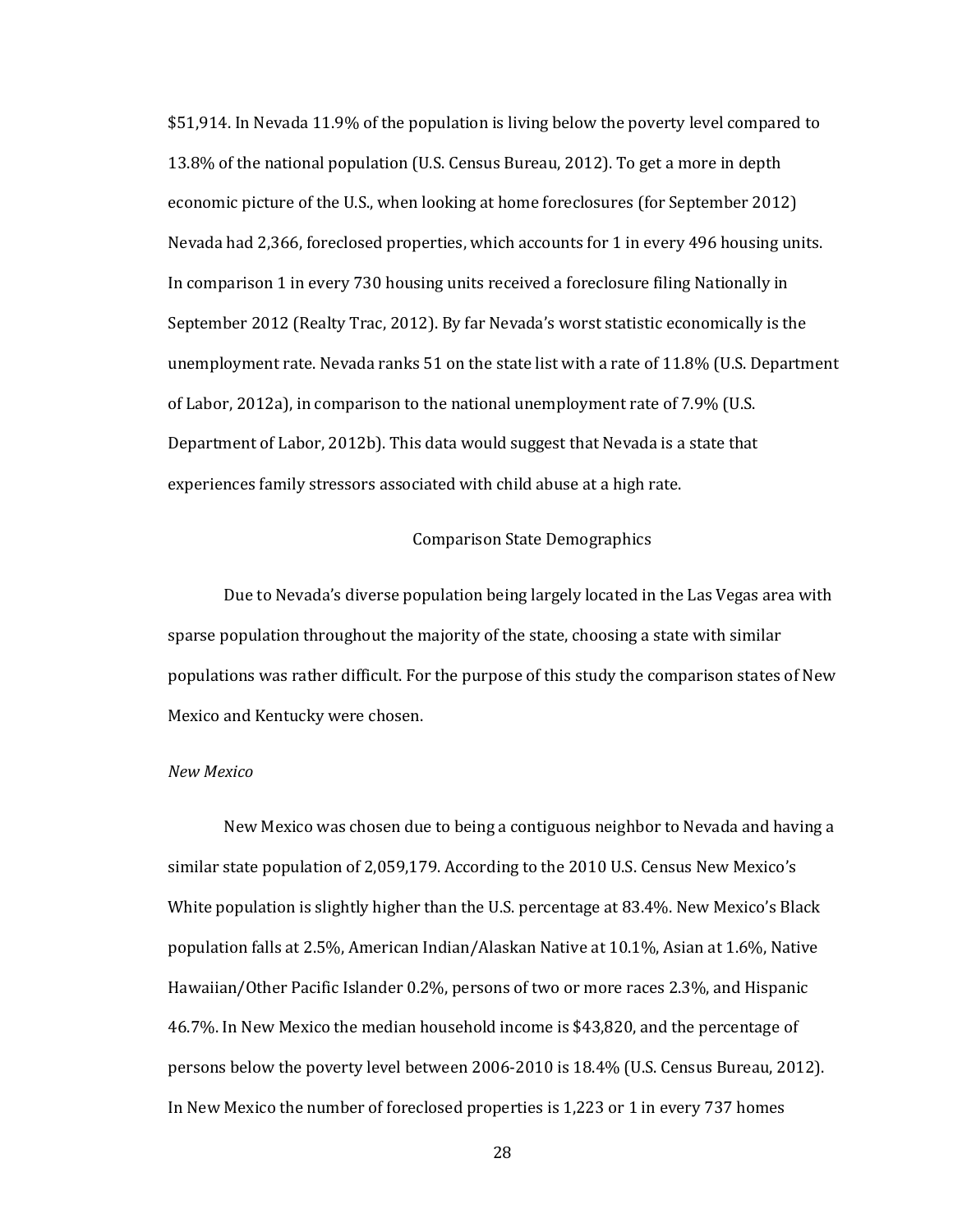\$51,914. In Nevada 11.9% of the population is living below the poverty level compared to 13.8% of the national population (U.S. Census Bureau, 2012). To get a more in depth economic picture of the U.S., when looking at home foreclosures (for September 2012) Nevada had 2,366, foreclosed properties, which accounts for 1 in every 496 housing units. In comparison 1 in every 730 housing units received a foreclosure filing Nationally in September 2012 (Realty Trac, 2012). By far Nevada's worst statistic economically is the unemployment rate. Nevada ranks 51 on the state list with a rate of 11.8% (U.S. Department of Labor, 2012a), in comparison to the national unemployment rate of 7.9% (U.S. Department of Labor, 2012b). This data would suggest that Nevada is a state that experiences family stressors associated with child abuse at a high rate.

# Comparison State Demographics

Due to Nevada's diverse population being largely located in the Las Vegas area with sparse population throughout the majority of the state, choosing a state with similar populations was rather difficult. For the purpose of this study the comparison states of New Mexico and Kentucky were chosen.

### *New Mexico*

New Mexico was chosen due to being a contiguous neighbor to Nevada and having a similar state population of 2,059,179. According to the 2010 U.S. Census New Mexico's White population is slightly higher than the U.S. percentage at 83.4%. New Mexico's Black population falls at 2.5%, American Indian/Alaskan Native at 10.1%, Asian at 1.6%, Native Hawaiian/Other Pacific Islander 0.2%, persons of two or more races 2.3%, and Hispanic 46.7%. In New Mexico the median household income is \$43,820, and the percentage of persons below the poverty level between 2006-2010 is 18.4% (U.S. Census Bureau, 2012). In New Mexico the number of foreclosed properties is 1,223 or 1 in every 737 homes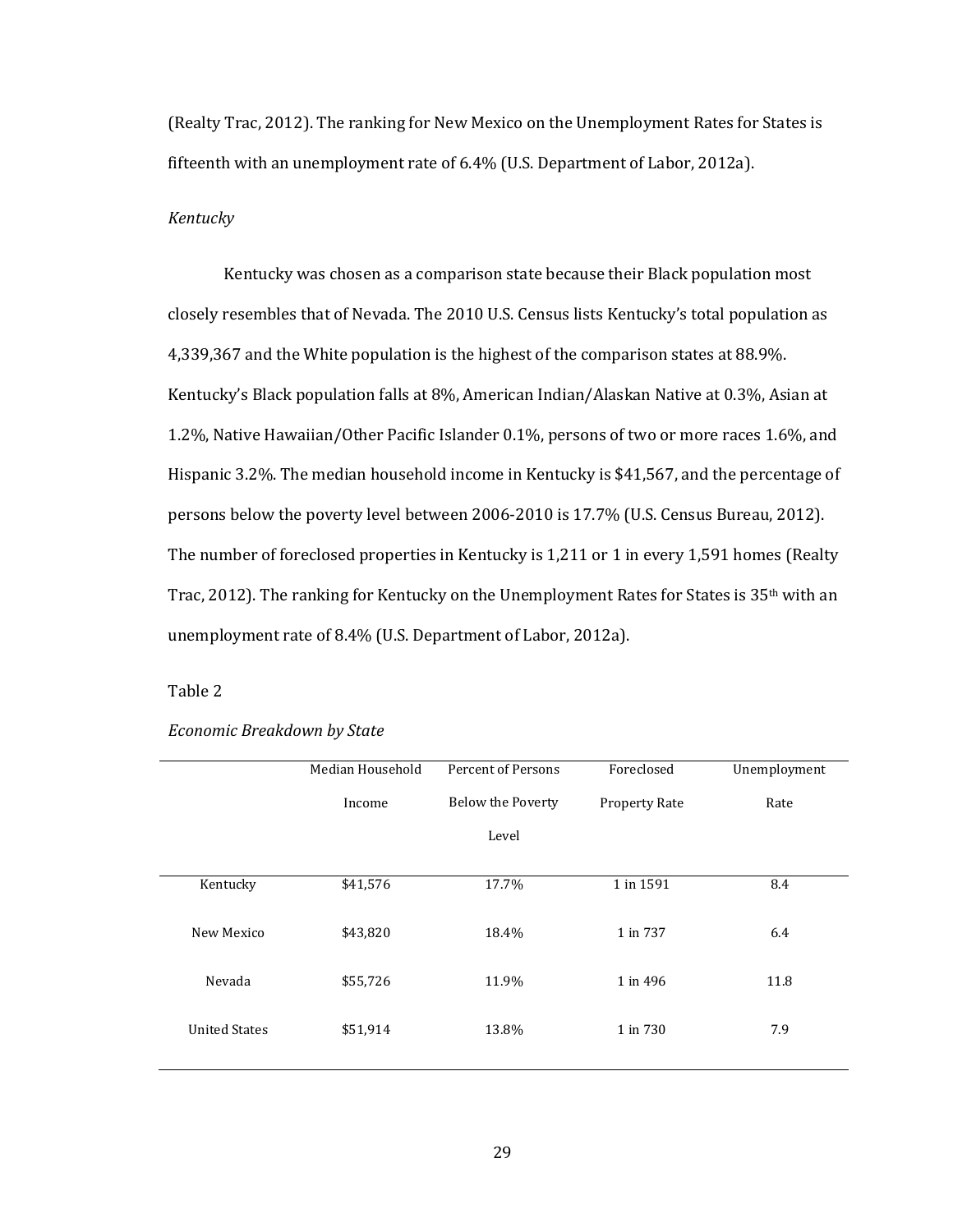(Realty Trac, 2012). The ranking for New Mexico on the Unemployment Rates for States is fifteenth with an unemployment rate of 6.4% (U.S. Department of Labor, 2012a).

# *Kentucky*

Kentucky was chosen as a comparison state because their Black population most closely resembles that of Nevada. The 2010 U.S. Census lists Kentucky's total population as 4,339,367 and the White population is the highest of the comparison states at 88.9%. Kentucky's Black population falls at 8%, American Indian/Alaskan Native at 0.3%, Asian at 1.2%, Native Hawaiian/Other Pacific Islander 0.1%, persons of two or more races 1.6%, and Hispanic 3.2%. The median household income in Kentucky is \$41,567, and the percentage of persons below the poverty level between 2006-2010 is 17.7% (U.S. Census Bureau, 2012). The number of foreclosed properties in Kentucky is 1,211 or 1 in every 1,591 homes (Realty Trac, 2012). The ranking for Kentucky on the Unemployment Rates for States is  $35<sup>th</sup>$  with an unemployment rate of 8.4% (U.S. Department of Labor, 2012a).

### Table 2

|                      | Median Household | Percent of Persons | Foreclosed           | Unemployment |
|----------------------|------------------|--------------------|----------------------|--------------|
|                      | Income           | Below the Poverty  | <b>Property Rate</b> | Rate         |
|                      |                  | Level              |                      |              |
|                      |                  |                    |                      |              |
| Kentucky             | \$41,576         | 17.7%              | 1 in 1591            | 8.4          |
|                      |                  |                    |                      |              |
| New Mexico           | \$43,820         | 18.4%              | 1 in 737             | 6.4          |
|                      |                  |                    |                      |              |
| Nevada               | \$55,726         | 11.9%              | 1 in 496             | 11.8         |
|                      |                  |                    |                      |              |
| <b>United States</b> | \$51,914         | 13.8%              | 1 in 730             | 7.9          |
|                      |                  |                    |                      |              |

### *Economic Breakdown by State*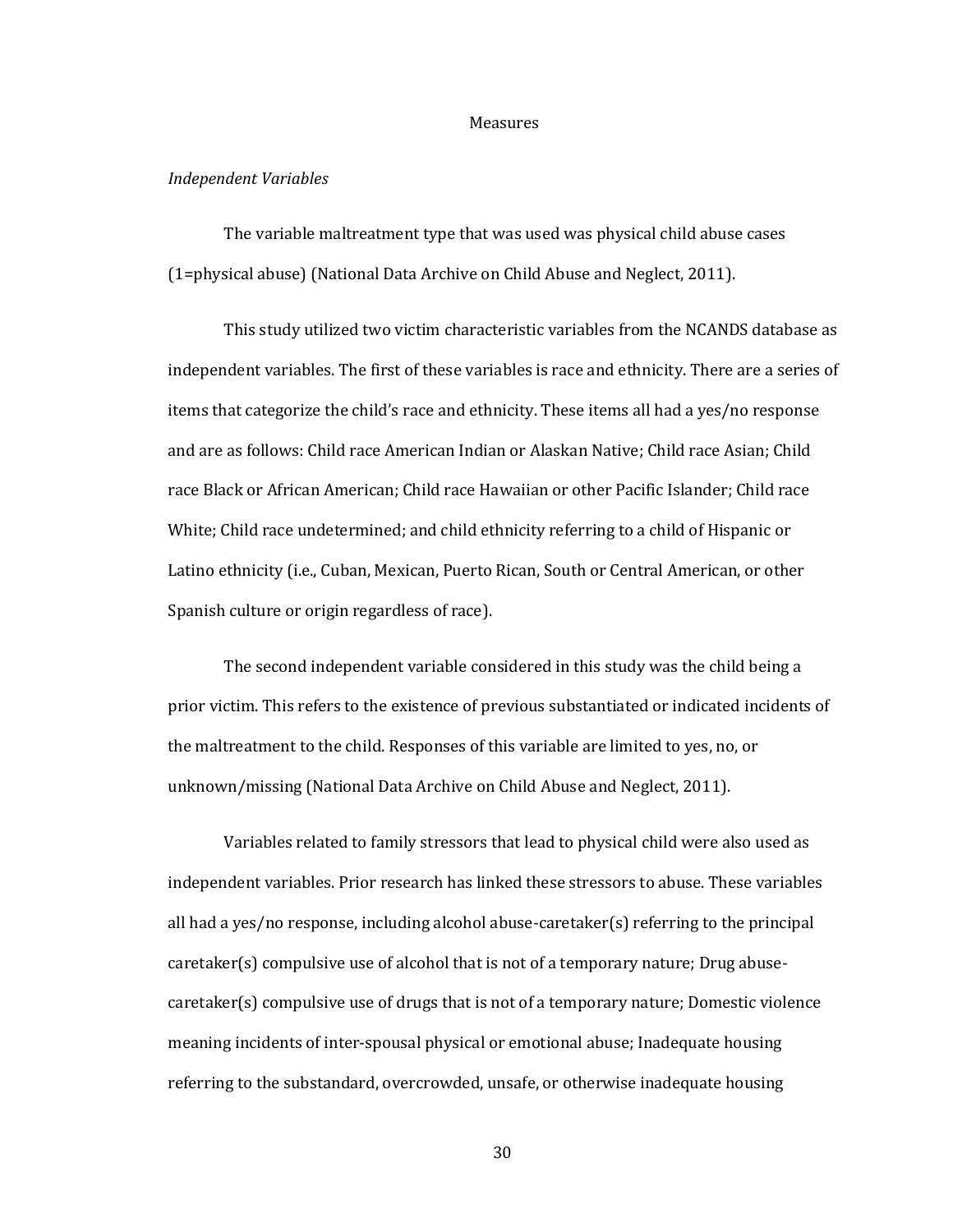#### Measures

# *Independent Variables*

The variable maltreatment type that was used was physical child abuse cases (1=physical abuse) (National Data Archive on Child Abuse and Neglect, 2011).

This study utilized two victim characteristic variables from the NCANDS database as independent variables. The first of these variables is race and ethnicity. There are a series of items that categorize the child's race and ethnicity. These items all had a yes/no response and are as follows: Child race American Indian or Alaskan Native; Child race Asian; Child race Black or African American; Child race Hawaiian or other Pacific Islander; Child race White; Child race undetermined; and child ethnicity referring to a child of Hispanic or Latino ethnicity (i.e., Cuban, Mexican, Puerto Rican, South or Central American, or other Spanish culture or origin regardless of race).

The second independent variable considered in this study was the child being a prior victim. This refers to the existence of previous substantiated or indicated incidents of the maltreatment to the child. Responses of this variable are limited to yes, no, or unknown/missing (National Data Archive on Child Abuse and Neglect, 2011).

Variables related to family stressors that lead to physical child were also used as independent variables. Prior research has linked these stressors to abuse. These variables all had a yes/no response, including alcohol abuse-caretaker(s) referring to the principal caretaker(s) compulsive use of alcohol that is not of a temporary nature; Drug abusecaretaker(s) compulsive use of drugs that is not of a temporary nature; Domestic violence meaning incidents of inter-spousal physical or emotional abuse; Inadequate housing referring to the substandard, overcrowded, unsafe, or otherwise inadequate housing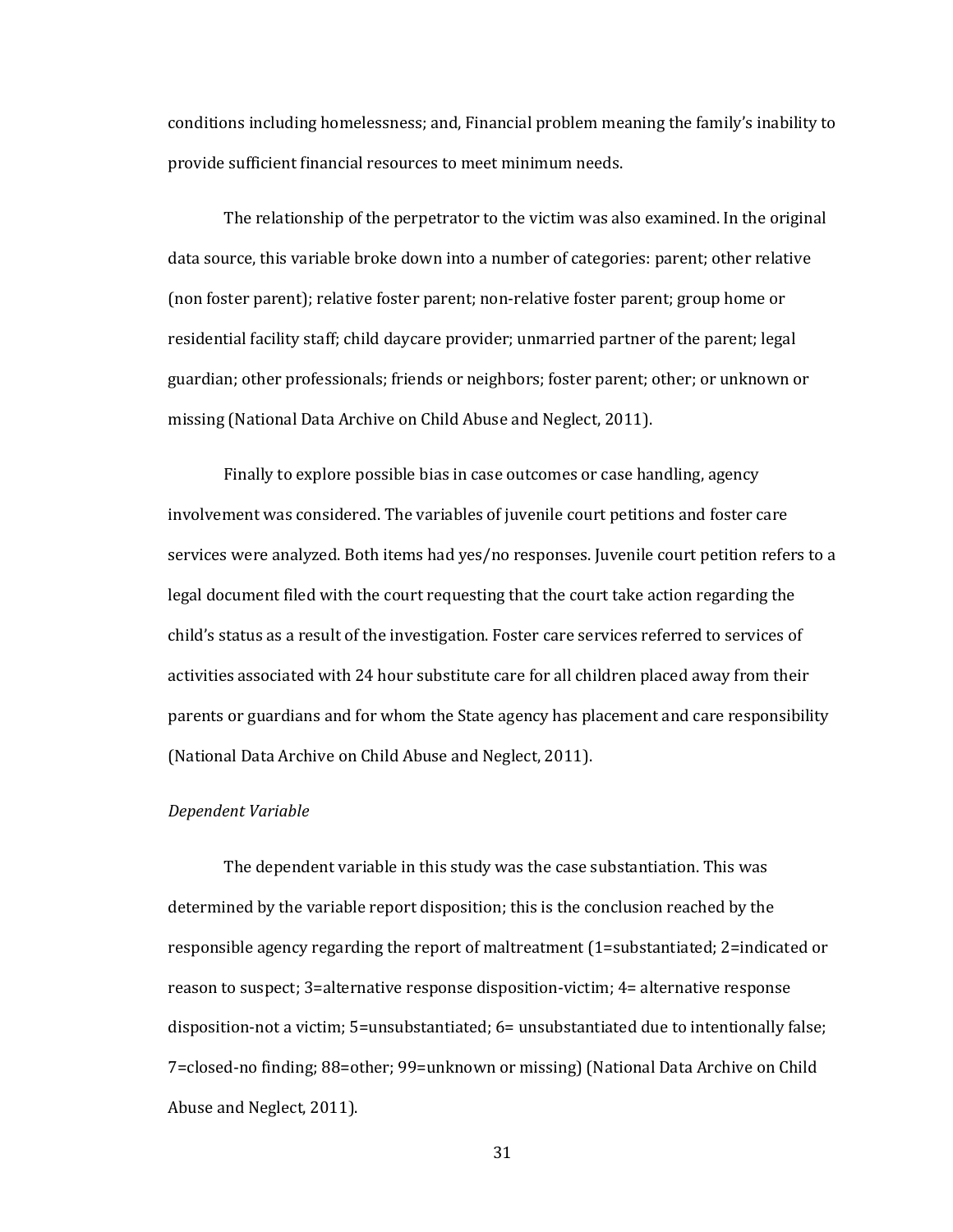conditions including homelessness; and, Financial problem meaning the family's inability to provide sufficient financial resources to meet minimum needs.

The relationship of the perpetrator to the victim was also examined. In the original data source, this variable broke down into a number of categories: parent; other relative (non foster parent); relative foster parent; non-relative foster parent; group home or residential facility staff; child daycare provider; unmarried partner of the parent; legal guardian; other professionals; friends or neighbors; foster parent; other; or unknown or missing (National Data Archive on Child Abuse and Neglect, 2011).

Finally to explore possible bias in case outcomes or case handling, agency involvement was considered. The variables of juvenile court petitions and foster care services were analyzed. Both items had yes/no responses. Juvenile court petition refers to a legal document filed with the court requesting that the court take action regarding the child's status as a result of the investigation. Foster care services referred to services of activities associated with 24 hour substitute care for all children placed away from their parents or guardians and for whom the State agency has placement and care responsibility (National Data Archive on Child Abuse and Neglect, 2011).

### *Dependent Variable*

The dependent variable in this study was the case substantiation. This was determined by the variable report disposition; this is the conclusion reached by the responsible agency regarding the report of maltreatment (1=substantiated; 2=indicated or reason to suspect; 3=alternative response disposition-victim; 4= alternative response disposition-not a victim; 5=unsubstantiated; 6= unsubstantiated due to intentionally false; 7=closed-no finding; 88=other; 99=unknown or missing) (National Data Archive on Child Abuse and Neglect, 2011).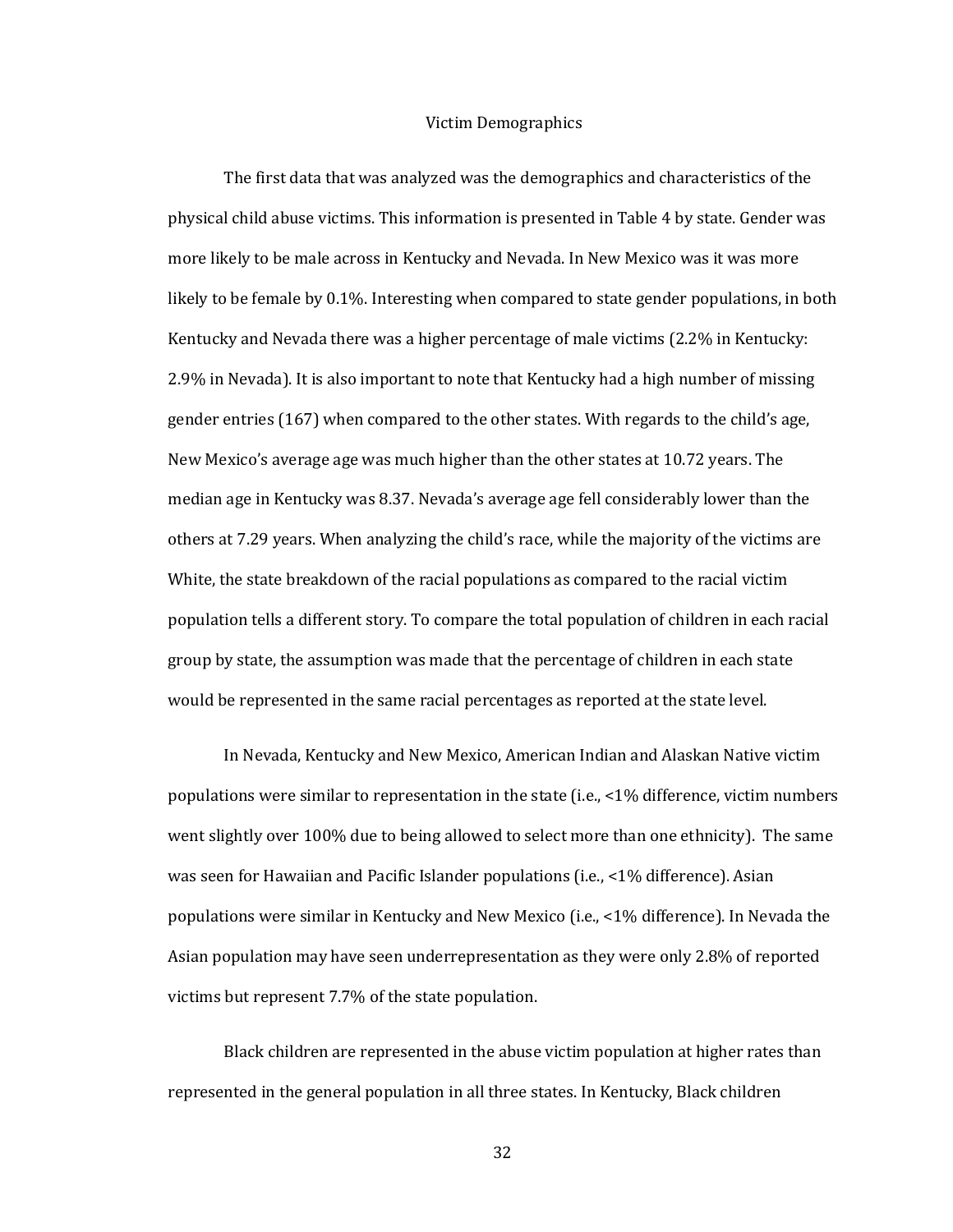#### Victim Demographics

The first data that was analyzed was the demographics and characteristics of the physical child abuse victims. This information is presented in Table 4 by state. Gender was more likely to be male across in Kentucky and Nevada. In New Mexico was it was more likely to be female by 0.1%. Interesting when compared to state gender populations, in both Kentucky and Nevada there was a higher percentage of male victims (2.2% in Kentucky: 2.9% in Nevada). It is also important to note that Kentucky had a high number of missing gender entries (167) when compared to the other states. With regards to the child's age, New Mexico's average age was much higher than the other states at 10.72 years. The median age in Kentucky was 8.37. Nevada's average age fell considerably lower than the others at 7.29 years. When analyzing the child's race, while the majority of the victims are White, the state breakdown of the racial populations as compared to the racial victim population tells a different story. To compare the total population of children in each racial group by state, the assumption was made that the percentage of children in each state would be represented in the same racial percentages as reported at the state level.

In Nevada, Kentucky and New Mexico, American Indian and Alaskan Native victim populations were similar to representation in the state (i.e., <1% difference, victim numbers went slightly over 100% due to being allowed to select more than one ethnicity). The same was seen for Hawaiian and Pacific Islander populations (i.e., <1% difference). Asian populations were similar in Kentucky and New Mexico (i.e., <1% difference). In Nevada the Asian population may have seen underrepresentation as they were only 2.8% of reported victims but represent 7.7% of the state population.

Black children are represented in the abuse victim population at higher rates than represented in the general population in all three states. In Kentucky, Black children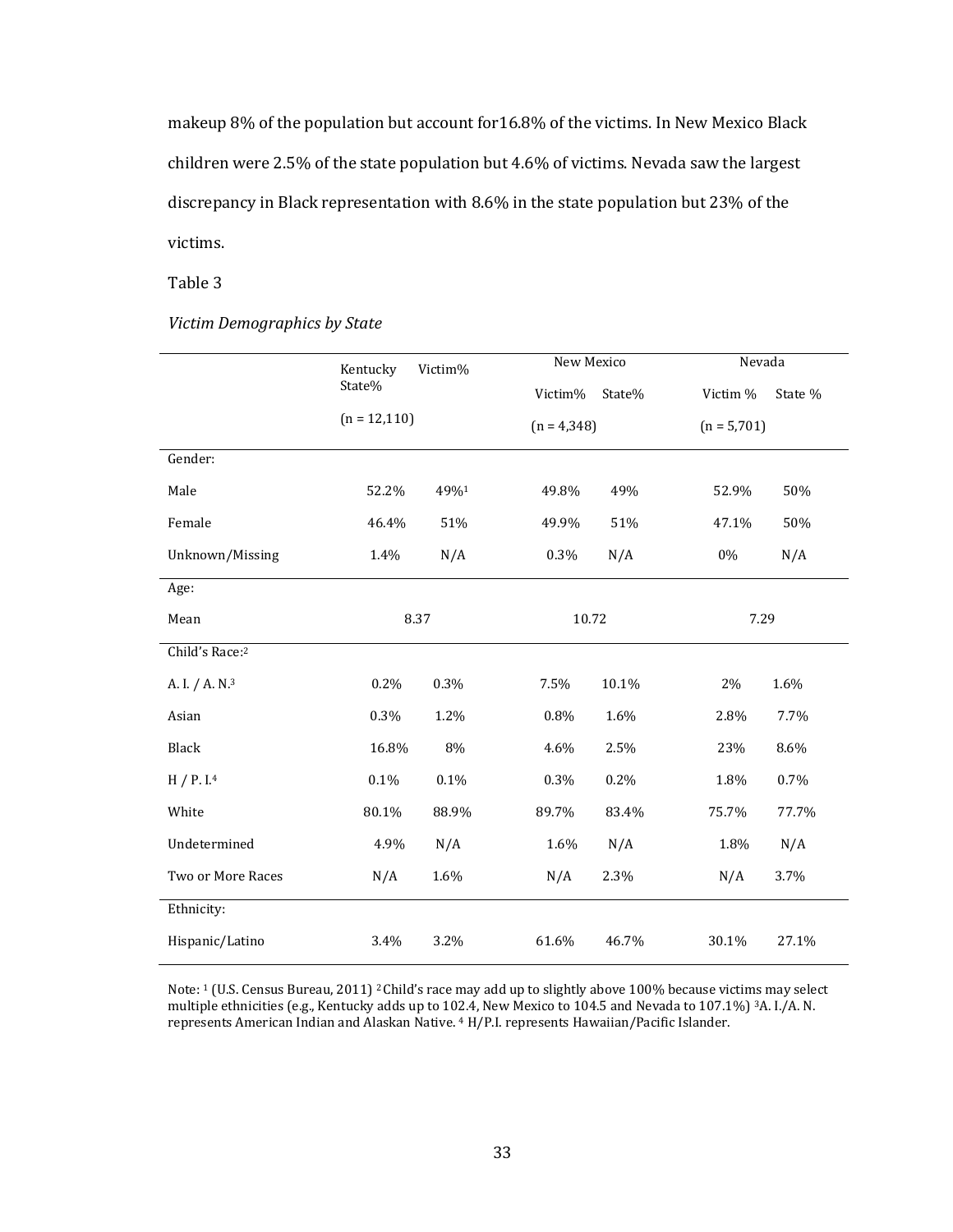makeup 8% of the population but account for16.8% of the victims. In New Mexico Black children were 2.5% of the state population but 4.6% of victims. Nevada saw the largest discrepancy in Black representation with 8.6% in the state population but 23% of the victims.

Table 3

|                            | Kentucky        | Victim% | New Mexico    |        | Nevada        |         |
|----------------------------|-----------------|---------|---------------|--------|---------------|---------|
|                            | State%          |         | Victim%       | State% | Victim %      | State % |
|                            | $(n = 12, 110)$ |         | $(n = 4,348)$ |        | $(n = 5,701)$ |         |
| Gender:                    |                 |         |               |        |               |         |
| Male                       | 52.2%           | 49%1    | 49.8%         | 49%    | 52.9%         | 50%     |
| Female                     | 46.4%           | 51%     | 49.9%         | 51%    | 47.1%         | 50%     |
| Unknown/Missing            | 1.4%            | N/A     | 0.3%          | N/A    | 0%            | N/A     |
| Age:                       |                 |         |               |        |               |         |
| Mean                       |                 | 8.37    | 10.72         |        | 7.29          |         |
| Child's Race:2             |                 |         |               |        |               |         |
| A. I. / A. N. <sup>3</sup> | 0.2%            | 0.3%    | 7.5%          | 10.1%  | 2%            | 1.6%    |
| Asian                      | 0.3%            | 1.2%    | 0.8%          | 1.6%   | 2.8%          | 7.7%    |
| Black                      | 16.8%           | 8%      | 4.6%          | 2.5%   | 23%           | 8.6%    |
| H / P. I. <sup>4</sup>     | 0.1%            | 0.1%    | 0.3%          | 0.2%   | 1.8%          | 0.7%    |
| White                      | 80.1%           | 88.9%   | 89.7%         | 83.4%  | 75.7%         | 77.7%   |
| Undetermined               | 4.9%            | N/A     | 1.6%          | N/A    | 1.8%          | N/A     |
| Two or More Races          | N/A             | 1.6%    | N/A           | 2.3%   | N/A           | 3.7%    |
| Ethnicity:                 |                 |         |               |        |               |         |
| Hispanic/Latino            | 3.4%            | 3.2%    | 61.6%         | 46.7%  | 30.1%         | 27.1%   |

### *Victim Demographics by State*

Note: <sup>1</sup> (U.S. Census Bureau, 2011) <sup>2</sup> Child's race may add up to slightly above 100% because victims may select multiple ethnicities (e.g., Kentucky adds up to 102.4, New Mexico to 104.5 and Nevada to 107.1%) 3A. I./A. N. represents American Indian and Alaskan Native. <sup>4</sup> H/P.I. represents Hawaiian/Pacific Islander.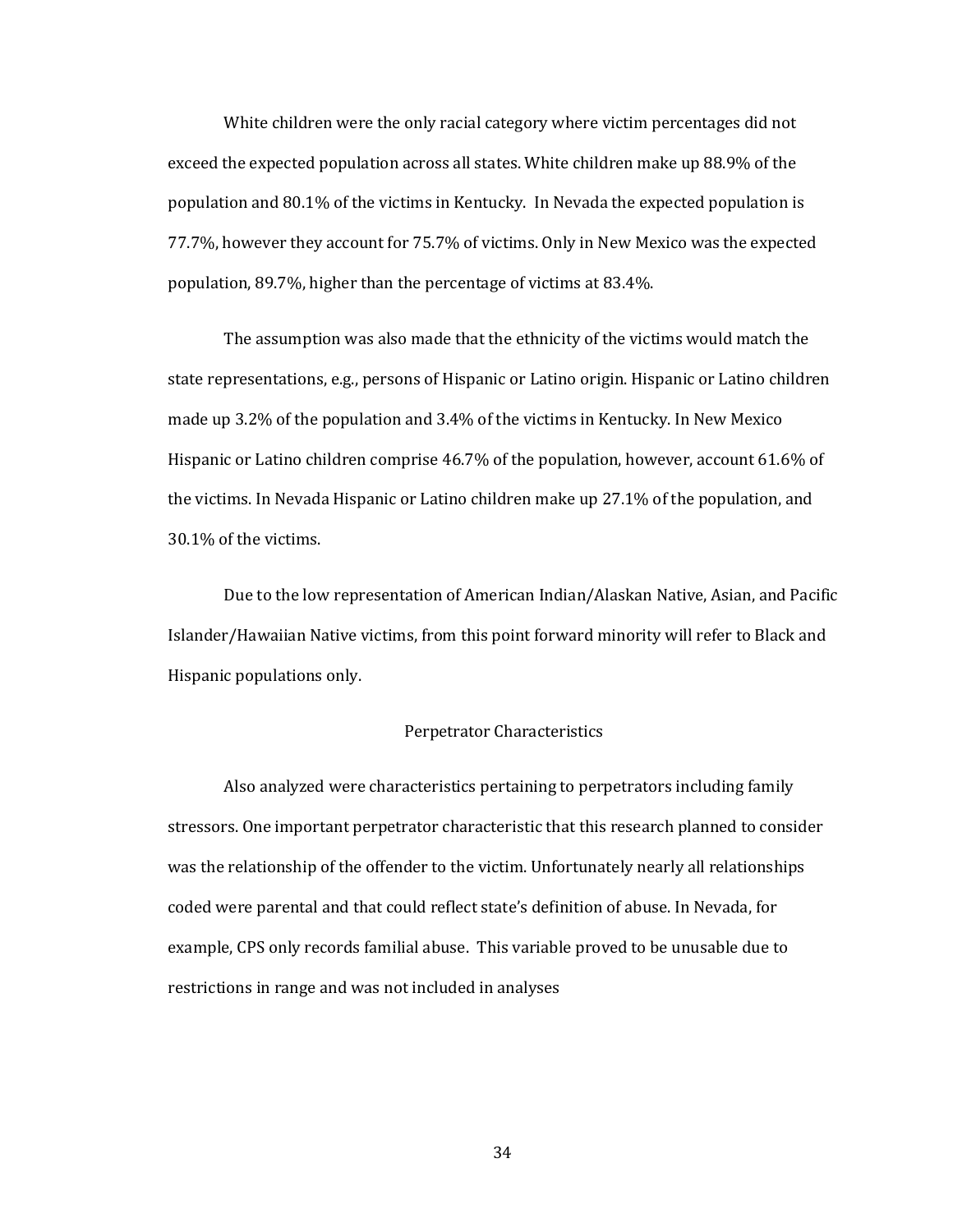White children were the only racial category where victim percentages did not exceed the expected population across all states. White children make up 88.9% of the population and 80.1% of the victims in Kentucky. In Nevada the expected population is 77.7%, however they account for 75.7% of victims. Only in New Mexico was the expected population, 89.7%, higher than the percentage of victims at 83.4%.

The assumption was also made that the ethnicity of the victims would match the state representations, e.g., persons of Hispanic or Latino origin. Hispanic or Latino children made up 3.2% of the population and 3.4% of the victims in Kentucky. In New Mexico Hispanic or Latino children comprise 46.7% of the population, however, account 61.6% of the victims. In Nevada Hispanic or Latino children make up 27.1% of the population, and 30.1% of the victims.

Due to the low representation of American Indian/Alaskan Native, Asian, and Pacific Islander/Hawaiian Native victims, from this point forward minority will refer to Black and Hispanic populations only.

## Perpetrator Characteristics

Also analyzed were characteristics pertaining to perpetrators including family stressors. One important perpetrator characteristic that this research planned to consider was the relationship of the offender to the victim. Unfortunately nearly all relationships coded were parental and that could reflect state's definition of abuse. In Nevada, for example, CPS only records familial abuse. This variable proved to be unusable due to restrictions in range and was not included in analyses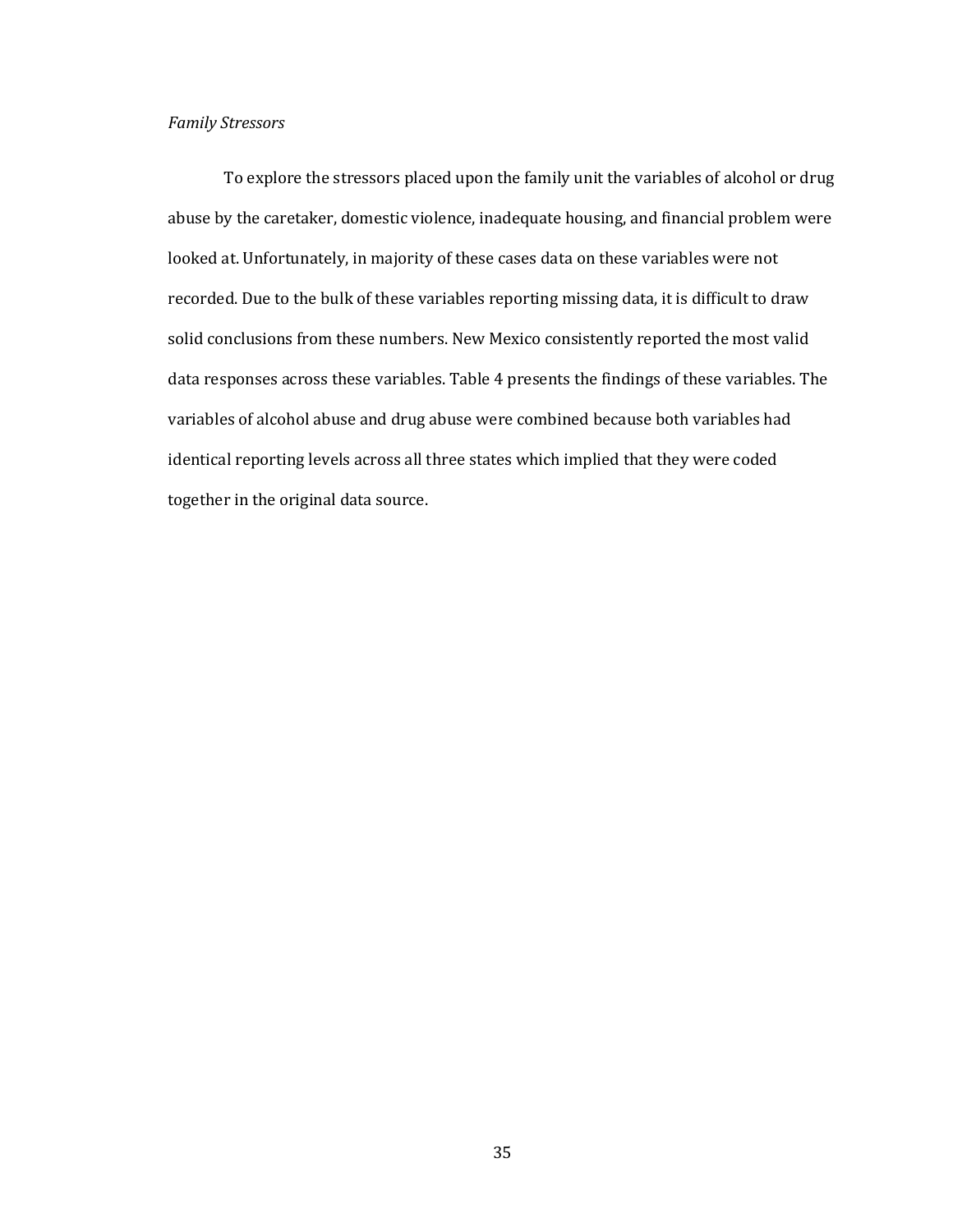# *Family Stressors*

To explore the stressors placed upon the family unit the variables of alcohol or drug abuse by the caretaker, domestic violence, inadequate housing, and financial problem were looked at. Unfortunately, in majority of these cases data on these variables were not recorded. Due to the bulk of these variables reporting missing data, it is difficult to draw solid conclusions from these numbers. New Mexico consistently reported the most valid data responses across these variables. Table 4 presents the findings of these variables. The variables of alcohol abuse and drug abuse were combined because both variables had identical reporting levels across all three states which implied that they were coded together in the original data source.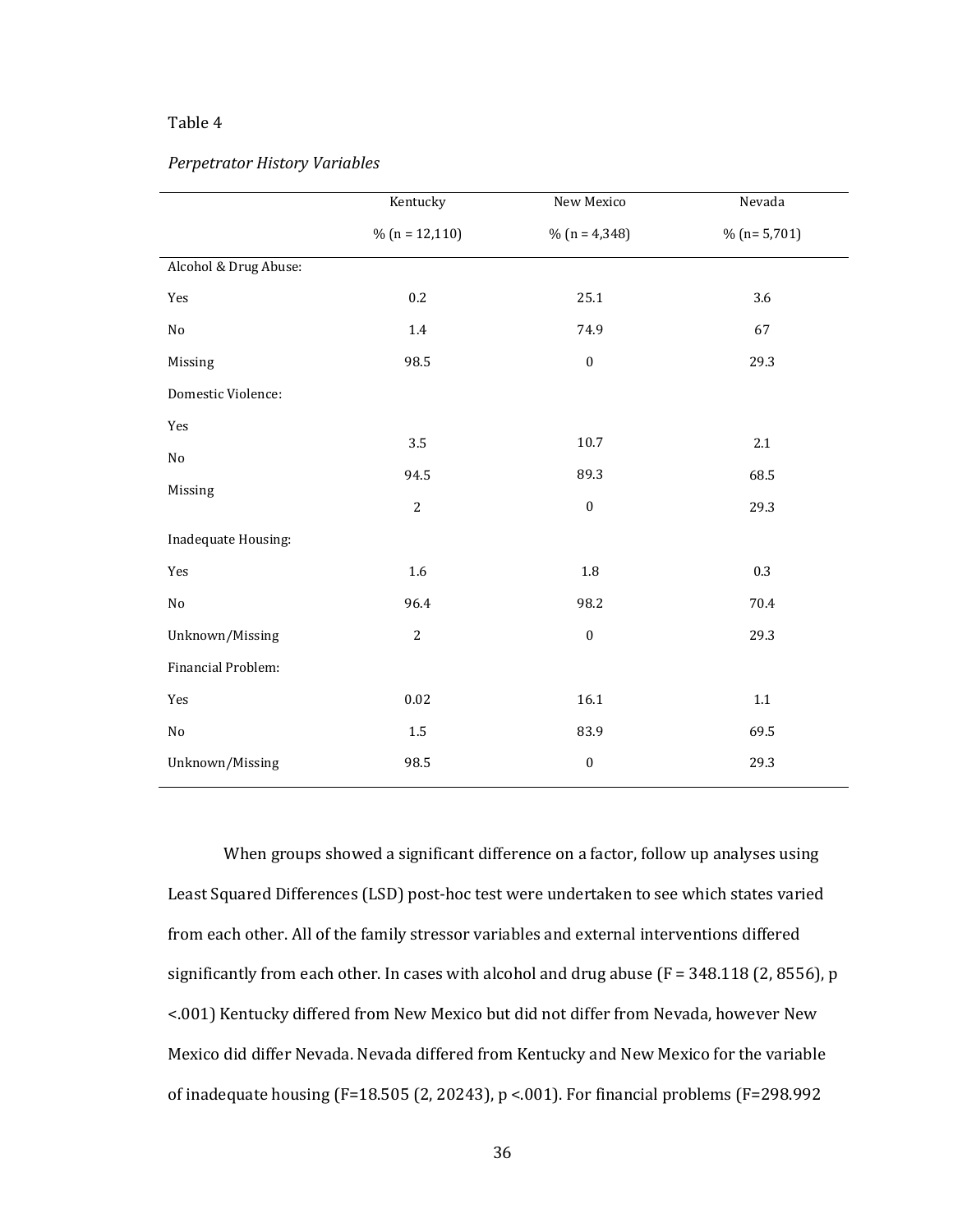# *Perpetrator History Variables*

|                       | Kentucky          | New Mexico       | Nevada        |
|-----------------------|-------------------|------------------|---------------|
|                       | $\%$ (n = 12,110) | % $(n = 4,348)$  | $% (n=5,701)$ |
| Alcohol & Drug Abuse: |                   |                  |               |
| Yes                   | 0.2               | 25.1             | 3.6           |
| $\rm No$              | $1.4\,$           | 74.9             | 67            |
| Missing               | 98.5              | $\boldsymbol{0}$ | 29.3          |
| Domestic Violence:    |                   |                  |               |
| Yes                   |                   | 10.7             |               |
| $\rm No$              | 3.5               |                  | $2.1\,$       |
| Missing               | 94.5              | 89.3             | 68.5          |
|                       | $\overline{2}$    | $\boldsymbol{0}$ | 29.3          |
| Inadequate Housing:   |                   |                  |               |
| Yes                   | 1.6               | $1.8\,$          | 0.3           |
| $\rm No$              | 96.4              | 98.2             | 70.4          |
| Unknown/Missing       | $\sqrt{2}$        | $\boldsymbol{0}$ | 29.3          |
| Financial Problem:    |                   |                  |               |
| Yes                   | $0.02\,$          | 16.1             | $1.1\,$       |
| $\rm No$              | $1.5\,$           | 83.9             | 69.5          |
| Unknown/Missing       | 98.5              | $\boldsymbol{0}$ | 29.3          |

When groups showed a significant difference on a factor, follow up analyses using Least Squared Differences (LSD) post-hoc test were undertaken to see which states varied from each other. All of the family stressor variables and external interventions differed significantly from each other. In cases with alcohol and drug abuse ( $F = 348.118$  (2, 8556), p <.001) Kentucky differed from New Mexico but did not differ from Nevada, however New Mexico did differ Nevada. Nevada differed from Kentucky and New Mexico for the variable of inadequate housing (F=18.505 (2, 20243), p <.001). For financial problems (F=298.992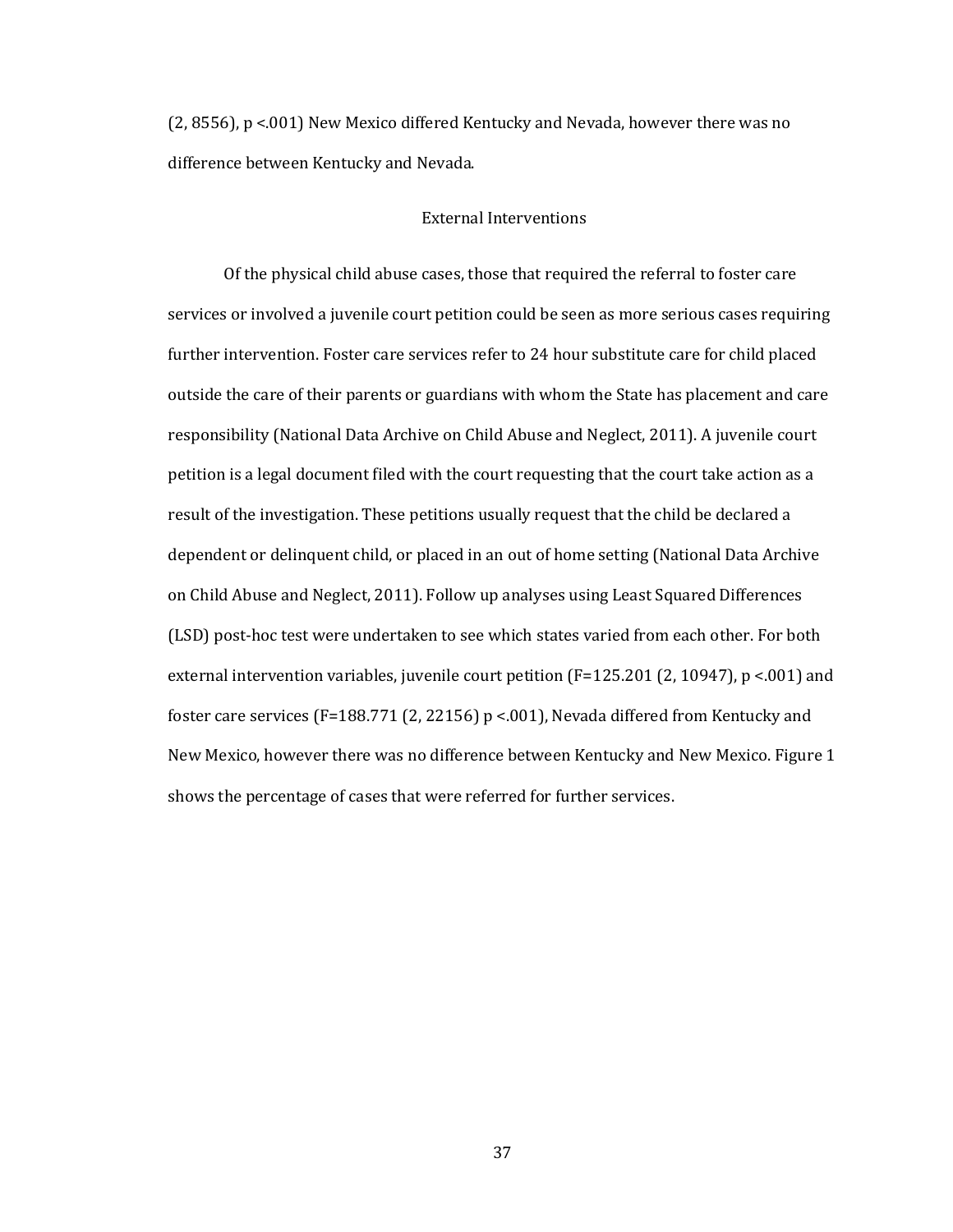(2, 8556), p <.001) New Mexico differed Kentucky and Nevada, however there was no difference between Kentucky and Nevada.

## External Interventions

Of the physical child abuse cases, those that required the referral to foster care services or involved a juvenile court petition could be seen as more serious cases requiring further intervention. Foster care services refer to 24 hour substitute care for child placed outside the care of their parents or guardians with whom the State has placement and care responsibility (National Data Archive on Child Abuse and Neglect, 2011). A juvenile court petition is a legal document filed with the court requesting that the court take action as a result of the investigation. These petitions usually request that the child be declared a dependent or delinquent child, or placed in an out of home setting (National Data Archive on Child Abuse and Neglect, 2011). Follow up analyses using Least Squared Differences (LSD) post-hoc test were undertaken to see which states varied from each other. For both external intervention variables, juvenile court petition (F=125.201 (2, 10947), p <.001) and foster care services (F=188.771 (2, 22156)  $p < .001$ ), Nevada differed from Kentucky and New Mexico, however there was no difference between Kentucky and New Mexico. Figure 1 shows the percentage of cases that were referred for further services.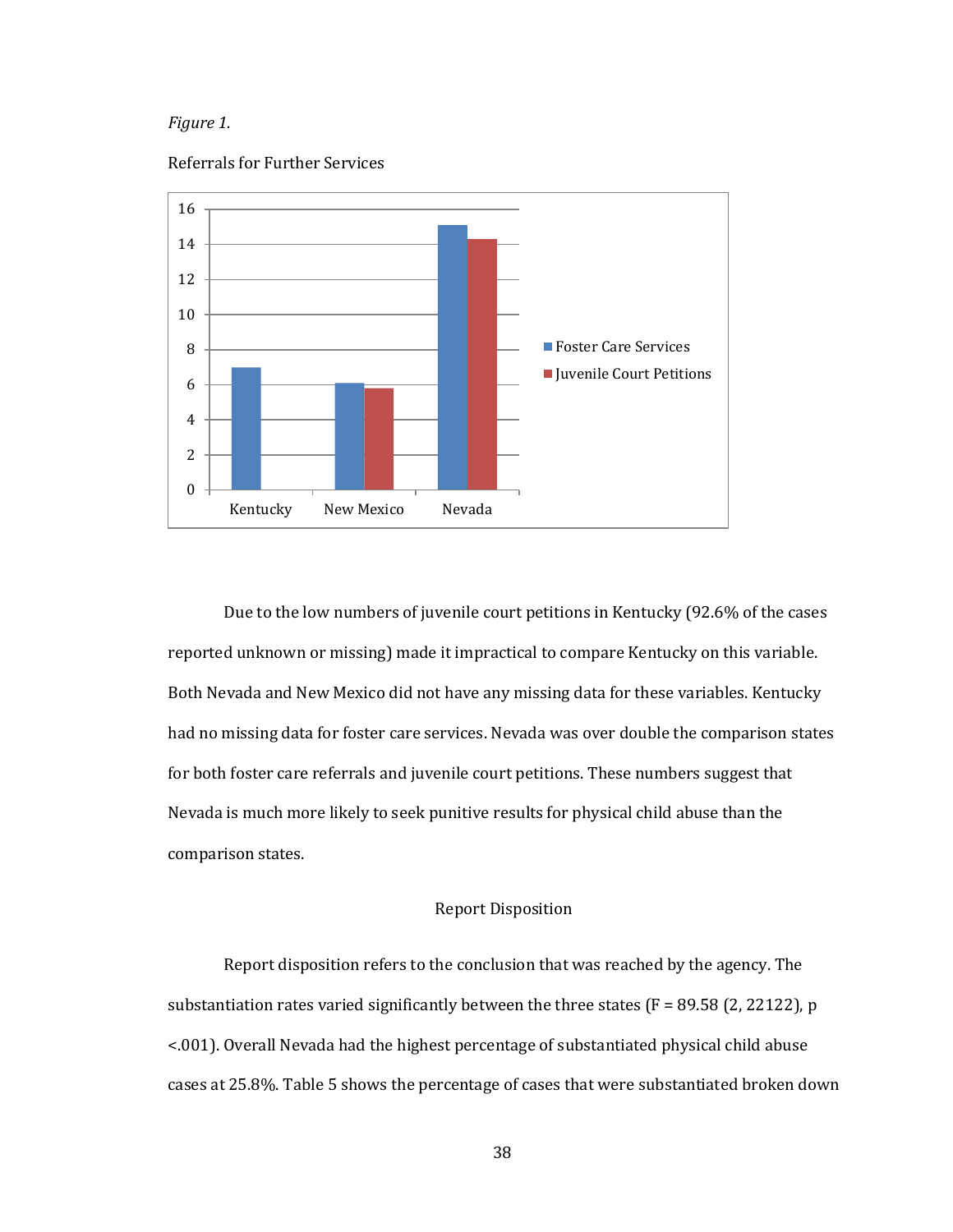### *Figure 1.*



Referrals for Further Services

Due to the low numbers of juvenile court petitions in Kentucky (92.6% of the cases reported unknown or missing) made it impractical to compare Kentucky on this variable. Both Nevada and New Mexico did not have any missing data for these variables. Kentucky had no missing data for foster care services. Nevada was over double the comparison states for both foster care referrals and juvenile court petitions. These numbers suggest that Nevada is much more likely to seek punitive results for physical child abuse than the comparison states.

# Report Disposition

Report disposition refers to the conclusion that was reached by the agency. The substantiation rates varied significantly between the three states  $(F = 89.58 (2, 22122)$ , p <.001). Overall Nevada had the highest percentage of substantiated physical child abuse cases at 25.8%. Table 5 shows the percentage of cases that were substantiated broken down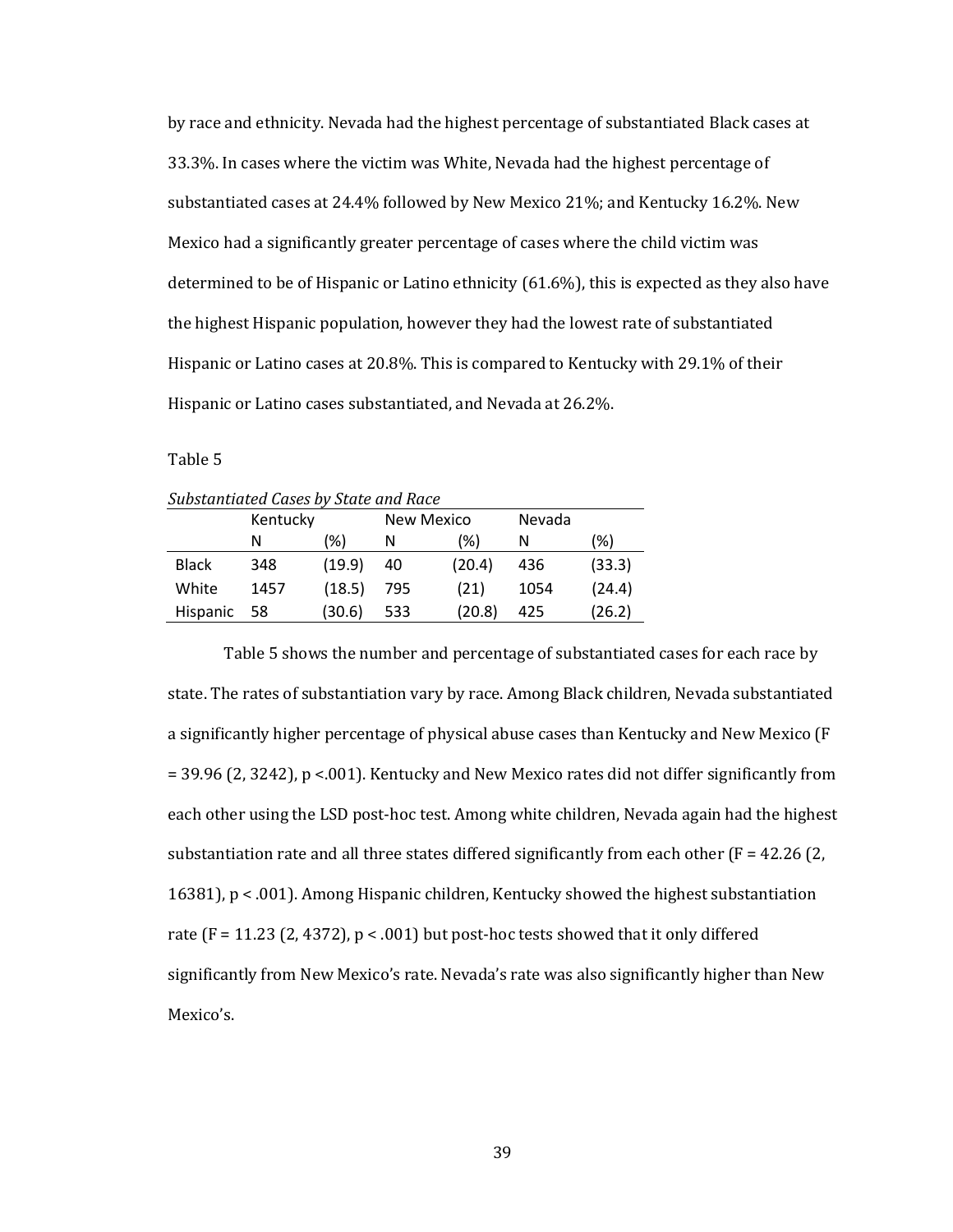by race and ethnicity. Nevada had the highest percentage of substantiated Black cases at 33.3%. In cases where the victim was White, Nevada had the highest percentage of substantiated cases at 24.4% followed by New Mexico 21%; and Kentucky 16.2%. New Mexico had a significantly greater percentage of cases where the child victim was determined to be of Hispanic or Latino ethnicity (61.6%), this is expected as they also have the highest Hispanic population, however they had the lowest rate of substantiated Hispanic or Latino cases at 20.8%. This is compared to Kentucky with 29.1% of their Hispanic or Latino cases substantiated, and Nevada at 26.2%.

Table 5

| Substantiated Cases by State and Race |            |
|---------------------------------------|------------|
| Kantucky                              | Now Mavico |

|              | Kentucky |        |     | New Mexico | Nevada |        |
|--------------|----------|--------|-----|------------|--------|--------|
|              | N        | (%)    | N   | (%)        | N      | (%)    |
| <b>Black</b> | 348      | (19.9) | 40  | (20.4)     | 436    | (33.3) |
| White        | 1457     | (18.5) | 795 | (21)       | 1054   | (24.4) |
| Hispanic     | 58       | (30.6) | 533 | (20.8)     | 425    | (26.2) |
|              |          |        |     |            |        |        |

Table 5 shows the number and percentage of substantiated cases for each race by state. The rates of substantiation vary by race. Among Black children, Nevada substantiated a significantly higher percentage of physical abuse cases than Kentucky and New Mexico (F = 39.96 (2, 3242), p <.001). Kentucky and New Mexico rates did not differ significantly from each other using the LSD post-hoc test. Among white children, Nevada again had the highest substantiation rate and all three states differed significantly from each other  $(F = 42.26 \text{ } (2,$ 16381), p < .001). Among Hispanic children, Kentucky showed the highest substantiation rate  $(F = 11.23 (2, 4372), p < .001)$  but post-hoc tests showed that it only differed significantly from New Mexico's rate. Nevada's rate was also significantly higher than New Mexico's.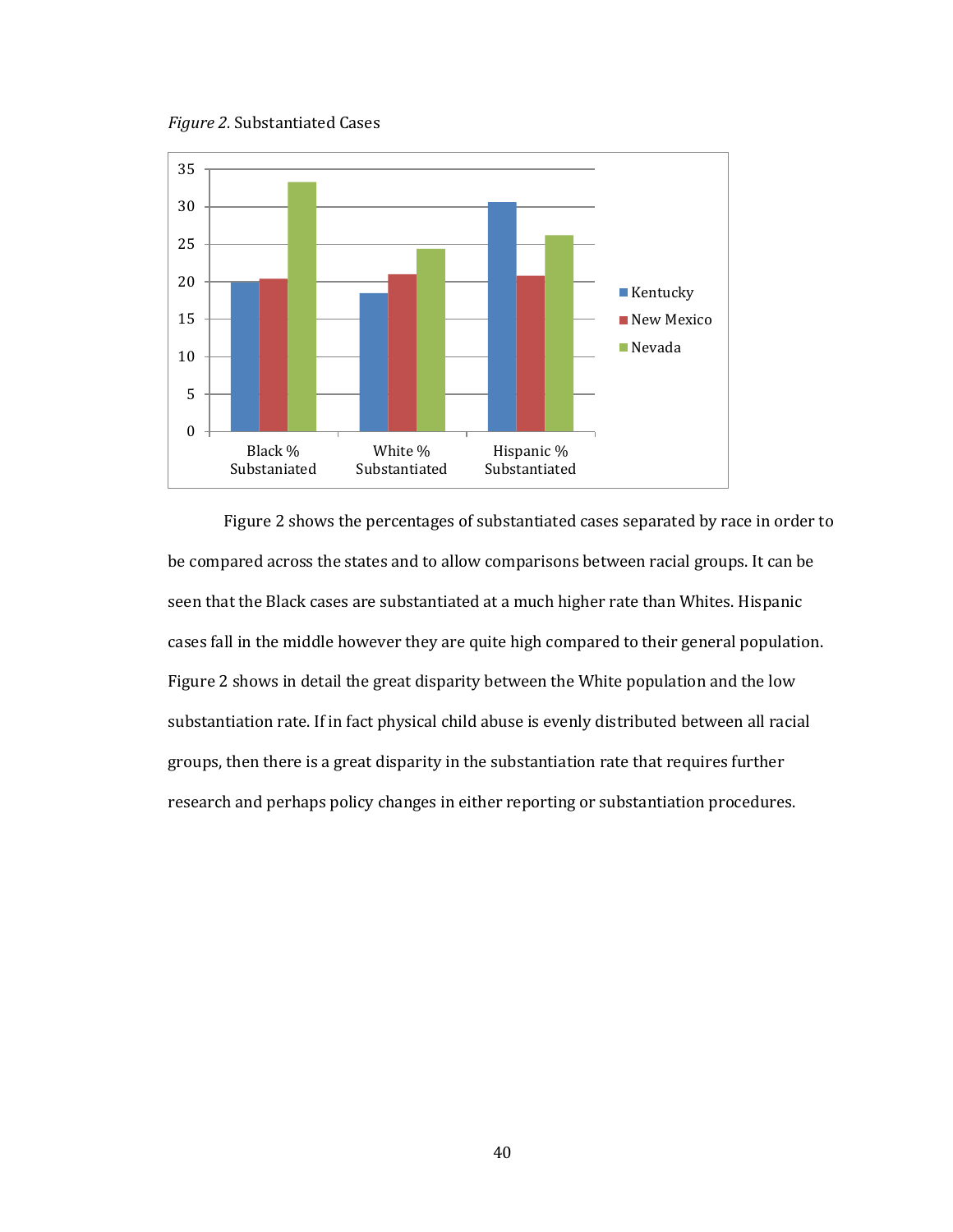*Figure 2.* Substantiated Cases



Figure 2 shows the percentages of substantiated cases separated by race in order to be compared across the states and to allow comparisons between racial groups. It can be seen that the Black cases are substantiated at a much higher rate than Whites. Hispanic cases fall in the middle however they are quite high compared to their general population. Figure 2 shows in detail the great disparity between the White population and the low substantiation rate. If in fact physical child abuse is evenly distributed between all racial groups, then there is a great disparity in the substantiation rate that requires further research and perhaps policy changes in either reporting or substantiation procedures.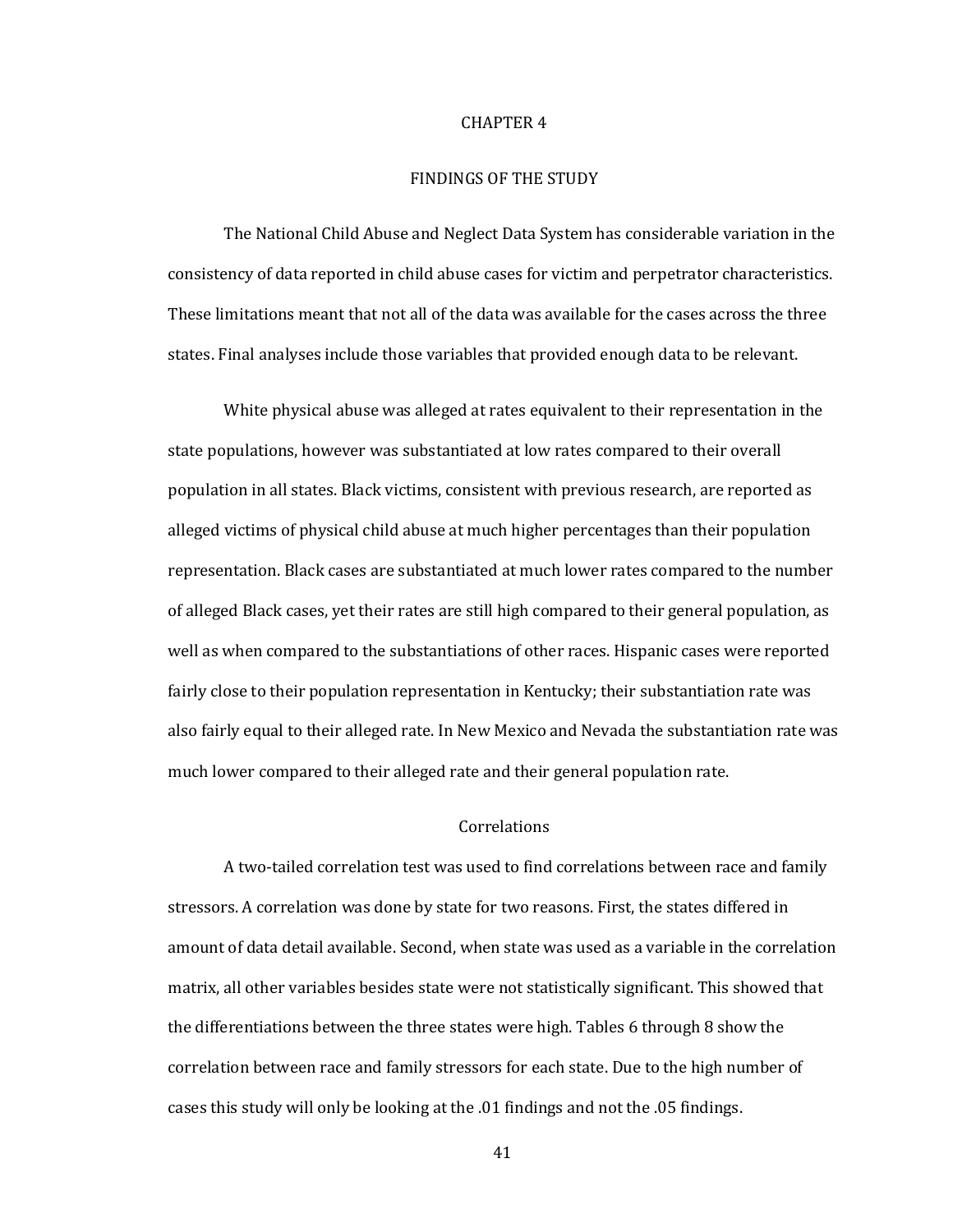#### CHAPTER 4

## FINDINGS OF THE STUDY

The National Child Abuse and Neglect Data System has considerable variation in the consistency of data reported in child abuse cases for victim and perpetrator characteristics. These limitations meant that not all of the data was available for the cases across the three states. Final analyses include those variables that provided enough data to be relevant.

White physical abuse was alleged at rates equivalent to their representation in the state populations, however was substantiated at low rates compared to their overall population in all states. Black victims, consistent with previous research, are reported as alleged victims of physical child abuse at much higher percentages than their population representation. Black cases are substantiated at much lower rates compared to the number of alleged Black cases, yet their rates are still high compared to their general population, as well as when compared to the substantiations of other races. Hispanic cases were reported fairly close to their population representation in Kentucky; their substantiation rate was also fairly equal to their alleged rate. In New Mexico and Nevada the substantiation rate was much lower compared to their alleged rate and their general population rate.

# Correlations

A two-tailed correlation test was used to find correlations between race and family stressors. A correlation was done by state for two reasons. First, the states differed in amount of data detail available. Second, when state was used as a variable in the correlation matrix, all other variables besides state were not statistically significant. This showed that the differentiations between the three states were high. Tables 6 through 8 show the correlation between race and family stressors for each state. Due to the high number of cases this study will only be looking at the .01 findings and not the .05 findings.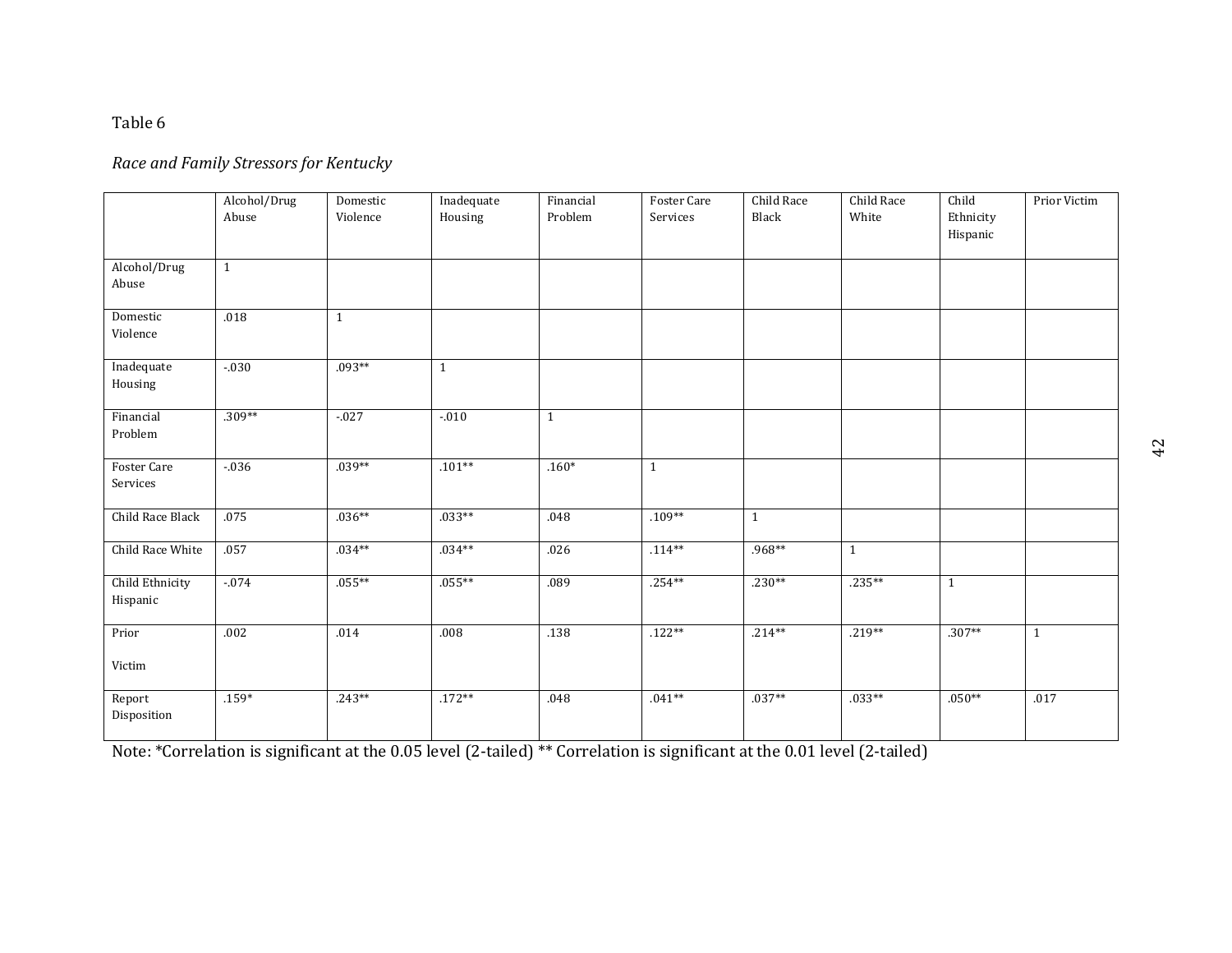# *Race and Family Stressors for Kentucky*

|                             | Alcohol/Drug<br>Abuse | Domestic<br>Violence | Inadequate<br>Housing | Financial<br>Problem | Foster Care<br>Services | Child Race<br>Black | Child Race<br>White | Child<br>Ethnicity | Prior Victim |
|-----------------------------|-----------------------|----------------------|-----------------------|----------------------|-------------------------|---------------------|---------------------|--------------------|--------------|
|                             |                       |                      |                       |                      |                         |                     |                     | Hispanic           |              |
| Alcohol/Drug<br>Abuse       | $\mathbf{1}$          |                      |                       |                      |                         |                     |                     |                    |              |
| Domestic<br>Violence        | .018                  | $\mathbf{1}$         |                       |                      |                         |                     |                     |                    |              |
| Inadequate<br>Housing       | $-.030$               | $.093**$             | $\mathbf{1}$          |                      |                         |                     |                     |                    |              |
| Financial<br>Problem        | $.309**$              | $-027$               | $-010$                | $\mathbf{1}$         |                         |                     |                     |                    |              |
| Foster Care<br>Services     | $-0.36$               | $.039**$             | $.101**$              | $.160*$              | $\mathbf{1}$            |                     |                     |                    |              |
| Child Race Black            | .075                  | $.036**$             | $.033**$              | .048                 | $.109**$                | $\mathbf{1}$        |                     |                    |              |
| Child Race White            | .057                  | $.034**$             | $.034**$              | .026                 | $.114**$                | .968**              | $\mathbf{1}$        |                    |              |
| Child Ethnicity<br>Hispanic | $-074$                | $.055***$            | $.055**$              | .089                 | $.254**$                | $.230**$            | $.235**$            | $\mathbf{1}$       |              |
| Prior<br>Victim             | .002                  | .014                 | .008                  | .138                 | $.122**$                | $.214**$            | $.219**$            | $.307**$           | $\mathbf{1}$ |
| Report<br>Disposition       | $.159*$               | $.243**$             | $.172**$              | .048                 | $.041**$                | $.037**$            | $.033**$            | $.050**$           | .017         |

Note: \*Correlation is significant at the 0.05 level (2-tailed) \*\* Correlation is significant at the 0.01 level (2-tailed)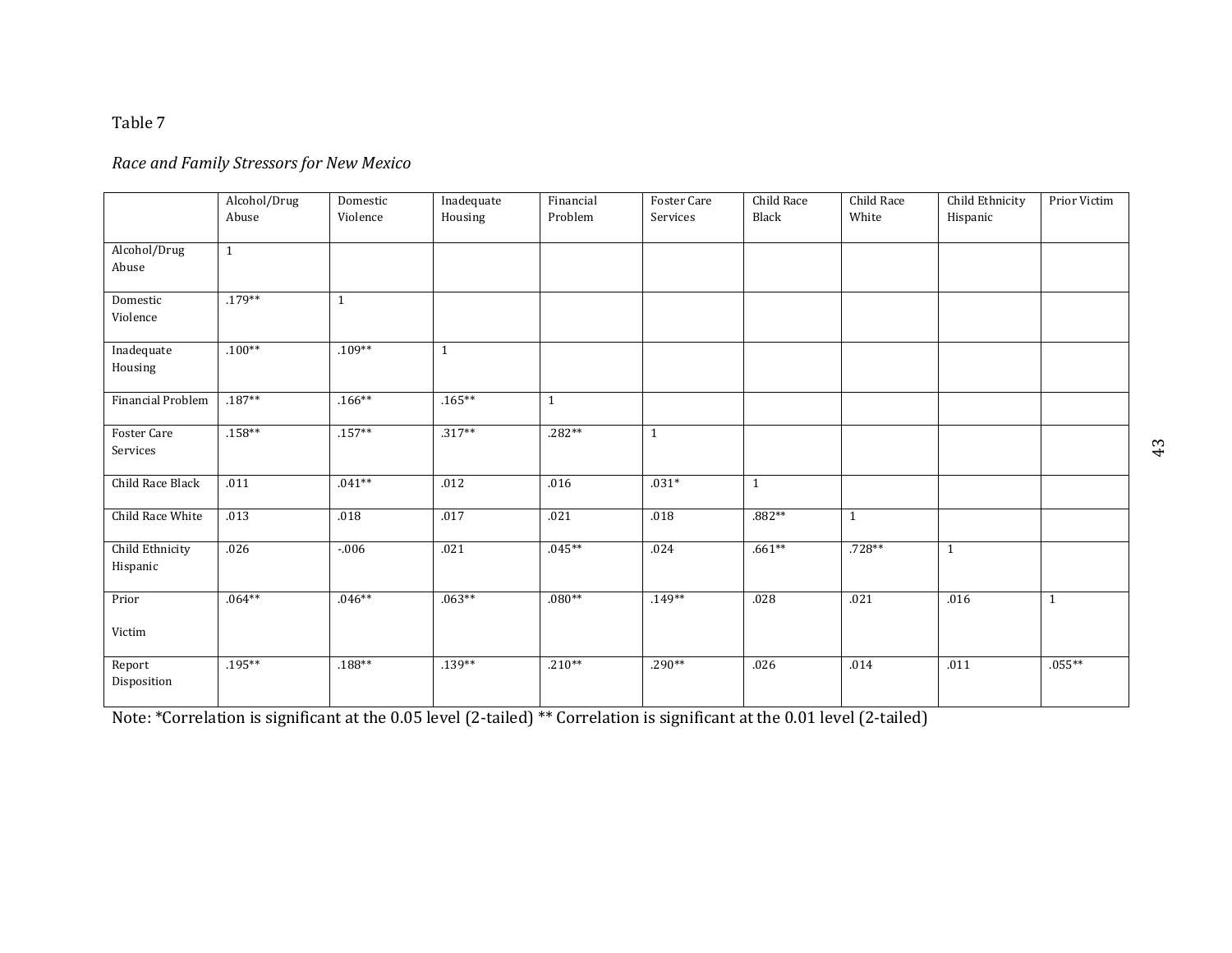# *Race and Family Stressors for New Mexico*

|                             | Alcohol/Drug<br>Abuse | Domestic<br>Violence | Inadequate<br>Housing | Financial<br>Problem | Foster Care<br>Services | Child Race<br>Black | Child Race<br>White | Child Ethnicity<br>Hispanic | Prior Victim |
|-----------------------------|-----------------------|----------------------|-----------------------|----------------------|-------------------------|---------------------|---------------------|-----------------------------|--------------|
|                             |                       |                      |                       |                      |                         |                     |                     |                             |              |
| Alcohol/Drug<br>Abuse       | $\mathbf{1}$          |                      |                       |                      |                         |                     |                     |                             |              |
| Domestic<br>Violence        | $.179**$              | $\mathbf{1}$         |                       |                      |                         |                     |                     |                             |              |
| Inadequate<br>Housing       | $.100**$              | $.109**$             | $\mathbf{1}$          |                      |                         |                     |                     |                             |              |
| <b>Financial Problem</b>    | $.187**$              | $.166**$             | $.165***$             | $\mathbf{1}$         |                         |                     |                     |                             |              |
| Foster Care<br>Services     | $.158***$             | $.157**$             | $.317**$              | $.282**$             | $\mathbf{1}$            |                     |                     |                             |              |
| Child Race Black            | .011                  | $.041**$             | .012                  | .016                 | $.031*$                 | $\mathbf{1}$        |                     |                             |              |
| Child Race White            | .013                  | .018                 | .017                  | .021                 | .018                    | $.882**$            | $\mathbf{1}$        |                             |              |
| Child Ethnicity<br>Hispanic | .026                  | $-0.006$             | .021                  | $.045**$             | .024                    | $.661**$            | .728**              | $\mathbf{1}$                |              |
| Prior<br>Victim             | $.064**$              | $.046**$             | $.063**$              | $.080**$             | $.149**$                | .028                | .021                | .016                        | $\mathbf{1}$ |
| Report<br>Disposition       | $.195***$             | $.188**$             | $.139**$              | $.210**$             | $.290**$                | .026                | .014                | .011                        | $.055***$    |

Note: \*Correlation is significant at the 0.05 level (2-tailed) \*\* Correlation is significant at the 0.01 level (2-tailed)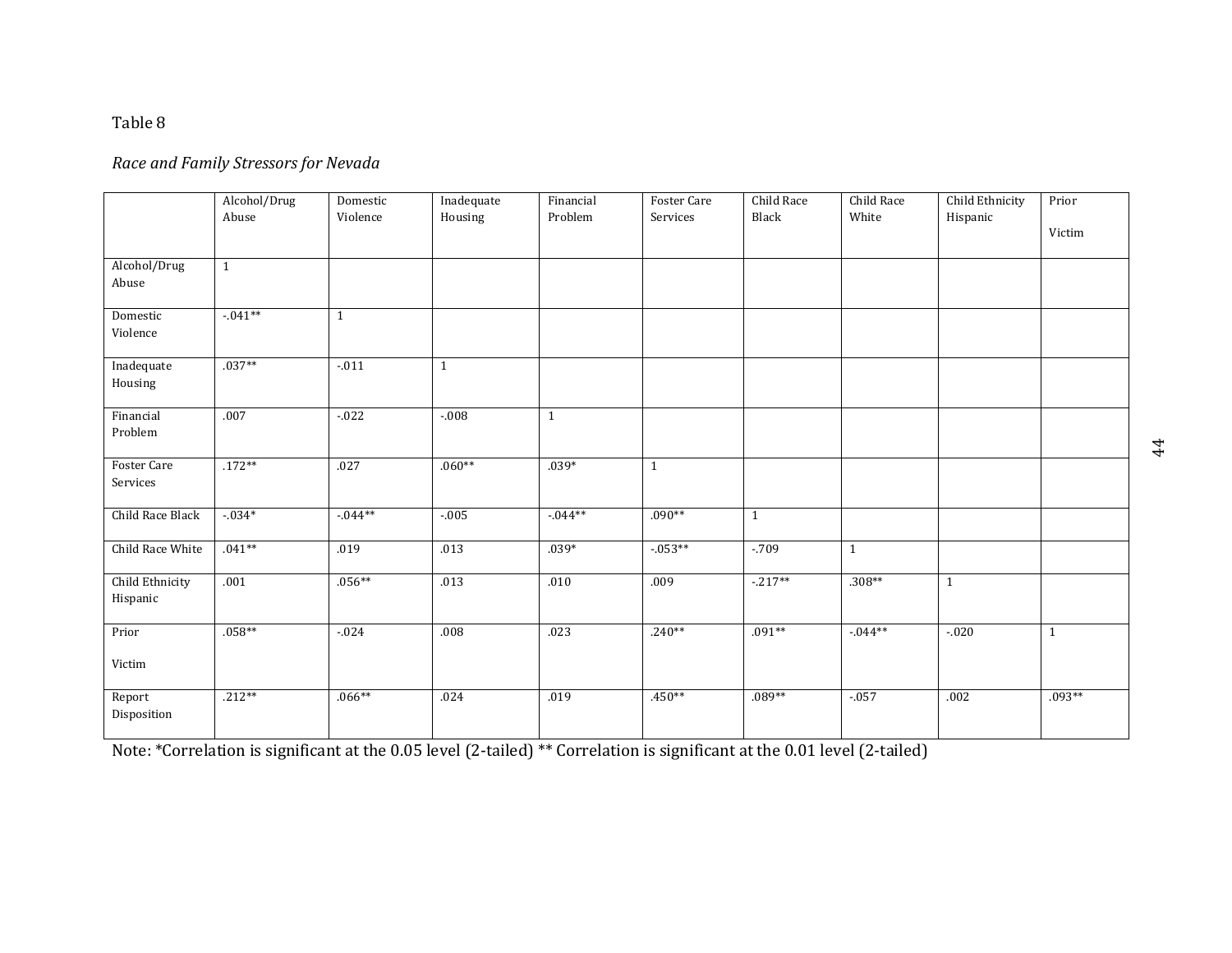# *Race and Family Stressors for Nevada*

|                                | Alcohol/Drug<br>Abuse | Domestic<br>Violence | Inadequate<br>Housing | Financial<br>Problem | Foster Care<br>Services | Child Race<br>Black | Child Race<br>White | Child Ethnicity<br>Hispanic | Prior        |
|--------------------------------|-----------------------|----------------------|-----------------------|----------------------|-------------------------|---------------------|---------------------|-----------------------------|--------------|
|                                |                       |                      |                       |                      |                         |                     |                     |                             | Victim       |
| Alcohol/Drug<br>Abuse          | $\mathbf{1}$          |                      |                       |                      |                         |                     |                     |                             |              |
| Domestic<br>Violence           | $-0.41**$             | $\mathbf{1}$         |                       |                      |                         |                     |                     |                             |              |
| Inadequate<br>Housing          | $.037**$              | $-0.011$             | 1                     |                      |                         |                     |                     |                             |              |
| Financial<br>Problem           | .007                  | $-0.022$             | $-0.08$               | $\mathbf{1}$         |                         |                     |                     |                             |              |
| <b>Foster Care</b><br>Services | $.172**$              | .027                 | $.060**$              | $.039*$              | $\mathbf{1}$            |                     |                     |                             |              |
| Child Race Black               | $-0.34*$              | $-0.044**$           | $-.005$               | $-0.044**$           | $.090**$                | $\mathbf{1}$        |                     |                             |              |
| Child Race White               | $.041**$              | .019                 | .013                  | $.039*$              | $-0.053**$              | $-709$              | $\mathbf{1}$        |                             |              |
| Child Ethnicity<br>Hispanic    | .001                  | $.056**$             | .013                  | .010                 | .009                    | $-217**$            | $.308**$            | $\mathbf{1}$                |              |
| Prior                          | $.058**$              | $-0.024$             | .008                  | .023                 | $.240**$                | $.091**$            | $-0.044**$          | $-0.020$                    | $\mathbf{1}$ |
| Victim                         |                       |                      |                       |                      |                         |                     |                     |                             |              |
| Report<br>Disposition          | $.212**$              | $.066**$             | .024                  | .019                 | $.450**$                | $.089**$            | $-0.057$            | .002                        | $.093**$     |

Note: \*Correlation is significant at the 0.05 level (2-tailed) \*\* Correlation is significant at the 0.01 level (2-tailed)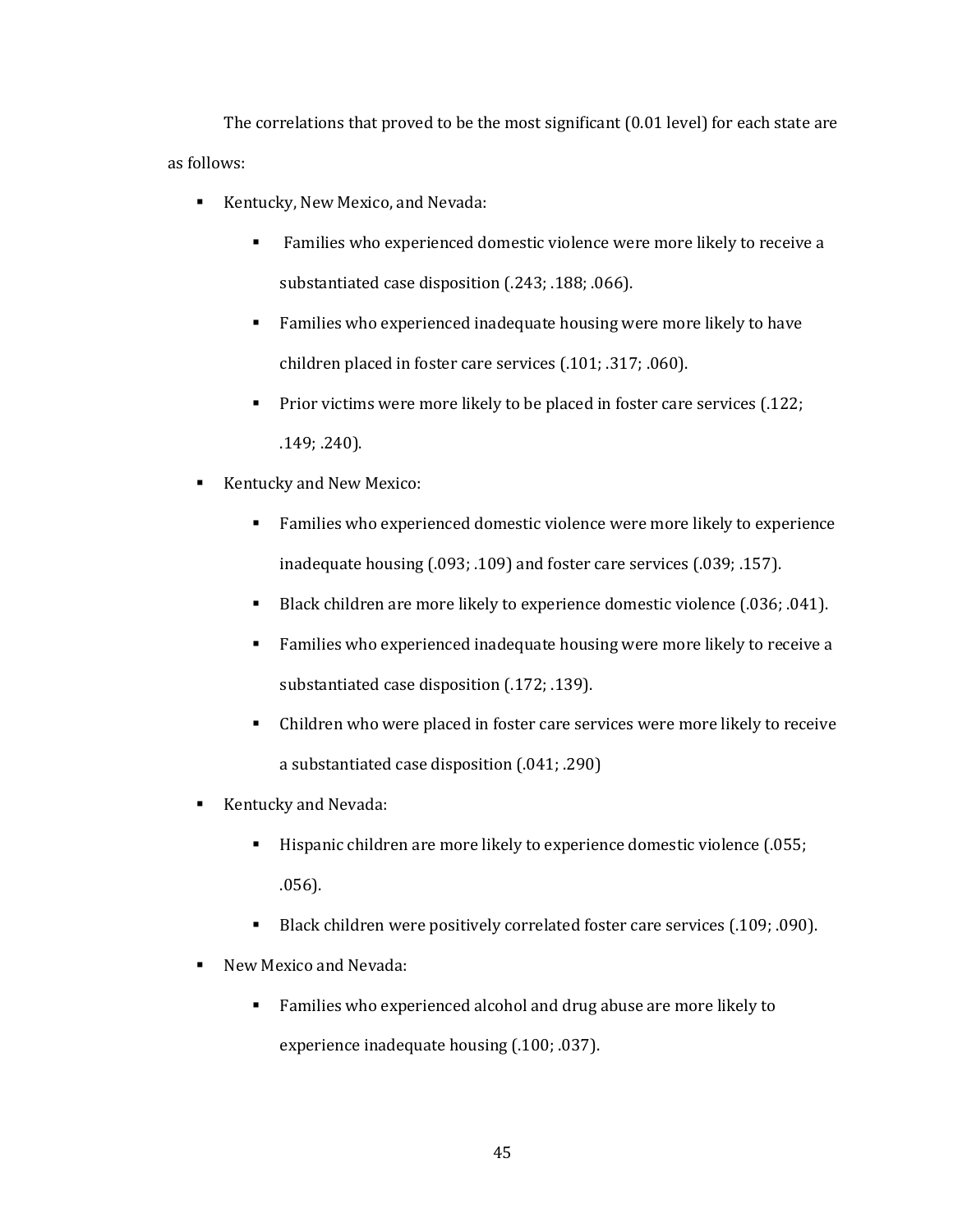The correlations that proved to be the most significant (0.01 level) for each state are as follows:

- Kentucky, New Mexico, and Nevada:
	- Families who experienced domestic violence were more likely to receive a substantiated case disposition (.243; .188; .066).
	- **Families who experienced inadequate housing were more likely to have** children placed in foster care services (.101; .317; .060).
	- **Prior victims were more likely to be placed in foster care services (.122;** .149; .240).
- Kentucky and New Mexico:
	- Families who experienced domestic violence were more likely to experience inadequate housing (.093; .109) and foster care services (.039; .157).
	- Black children are more likely to experience domestic violence (.036; .041).
	- Families who experienced inadequate housing were more likely to receive a substantiated case disposition (.172; .139).
	- Children who were placed in foster care services were more likely to receive a substantiated case disposition (.041; .290)
- Kentucky and Nevada:
	- Hispanic children are more likely to experience domestic violence (.055; .056).
	- Black children were positively correlated foster care services (.109; .090).
- New Mexico and Nevada:
	- Families who experienced alcohol and drug abuse are more likely to experience inadequate housing (.100; .037).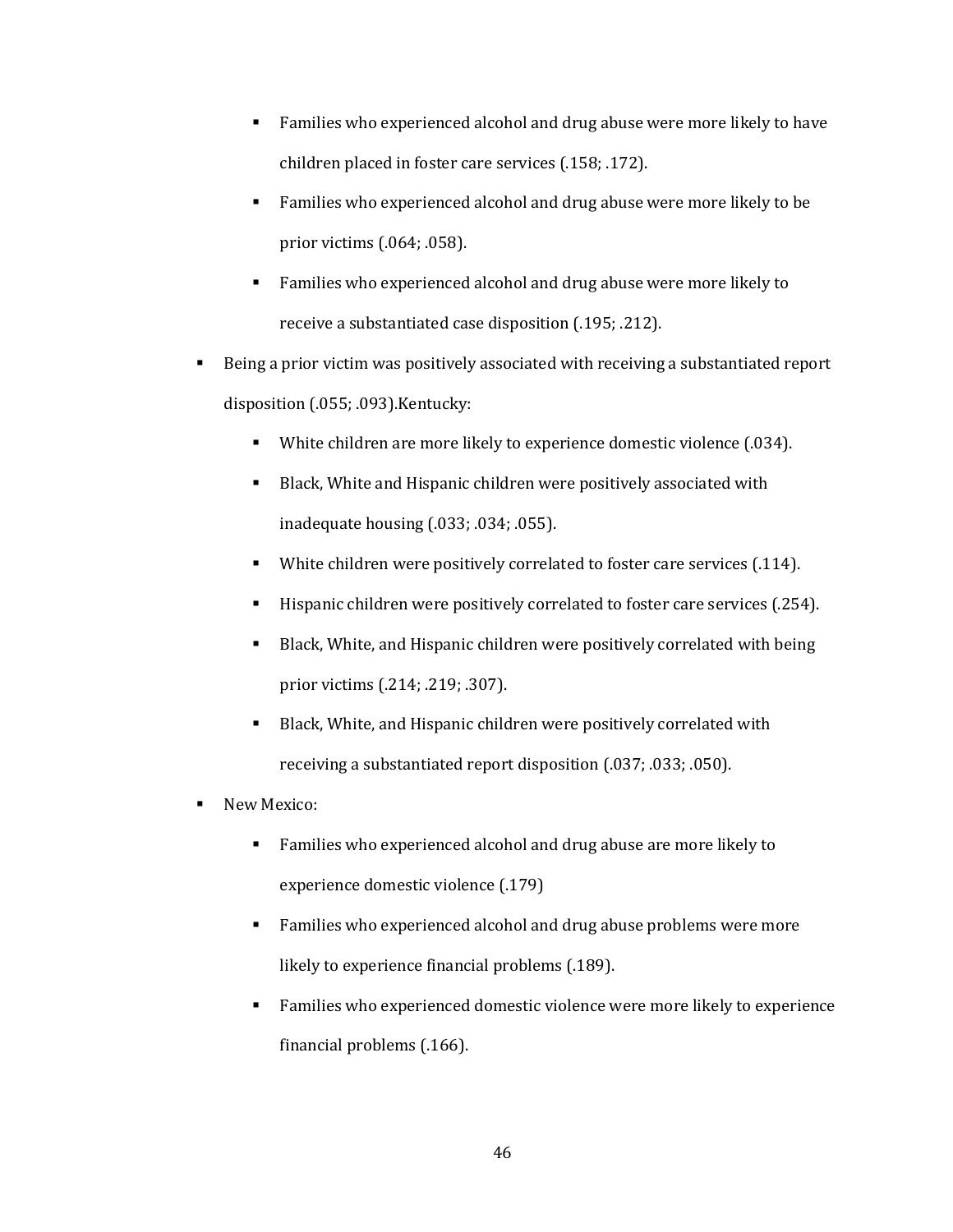- Families who experienced alcohol and drug abuse were more likely to have children placed in foster care services (.158; .172).
- Families who experienced alcohol and drug abuse were more likely to be prior victims (.064; .058).
- Families who experienced alcohol and drug abuse were more likely to receive a substantiated case disposition (.195; .212).
- Being a prior victim was positively associated with receiving a substantiated report disposition (.055; .093).Kentucky:
	- White children are more likely to experience domestic violence (.034).
	- Black, White and Hispanic children were positively associated with inadequate housing (.033; .034; .055).
	- White children were positively correlated to foster care services (.114).
	- Hispanic children were positively correlated to foster care services (.254).
	- Black, White, and Hispanic children were positively correlated with being prior victims (.214; .219; .307).
	- Black, White, and Hispanic children were positively correlated with receiving a substantiated report disposition (.037; .033; .050).
- New Mexico:
	- **Families who experienced alcohol and drug abuse are more likely to** experience domestic violence (.179)
	- **Families who experienced alcohol and drug abuse problems were more** likely to experience financial problems (.189).
	- Families who experienced domestic violence were more likely to experience financial problems (.166).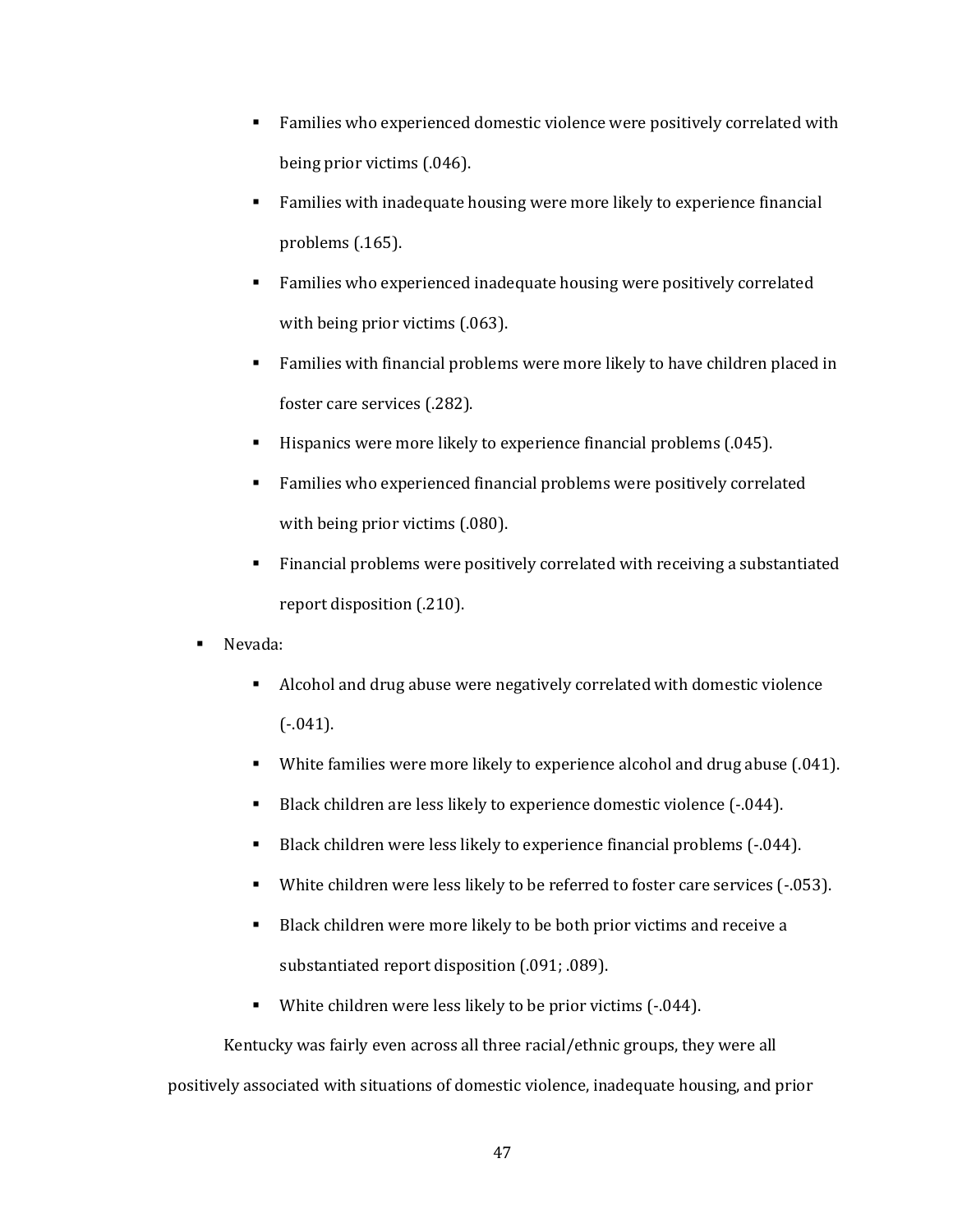- Families who experienced domestic violence were positively correlated with being prior victims (.046).
- Families with inadequate housing were more likely to experience financial problems (.165).
- Families who experienced inadequate housing were positively correlated with being prior victims (.063).
- Families with financial problems were more likely to have children placed in foster care services (.282).
- Hispanics were more likely to experience financial problems (.045).
- Families who experienced financial problems were positively correlated with being prior victims (.080).
- Financial problems were positively correlated with receiving a substantiated report disposition (.210).
- Nevada:
	- Alcohol and drug abuse were negatively correlated with domestic violence  $(-.041)$ .
	- White families were more likely to experience alcohol and drug abuse (.041).
	- Black children are less likely to experience domestic violence (-.044).
	- Black children were less likely to experience financial problems (-.044).
	- White children were less likely to be referred to foster care services (-.053).
	- Black children were more likely to be both prior victims and receive a substantiated report disposition (.091; .089).
	- White children were less likely to be prior victims  $(-.044)$ .

Kentucky was fairly even across all three racial/ethnic groups, they were all positively associated with situations of domestic violence, inadequate housing, and prior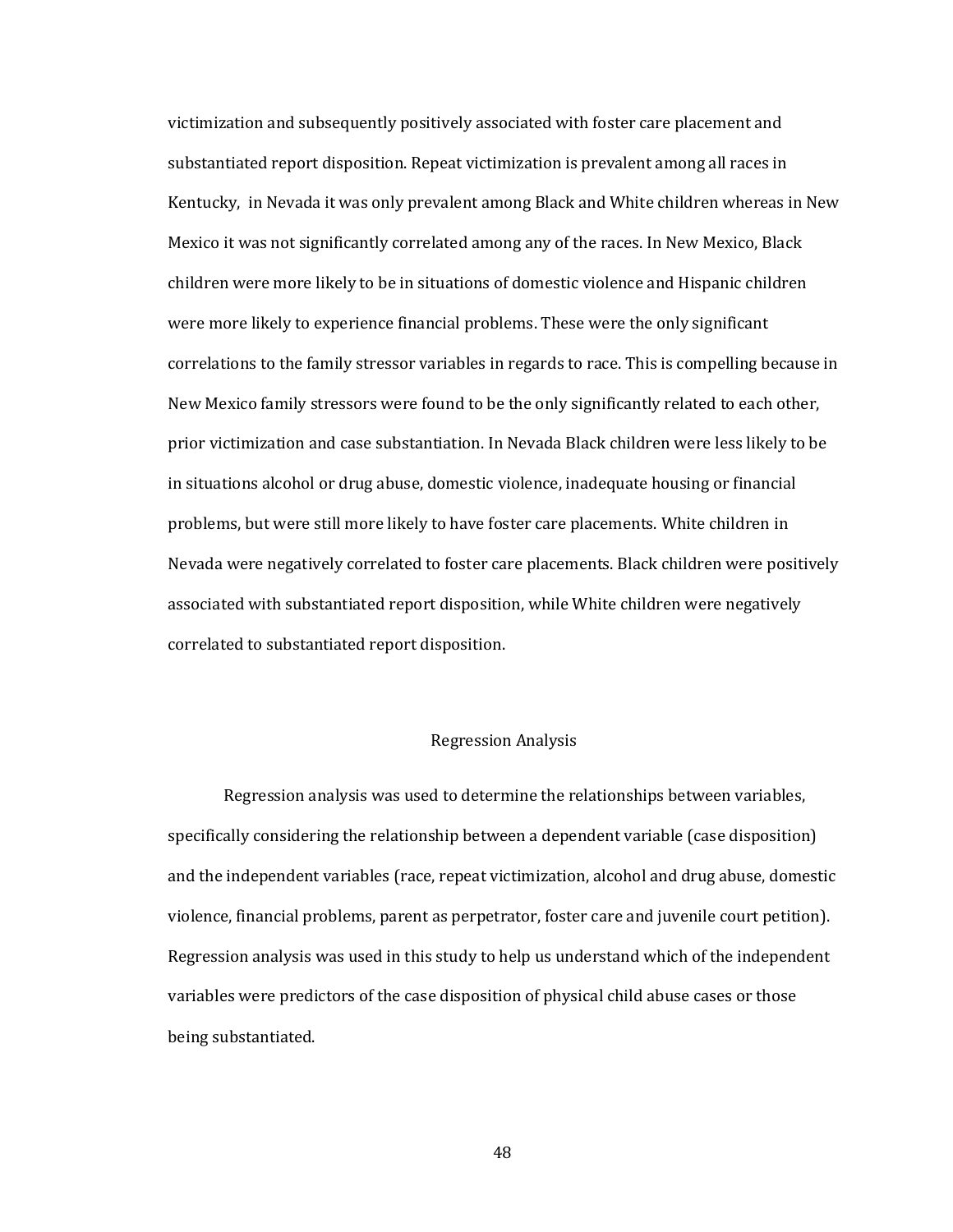victimization and subsequently positively associated with foster care placement and substantiated report disposition. Repeat victimization is prevalent among all races in Kentucky, in Nevada it was only prevalent among Black and White children whereas in New Mexico it was not significantly correlated among any of the races. In New Mexico, Black children were more likely to be in situations of domestic violence and Hispanic children were more likely to experience financial problems. These were the only significant correlations to the family stressor variables in regards to race. This is compelling because in New Mexico family stressors were found to be the only significantly related to each other, prior victimization and case substantiation. In Nevada Black children were less likely to be in situations alcohol or drug abuse, domestic violence, inadequate housing or financial problems, but were still more likely to have foster care placements. White children in Nevada were negatively correlated to foster care placements. Black children were positively associated with substantiated report disposition, while White children were negatively correlated to substantiated report disposition.

# Regression Analysis

Regression analysis was used to determine the relationships between variables, specifically considering the relationship between a dependent variable (case disposition) and the independent variables (race, repeat victimization, alcohol and drug abuse, domestic violence, financial problems, parent as perpetrator, foster care and juvenile court petition). Regression analysis was used in this study to help us understand which of the independent variables were predictors of the case disposition of physical child abuse cases or those being substantiated.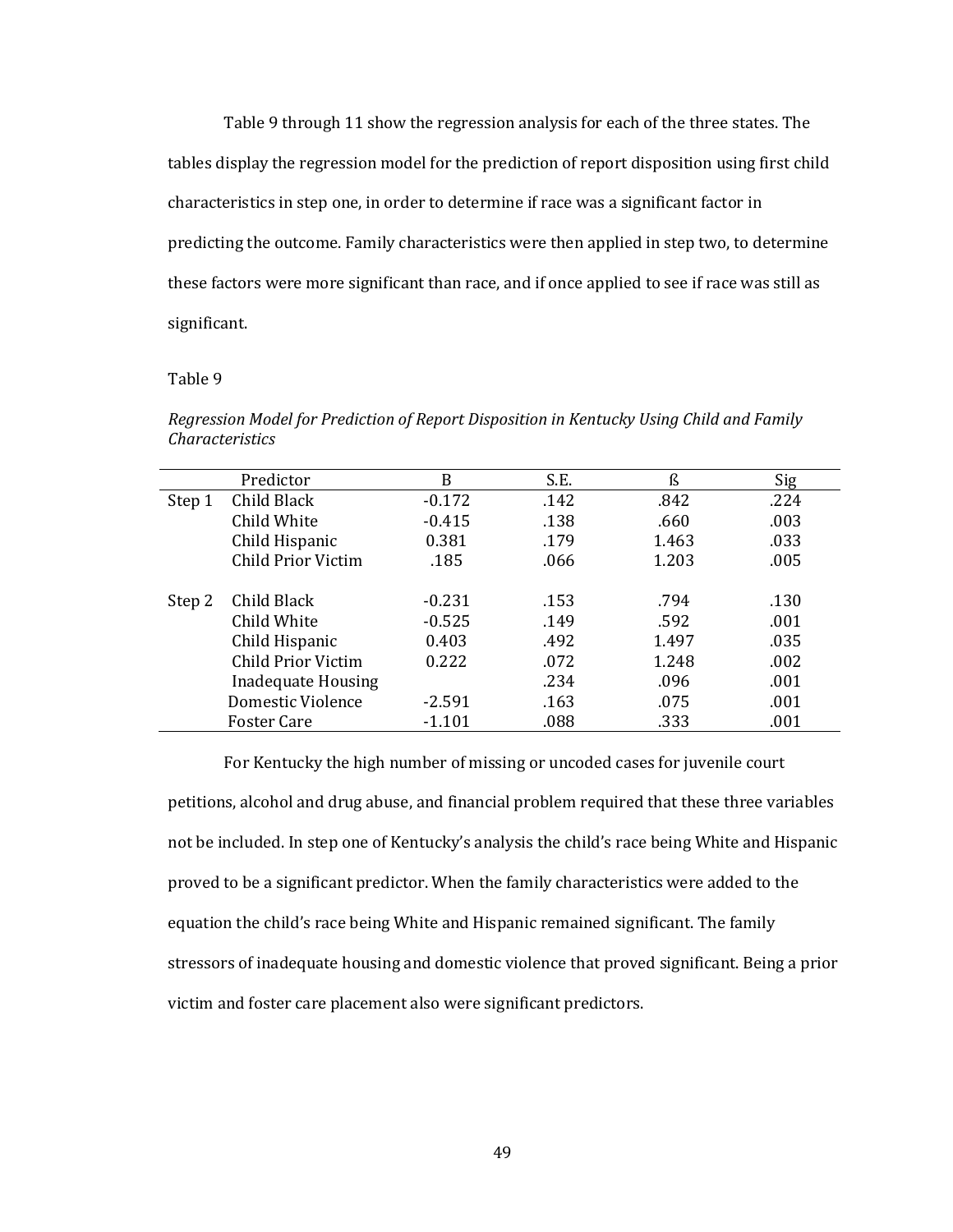Table 9 through 11 show the regression analysis for each of the three states. The tables display the regression model for the prediction of report disposition using first child characteristics in step one, in order to determine if race was a significant factor in predicting the outcome. Family characteristics were then applied in step two, to determine these factors were more significant than race, and if once applied to see if race was still as significant.

# Table 9

*Regression Model for Prediction of Report Disposition in Kentucky Using Child and Family Characteristics*

|        | Predictor                 | B        | S.E. | ß     | Sig  |
|--------|---------------------------|----------|------|-------|------|
| Step 1 | Child Black               | $-0.172$ | .142 | .842  | .224 |
|        | Child White               | $-0.415$ | .138 | .660  | .003 |
|        | Child Hispanic            | 0.381    | .179 | 1.463 | .033 |
|        | <b>Child Prior Victim</b> | .185     | .066 | 1.203 | .005 |
|        |                           |          |      |       |      |
| Step 2 | Child Black               | $-0.231$ | .153 | .794  | .130 |
|        | Child White               | $-0.525$ | .149 | .592  | .001 |
|        | Child Hispanic            | 0.403    | .492 | 1.497 | .035 |
|        | Child Prior Victim        | 0.222    | .072 | 1.248 | .002 |
|        | <b>Inadequate Housing</b> |          | .234 | .096  | .001 |
|        | Domestic Violence         | $-2.591$ | .163 | .075  | .001 |
|        | <b>Foster Care</b>        | $-1.101$ | .088 | .333  | .001 |

For Kentucky the high number of missing or uncoded cases for juvenile court petitions, alcohol and drug abuse, and financial problem required that these three variables not be included. In step one of Kentucky's analysis the child's race being White and Hispanic proved to be a significant predictor. When the family characteristics were added to the equation the child's race being White and Hispanic remained significant. The family stressors of inadequate housing and domestic violence that proved significant. Being a prior victim and foster care placement also were significant predictors.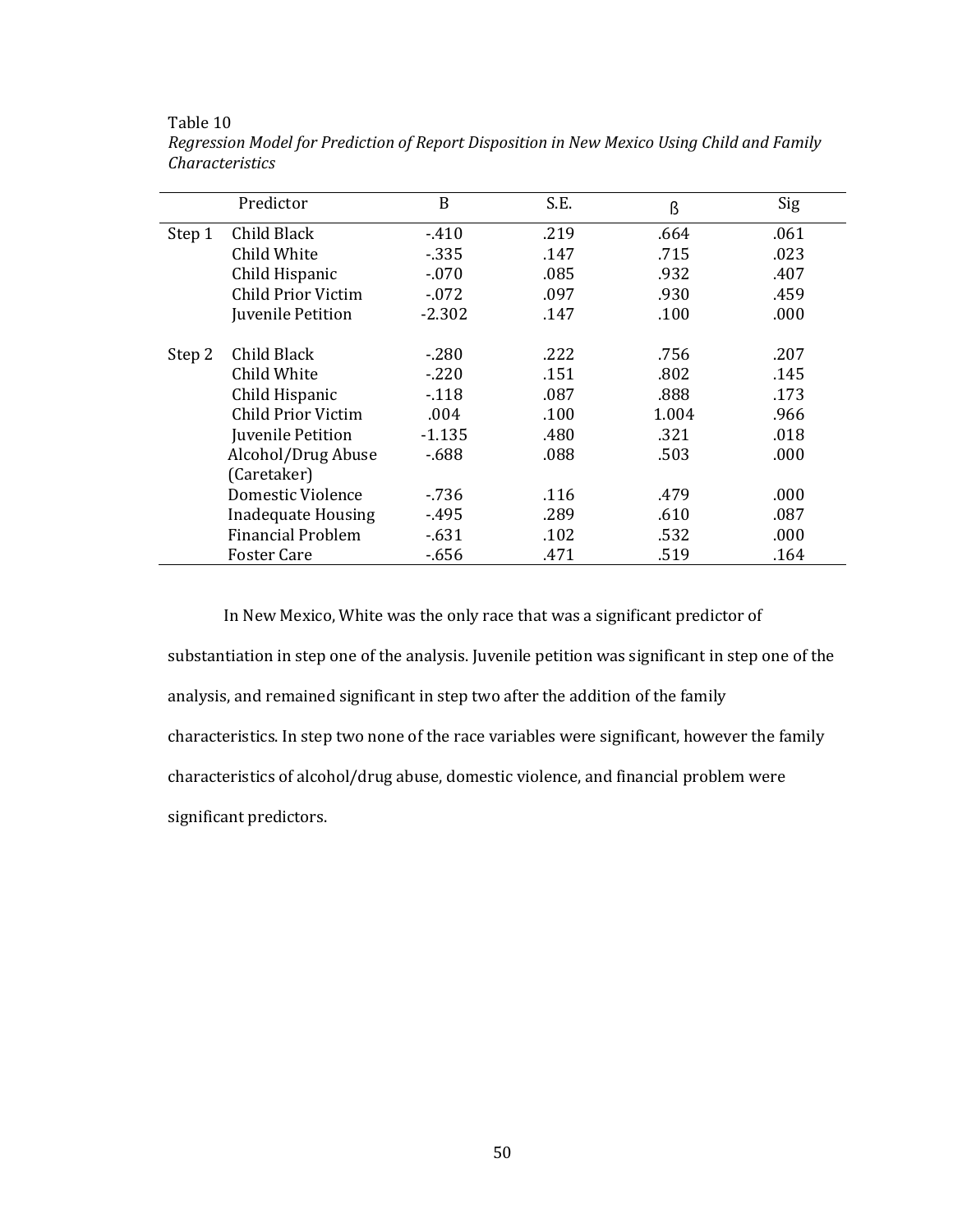|        | Predictor                 | B        | S.E. | ß     | Sig  |
|--------|---------------------------|----------|------|-------|------|
| Step 1 | Child Black               | $-410$   | .219 | .664  | .061 |
|        | Child White               | $-335$   | .147 | .715  | .023 |
|        | Child Hispanic            | $-070$   | .085 | .932  | .407 |
|        | Child Prior Victim        | $-.072$  | .097 | .930  | .459 |
|        | Juvenile Petition         | $-2.302$ | .147 | .100  | .000 |
| Step 2 | Child Black               | $-.280$  | .222 | .756  | .207 |
|        | Child White               | $-.220$  | .151 | .802  | .145 |
|        | Child Hispanic            | $-118$   | .087 | .888  | .173 |
|        | Child Prior Victim        | .004     | .100 | 1.004 | .966 |
|        | Juvenile Petition         | $-1.135$ | .480 | .321  | .018 |
|        | Alcohol/Drug Abuse        | $-688$   | .088 | .503  | .000 |
|        | (Caretaker)               |          |      |       |      |
|        | Domestic Violence         | $-736$   | .116 | .479  | .000 |
|        | <b>Inadequate Housing</b> | $-495$   | .289 | .610  | .087 |
|        | <b>Financial Problem</b>  | $-.631$  | .102 | .532  | .000 |
|        | <b>Foster Care</b>        | $-656$   | .471 | .519  | .164 |

*Regression Model for Prediction of Report Disposition in New Mexico Using Child and Family Characteristics*

In New Mexico, White was the only race that was a significant predictor of substantiation in step one of the analysis. Juvenile petition was significant in step one of the analysis, and remained significant in step two after the addition of the family characteristics. In step two none of the race variables were significant, however the family characteristics of alcohol/drug abuse, domestic violence, and financial problem were significant predictors.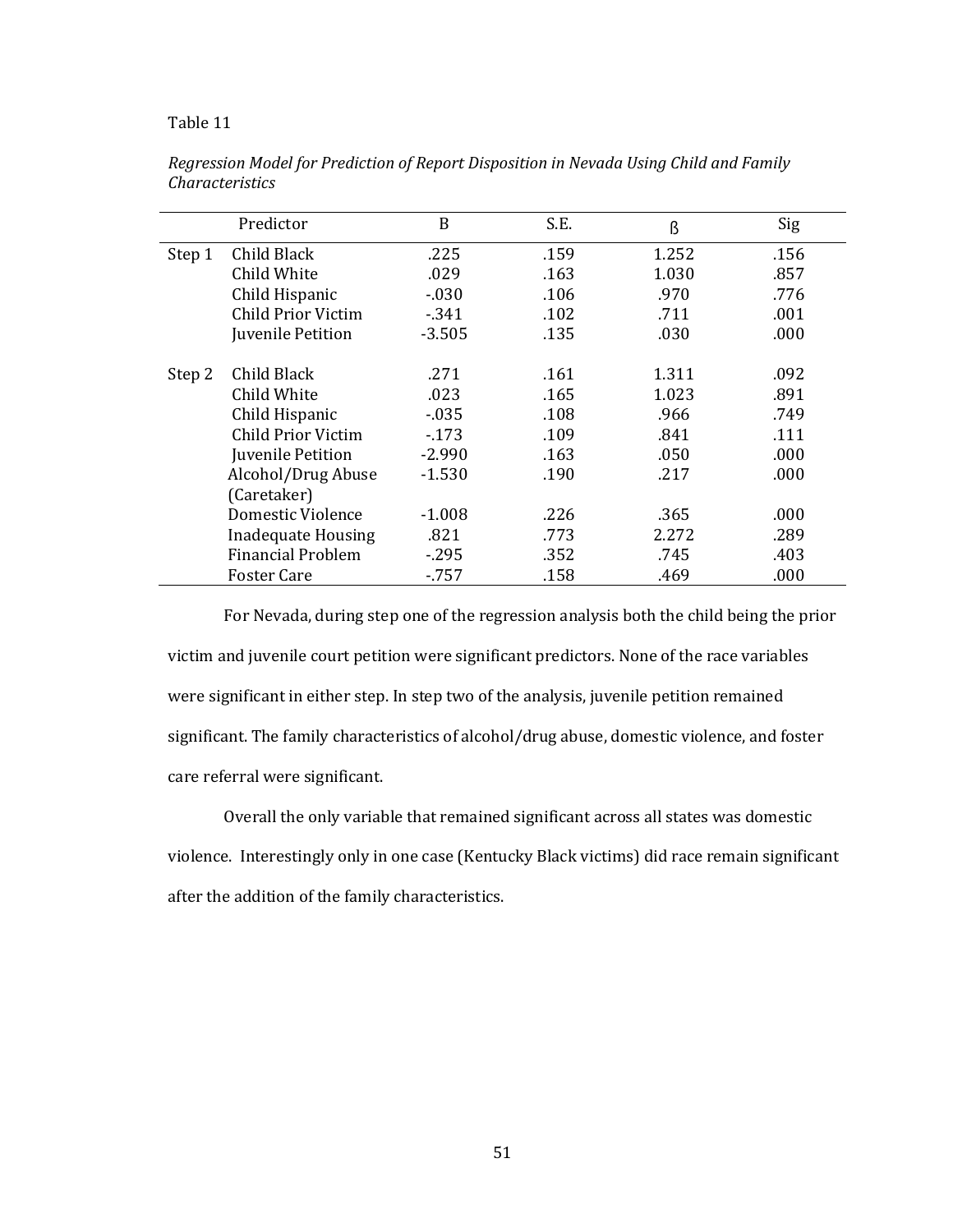|        | Predictor                | B        | S.E. | ß     | Sig  |
|--------|--------------------------|----------|------|-------|------|
| Step 1 | Child Black              | .225     | .159 | 1.252 | .156 |
|        | Child White              | .029     | .163 | 1.030 | .857 |
|        | Child Hispanic           | $-030$   | .106 | .970  | .776 |
|        | Child Prior Victim       | $-341$   | .102 | .711  | .001 |
|        | Juvenile Petition        | $-3.505$ | .135 | .030  | .000 |
|        |                          |          |      |       |      |
| Step 2 | Child Black              | .271     | .161 | 1.311 | .092 |
|        | Child White              | .023     | .165 | 1.023 | .891 |
|        | Child Hispanic           | $-0.35$  | .108 | .966  | .749 |
|        | Child Prior Victim       | $-173$   | .109 | .841  | .111 |
|        | Juvenile Petition        | $-2.990$ | .163 | .050  | .000 |
|        | Alcohol/Drug Abuse       | $-1.530$ | .190 | .217  | .000 |
|        | (Caretaker)              |          |      |       |      |
|        | Domestic Violence        | $-1.008$ | .226 | .365  | .000 |
|        | Inadequate Housing       | .821     | .773 | 2.272 | .289 |
|        | <b>Financial Problem</b> | $-295$   | .352 | .745  | .403 |
|        | <b>Foster Care</b>       | $-757$   | .158 | .469  | .000 |

*Regression Model for Prediction of Report Disposition in Nevada Using Child and Family Characteristics*

For Nevada, during step one of the regression analysis both the child being the prior victim and juvenile court petition were significant predictors. None of the race variables were significant in either step. In step two of the analysis, juvenile petition remained significant. The family characteristics of alcohol/drug abuse, domestic violence, and foster care referral were significant.

Overall the only variable that remained significant across all states was domestic violence. Interestingly only in one case (Kentucky Black victims) did race remain significant after the addition of the family characteristics.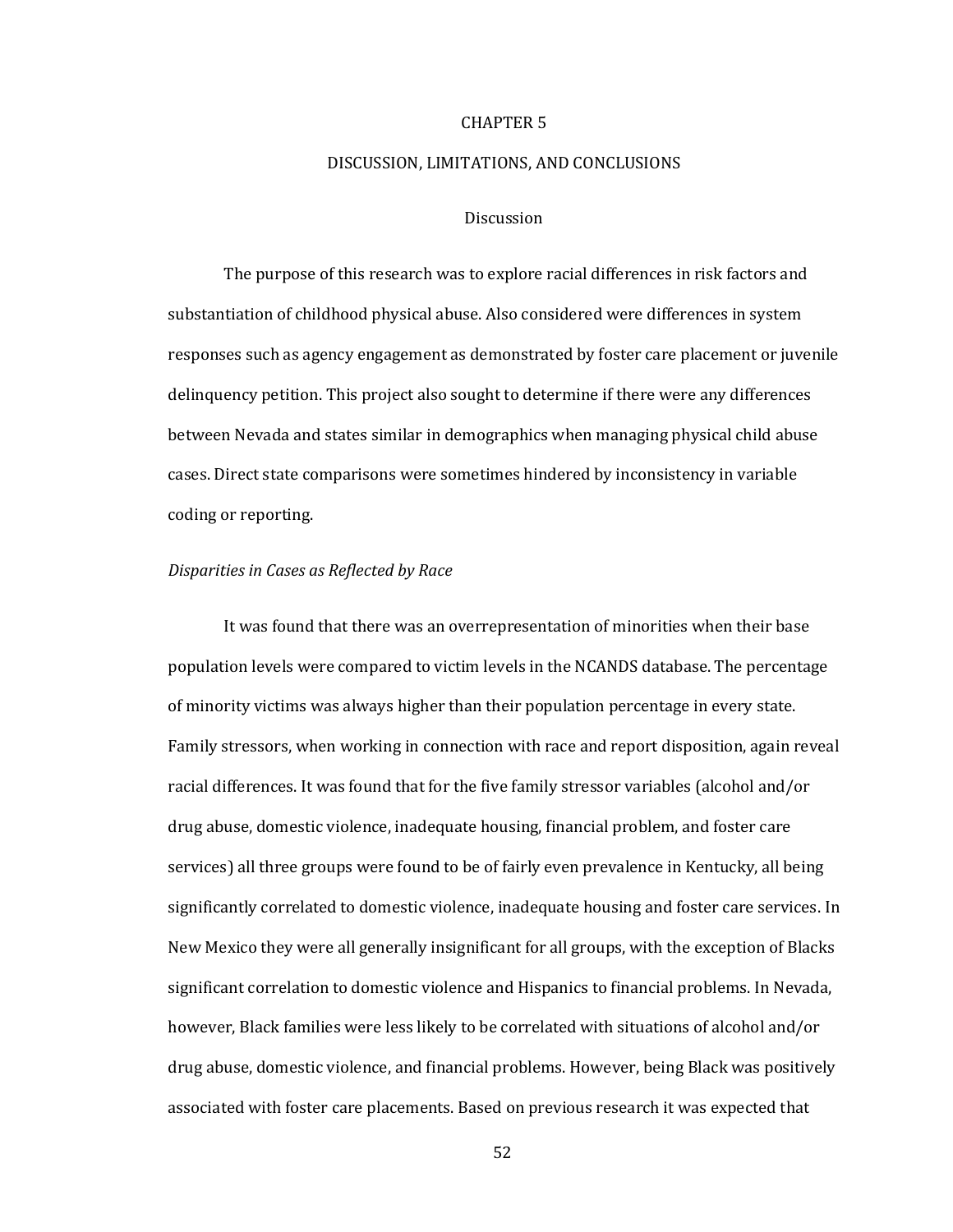## CHAPTER 5

# DISCUSSION, LIMITATIONS, AND CONCLUSIONS

### **Discussion**

The purpose of this research was to explore racial differences in risk factors and substantiation of childhood physical abuse. Also considered were differences in system responses such as agency engagement as demonstrated by foster care placement or juvenile delinquency petition. This project also sought to determine if there were any differences between Nevada and states similar in demographics when managing physical child abuse cases. Direct state comparisons were sometimes hindered by inconsistency in variable coding or reporting.

### *Disparities in Cases as Reflected by Race*

It was found that there was an overrepresentation of minorities when their base population levels were compared to victim levels in the NCANDS database. The percentage of minority victims was always higher than their population percentage in every state. Family stressors, when working in connection with race and report disposition, again reveal racial differences. It was found that for the five family stressor variables (alcohol and/or drug abuse, domestic violence, inadequate housing, financial problem, and foster care services) all three groups were found to be of fairly even prevalence in Kentucky, all being significantly correlated to domestic violence, inadequate housing and foster care services. In New Mexico they were all generally insignificant for all groups, with the exception of Blacks significant correlation to domestic violence and Hispanics to financial problems. In Nevada, however, Black families were less likely to be correlated with situations of alcohol and/or drug abuse, domestic violence, and financial problems. However, being Black was positively associated with foster care placements. Based on previous research it was expected that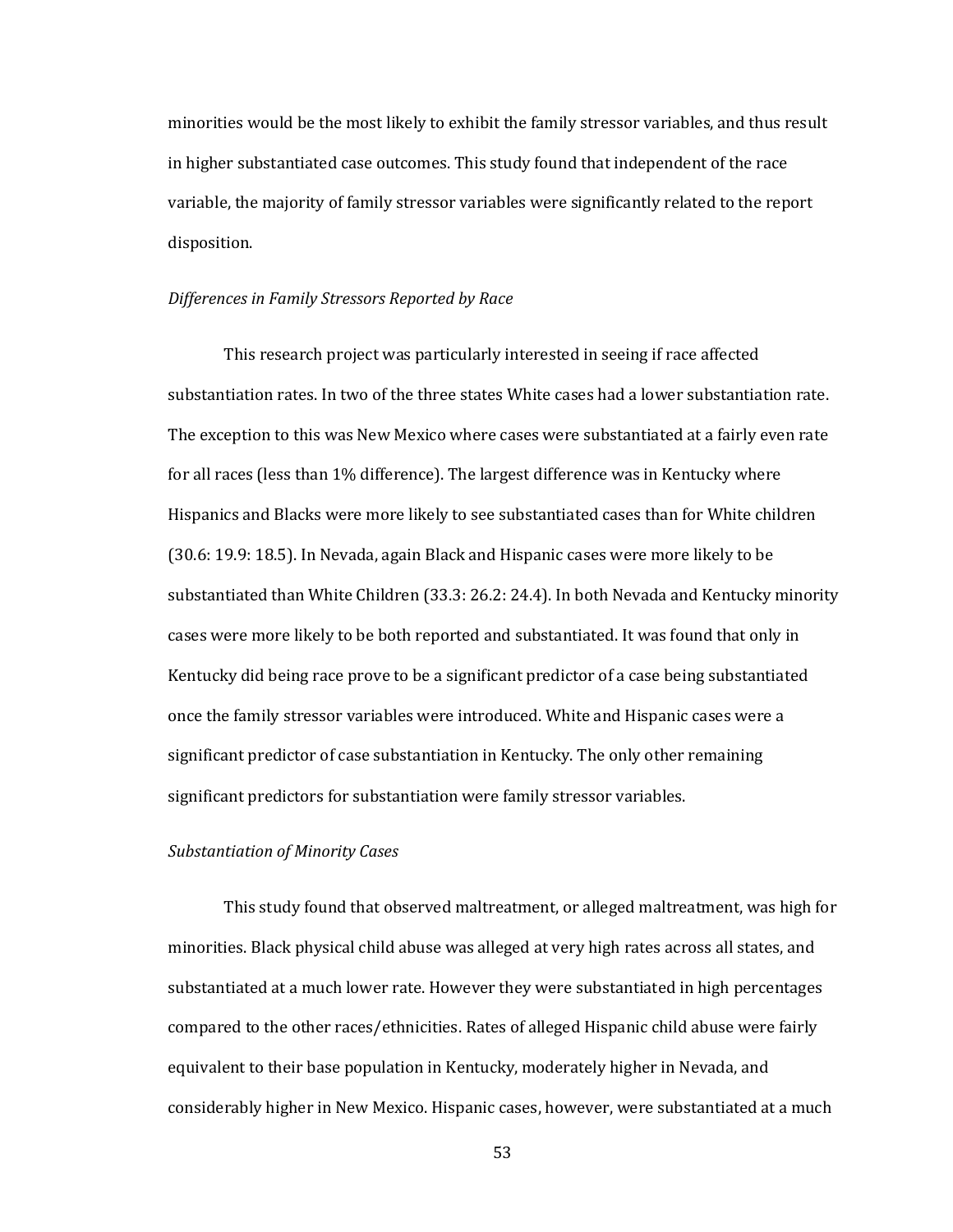minorities would be the most likely to exhibit the family stressor variables, and thus result in higher substantiated case outcomes. This study found that independent of the race variable, the majority of family stressor variables were significantly related to the report disposition.

# *Differences in Family Stressors Reported by Race*

This research project was particularly interested in seeing if race affected substantiation rates. In two of the three states White cases had a lower substantiation rate. The exception to this was New Mexico where cases were substantiated at a fairly even rate for all races (less than 1% difference). The largest difference was in Kentucky where Hispanics and Blacks were more likely to see substantiated cases than for White children (30.6: 19.9: 18.5). In Nevada, again Black and Hispanic cases were more likely to be substantiated than White Children (33.3: 26.2: 24.4). In both Nevada and Kentucky minority cases were more likely to be both reported and substantiated. It was found that only in Kentucky did being race prove to be a significant predictor of a case being substantiated once the family stressor variables were introduced. White and Hispanic cases were a significant predictor of case substantiation in Kentucky. The only other remaining significant predictors for substantiation were family stressor variables.

## *Substantiation of Minority Cases*

This study found that observed maltreatment, or alleged maltreatment, was high for minorities. Black physical child abuse was alleged at very high rates across all states, and substantiated at a much lower rate. However they were substantiated in high percentages compared to the other races/ethnicities. Rates of alleged Hispanic child abuse were fairly equivalent to their base population in Kentucky, moderately higher in Nevada, and considerably higher in New Mexico. Hispanic cases, however, were substantiated at a much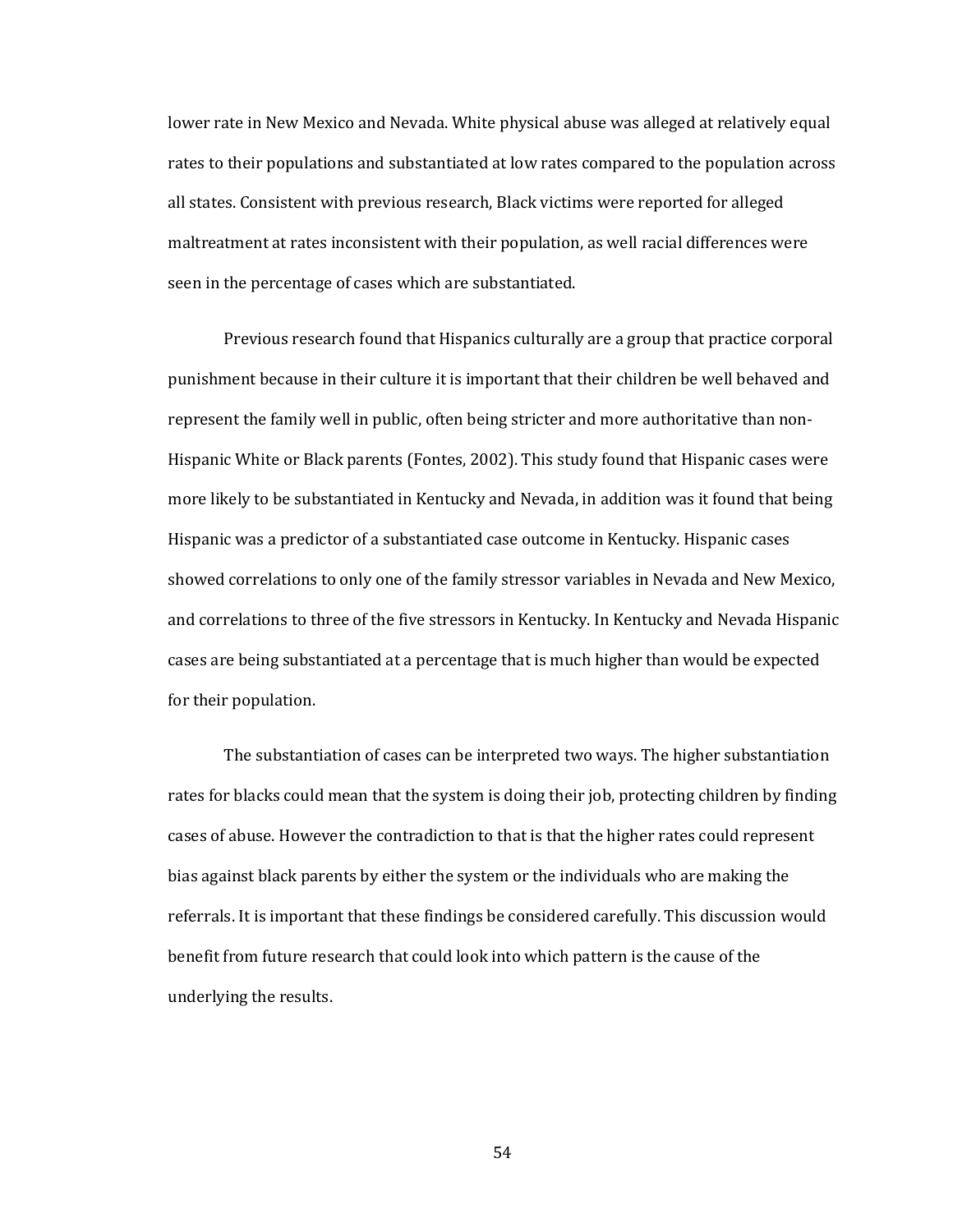lower rate in New Mexico and Nevada. White physical abuse was alleged at relatively equal rates to their populations and substantiated at low rates compared to the population across all states. Consistent with previous research, Black victims were reported for alleged maltreatment at rates inconsistent with their population, as well racial differences were seen in the percentage of cases which are substantiated.

Previous research found that Hispanics culturally are a group that practice corporal punishment because in their culture it is important that their children be well behaved and represent the family well in public, often being stricter and more authoritative than non-Hispanic White or Black parents (Fontes, 2002). This study found that Hispanic cases were more likely to be substantiated in Kentucky and Nevada, in addition was it found that being Hispanic was a predictor of a substantiated case outcome in Kentucky. Hispanic cases showed correlations to only one of the family stressor variables in Nevada and New Mexico, and correlations to three of the five stressors in Kentucky. In Kentucky and Nevada Hispanic cases are being substantiated at a percentage that is much higher than would be expected for their population.

The substantiation of cases can be interpreted two ways. The higher substantiation rates for blacks could mean that the system is doing their job, protecting children by finding cases of abuse. However the contradiction to that is that the higher rates could represent bias against black parents by either the system or the individuals who are making the referrals. It is important that these findings be considered carefully. This discussion would benefit from future research that could look into which pattern is the cause of the underlying the results.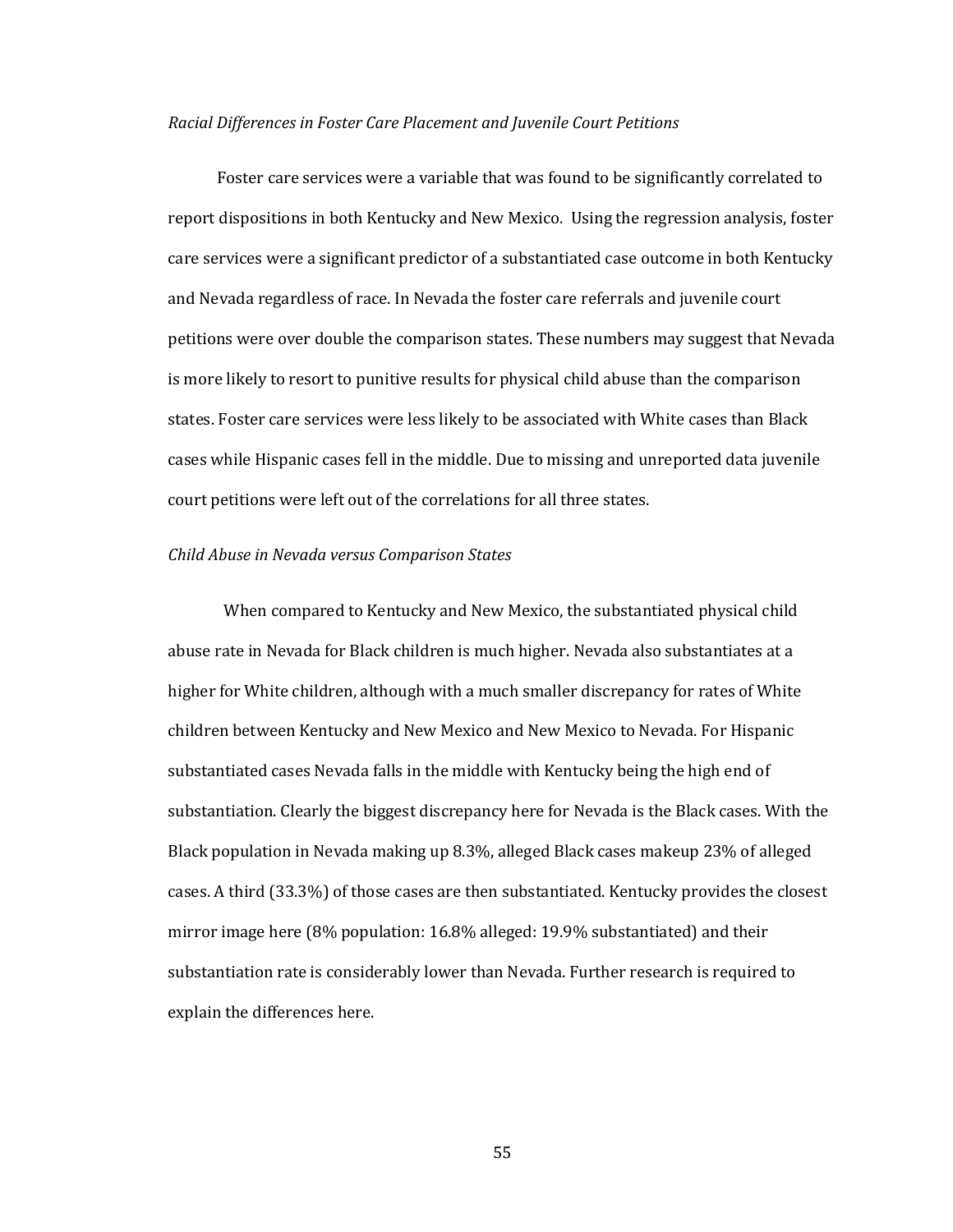### *Racial Differences in Foster Care Placement and Juvenile Court Petitions*

Foster care services were a variable that was found to be significantly correlated to report dispositions in both Kentucky and New Mexico. Using the regression analysis, foster care services were a significant predictor of a substantiated case outcome in both Kentucky and Nevada regardless of race. In Nevada the foster care referrals and juvenile court petitions were over double the comparison states. These numbers may suggest that Nevada is more likely to resort to punitive results for physical child abuse than the comparison states. Foster care services were less likely to be associated with White cases than Black cases while Hispanic cases fell in the middle. Due to missing and unreported data juvenile court petitions were left out of the correlations for all three states.

## *Child Abuse in Nevada versus Comparison States*

When compared to Kentucky and New Mexico, the substantiated physical child abuse rate in Nevada for Black children is much higher. Nevada also substantiates at a higher for White children, although with a much smaller discrepancy for rates of White children between Kentucky and New Mexico and New Mexico to Nevada. For Hispanic substantiated cases Nevada falls in the middle with Kentucky being the high end of substantiation. Clearly the biggest discrepancy here for Nevada is the Black cases. With the Black population in Nevada making up 8.3%, alleged Black cases makeup 23% of alleged cases. A third (33.3%) of those cases are then substantiated. Kentucky provides the closest mirror image here (8% population: 16.8% alleged: 19.9% substantiated) and their substantiation rate is considerably lower than Nevada. Further research is required to explain the differences here.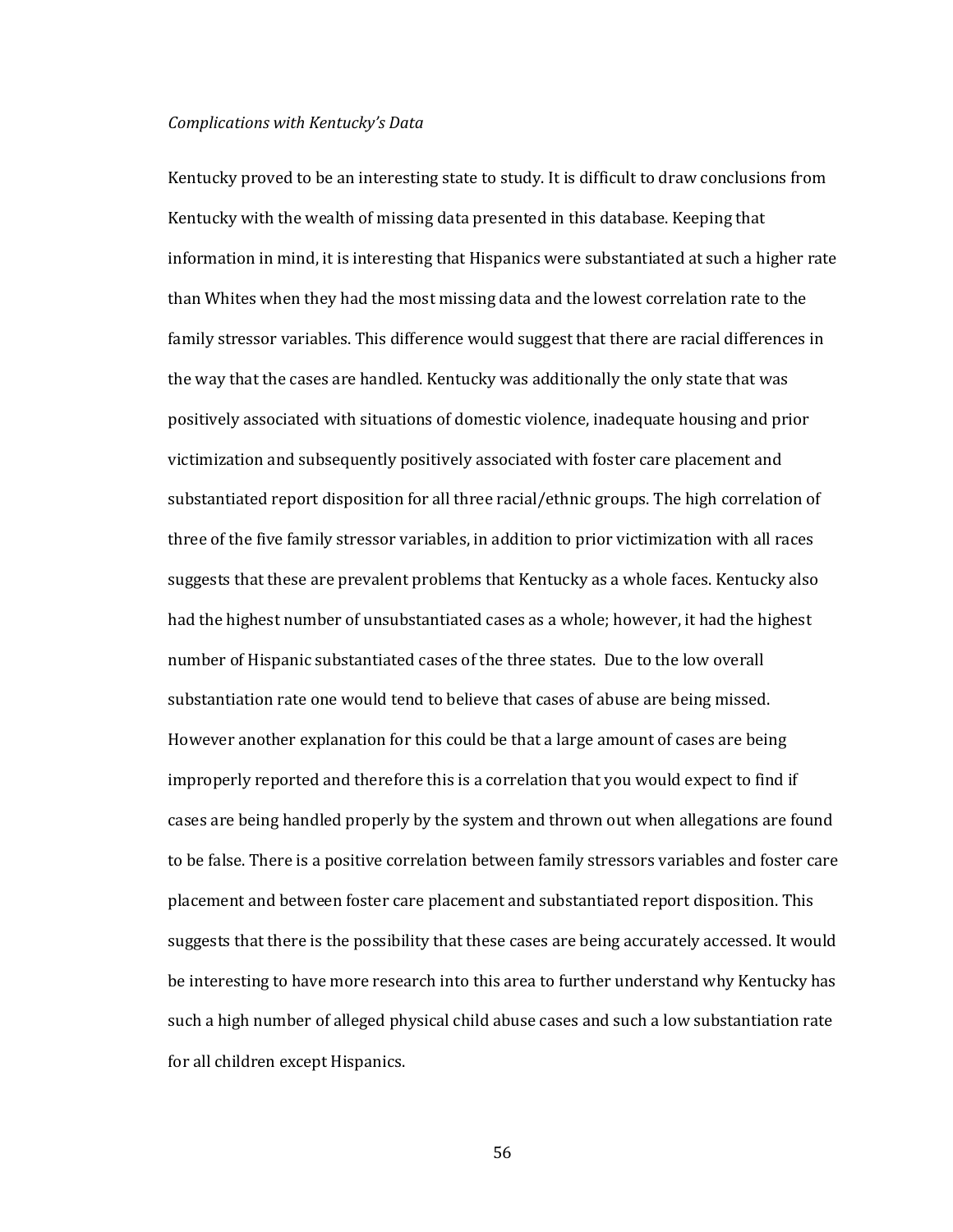### *Complications with Kentucky's Data*

Kentucky proved to be an interesting state to study. It is difficult to draw conclusions from Kentucky with the wealth of missing data presented in this database. Keeping that information in mind, it is interesting that Hispanics were substantiated at such a higher rate than Whites when they had the most missing data and the lowest correlation rate to the family stressor variables. This difference would suggest that there are racial differences in the way that the cases are handled. Kentucky was additionally the only state that was positively associated with situations of domestic violence, inadequate housing and prior victimization and subsequently positively associated with foster care placement and substantiated report disposition for all three racial/ethnic groups. The high correlation of three of the five family stressor variables, in addition to prior victimization with all races suggests that these are prevalent problems that Kentucky as a whole faces. Kentucky also had the highest number of unsubstantiated cases as a whole; however, it had the highest number of Hispanic substantiated cases of the three states. Due to the low overall substantiation rate one would tend to believe that cases of abuse are being missed. However another explanation for this could be that a large amount of cases are being improperly reported and therefore this is a correlation that you would expect to find if cases are being handled properly by the system and thrown out when allegations are found to be false. There is a positive correlation between family stressors variables and foster care placement and between foster care placement and substantiated report disposition. This suggests that there is the possibility that these cases are being accurately accessed. It would be interesting to have more research into this area to further understand why Kentucky has such a high number of alleged physical child abuse cases and such a low substantiation rate for all children except Hispanics.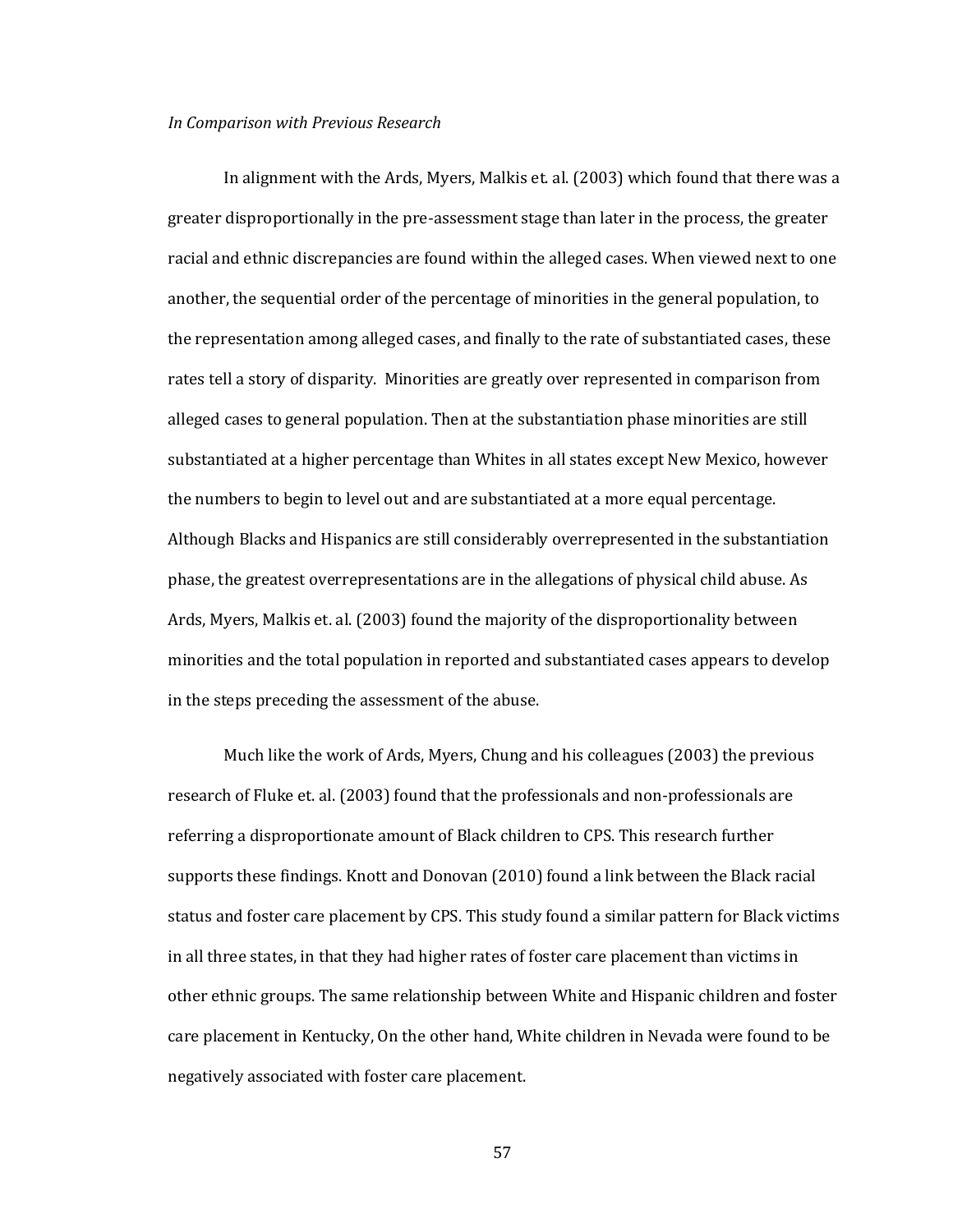#### *In Comparison with Previous Research*

In alignment with the Ards, Myers, Malkis et. al. (2003) which found that there was a greater disproportionally in the pre-assessment stage than later in the process, the greater racial and ethnic discrepancies are found within the alleged cases. When viewed next to one another, the sequential order of the percentage of minorities in the general population, to the representation among alleged cases, and finally to the rate of substantiated cases, these rates tell a story of disparity. Minorities are greatly over represented in comparison from alleged cases to general population. Then at the substantiation phase minorities are still substantiated at a higher percentage than Whites in all states except New Mexico, however the numbers to begin to level out and are substantiated at a more equal percentage. Although Blacks and Hispanics are still considerably overrepresented in the substantiation phase, the greatest overrepresentations are in the allegations of physical child abuse. As Ards, Myers, Malkis et. al. (2003) found the majority of the disproportionality between minorities and the total population in reported and substantiated cases appears to develop in the steps preceding the assessment of the abuse.

Much like the work of Ards, Myers, Chung and his colleagues (2003) the previous research of Fluke et. al. (2003) found that the professionals and non-professionals are referring a disproportionate amount of Black children to CPS. This research further supports these findings. Knott and Donovan (2010) found a link between the Black racial status and foster care placement by CPS. This study found a similar pattern for Black victims in all three states, in that they had higher rates of foster care placement than victims in other ethnic groups. The same relationship between White and Hispanic children and foster care placement in Kentucky, On the other hand, White children in Nevada were found to be negatively associated with foster care placement.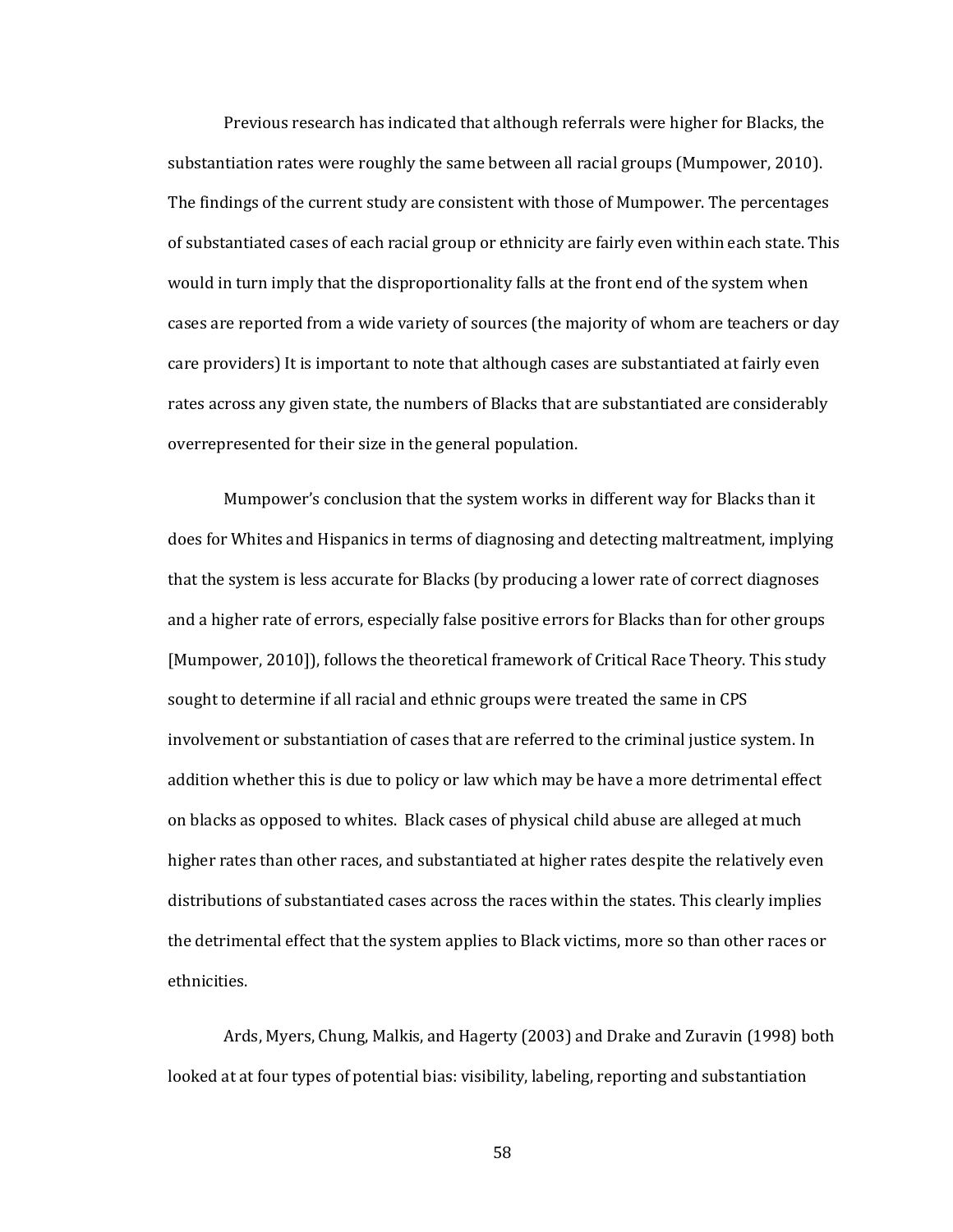Previous research has indicated that although referrals were higher for Blacks, the substantiation rates were roughly the same between all racial groups (Mumpower, 2010). The findings of the current study are consistent with those of Mumpower. The percentages of substantiated cases of each racial group or ethnicity are fairly even within each state. This would in turn imply that the disproportionality falls at the front end of the system when cases are reported from a wide variety of sources (the majority of whom are teachers or day care providers) It is important to note that although cases are substantiated at fairly even rates across any given state, the numbers of Blacks that are substantiated are considerably overrepresented for their size in the general population.

Mumpower's conclusion that the system works in different way for Blacks than it does for Whites and Hispanics in terms of diagnosing and detecting maltreatment, implying that the system is less accurate for Blacks (by producing a lower rate of correct diagnoses and a higher rate of errors, especially false positive errors for Blacks than for other groups [Mumpower, 2010]), follows the theoretical framework of Critical Race Theory. This study sought to determine if all racial and ethnic groups were treated the same in CPS involvement or substantiation of cases that are referred to the criminal justice system. In addition whether this is due to policy or law which may be have a more detrimental effect on blacks as opposed to whites. Black cases of physical child abuse are alleged at much higher rates than other races, and substantiated at higher rates despite the relatively even distributions of substantiated cases across the races within the states. This clearly implies the detrimental effect that the system applies to Black victims, more so than other races or ethnicities.

Ards, Myers, Chung, Malkis, and Hagerty (2003) and Drake and Zuravin (1998) both looked at at four types of potential bias: visibility, labeling, reporting and substantiation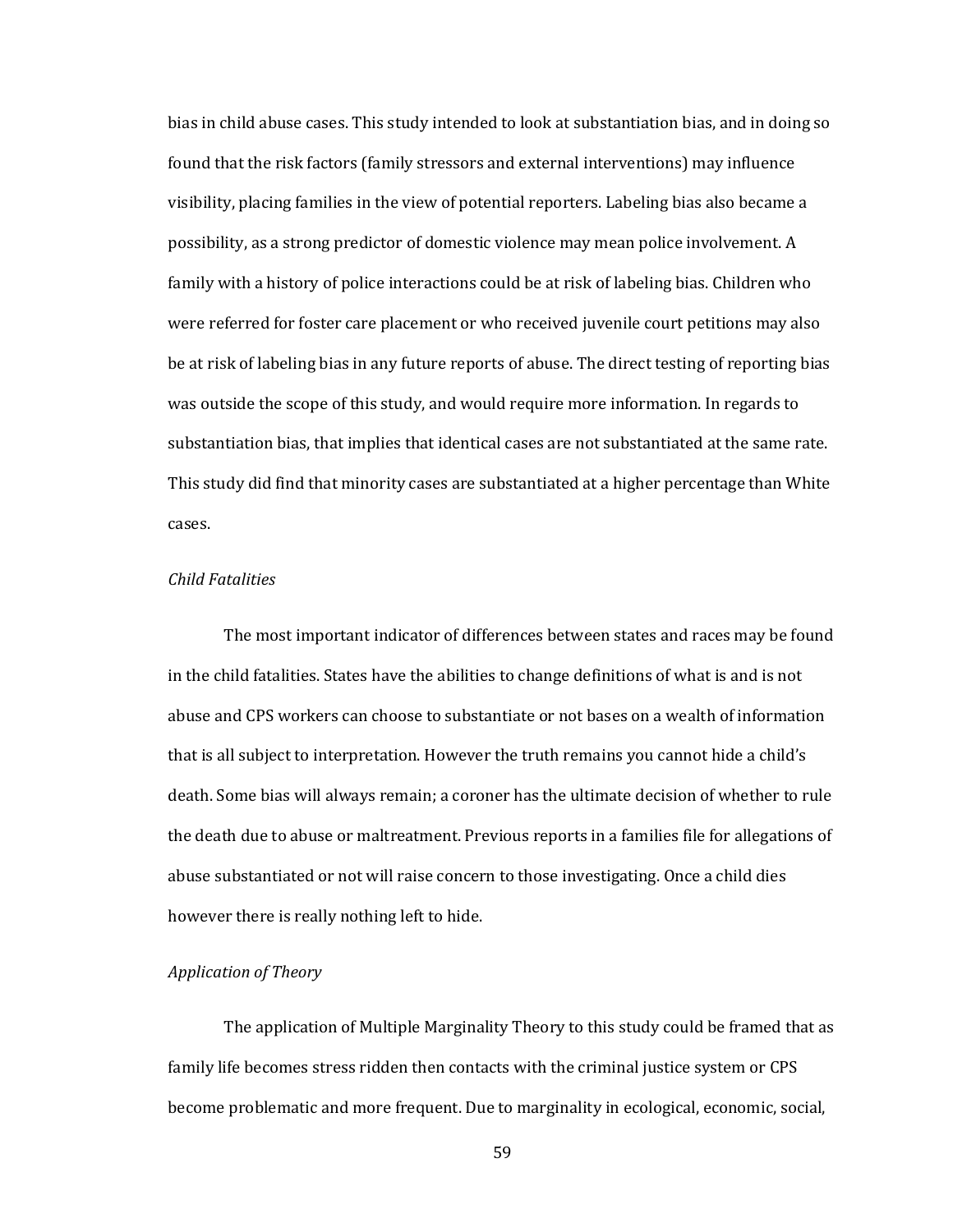bias in child abuse cases. This study intended to look at substantiation bias, and in doing so found that the risk factors (family stressors and external interventions) may influence visibility, placing families in the view of potential reporters. Labeling bias also became a possibility, as a strong predictor of domestic violence may mean police involvement. A family with a history of police interactions could be at risk of labeling bias. Children who were referred for foster care placement or who received juvenile court petitions may also be at risk of labeling bias in any future reports of abuse. The direct testing of reporting bias was outside the scope of this study, and would require more information. In regards to substantiation bias, that implies that identical cases are not substantiated at the same rate. This study did find that minority cases are substantiated at a higher percentage than White cases.

### *Child Fatalities*

The most important indicator of differences between states and races may be found in the child fatalities. States have the abilities to change definitions of what is and is not abuse and CPS workers can choose to substantiate or not bases on a wealth of information that is all subject to interpretation. However the truth remains you cannot hide a child's death. Some bias will always remain; a coroner has the ultimate decision of whether to rule the death due to abuse or maltreatment. Previous reports in a families file for allegations of abuse substantiated or not will raise concern to those investigating. Once a child dies however there is really nothing left to hide.

# *Application of Theory*

The application of Multiple Marginality Theory to this study could be framed that as family life becomes stress ridden then contacts with the criminal justice system or CPS become problematic and more frequent. Due to marginality in ecological, economic, social,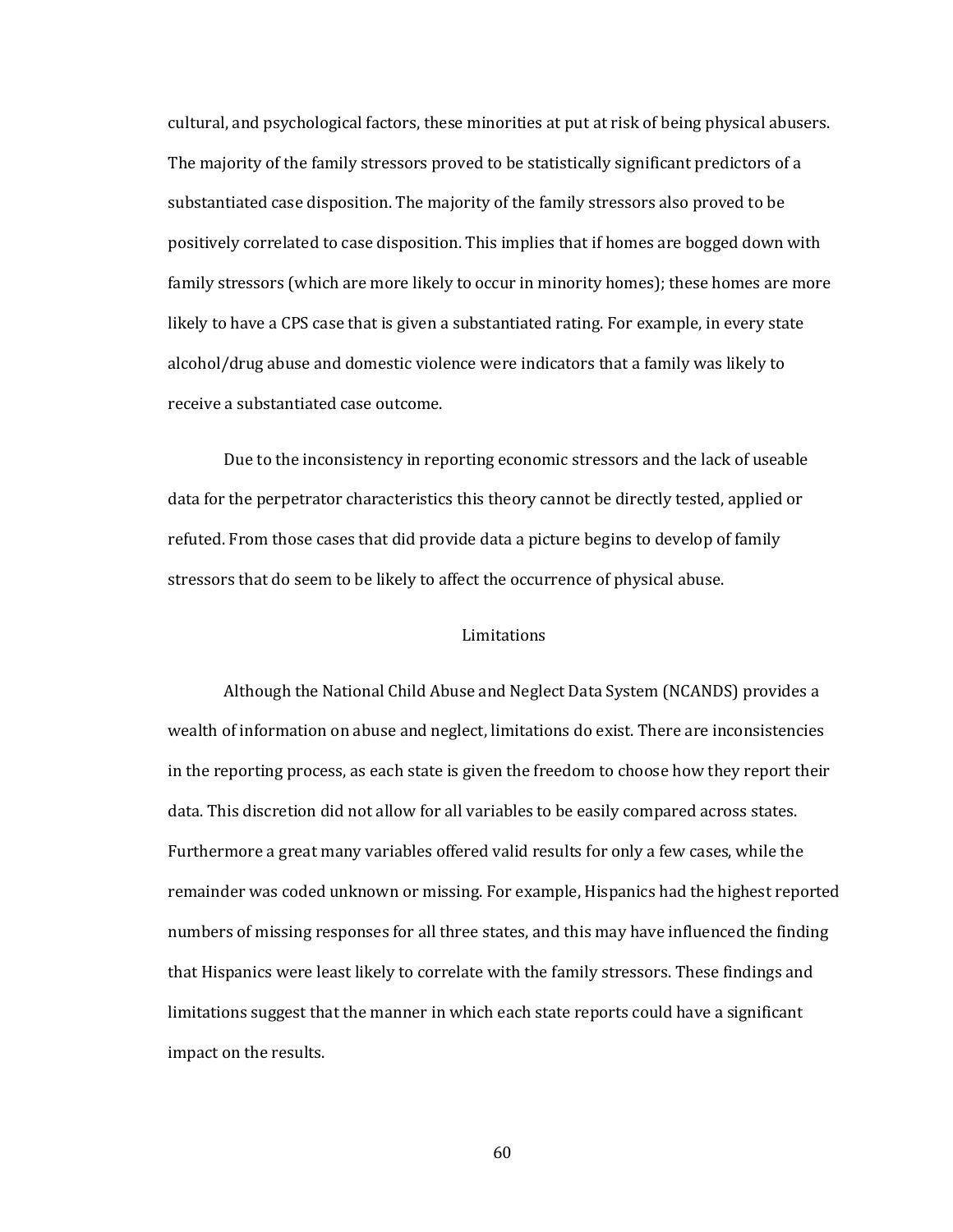cultural, and psychological factors, these minorities at put at risk of being physical abusers. The majority of the family stressors proved to be statistically significant predictors of a substantiated case disposition. The majority of the family stressors also proved to be positively correlated to case disposition. This implies that if homes are bogged down with family stressors (which are more likely to occur in minority homes); these homes are more likely to have a CPS case that is given a substantiated rating. For example, in every state alcohol/drug abuse and domestic violence were indicators that a family was likely to receive a substantiated case outcome.

Due to the inconsistency in reporting economic stressors and the lack of useable data for the perpetrator characteristics this theory cannot be directly tested, applied or refuted. From those cases that did provide data a picture begins to develop of family stressors that do seem to be likely to affect the occurrence of physical abuse.

### Limitations

Although the National Child Abuse and Neglect Data System (NCANDS) provides a wealth of information on abuse and neglect, limitations do exist. There are inconsistencies in the reporting process, as each state is given the freedom to choose how they report their data. This discretion did not allow for all variables to be easily compared across states. Furthermore a great many variables offered valid results for only a few cases, while the remainder was coded unknown or missing. For example, Hispanics had the highest reported numbers of missing responses for all three states, and this may have influenced the finding that Hispanics were least likely to correlate with the family stressors. These findings and limitations suggest that the manner in which each state reports could have a significant impact on the results.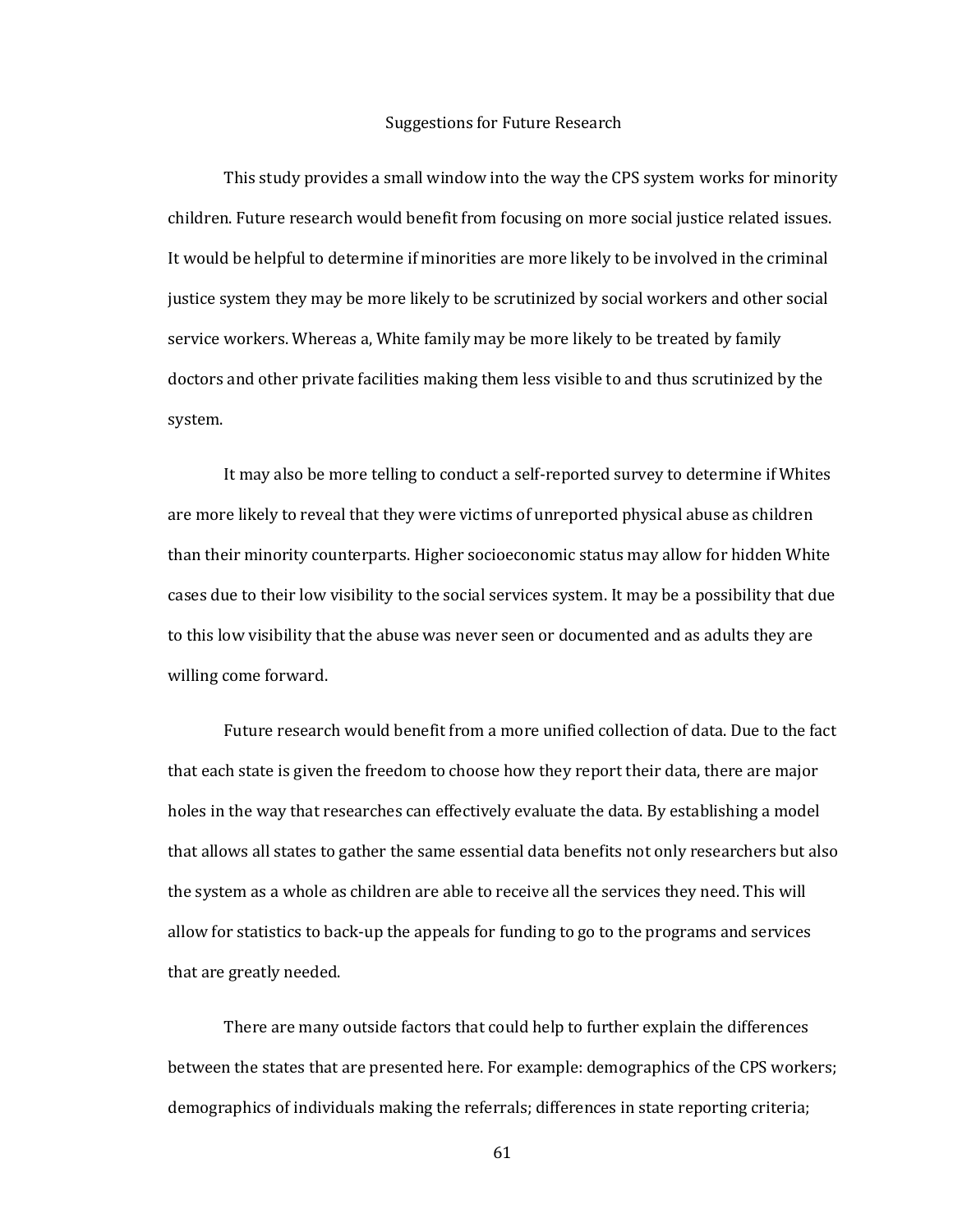### Suggestions for Future Research

This study provides a small window into the way the CPS system works for minority children. Future research would benefit from focusing on more social justice related issues. It would be helpful to determine if minorities are more likely to be involved in the criminal justice system they may be more likely to be scrutinized by social workers and other social service workers. Whereas a, White family may be more likely to be treated by family doctors and other private facilities making them less visible to and thus scrutinized by the system.

It may also be more telling to conduct a self-reported survey to determine if Whites are more likely to reveal that they were victims of unreported physical abuse as children than their minority counterparts. Higher socioeconomic status may allow for hidden White cases due to their low visibility to the social services system. It may be a possibility that due to this low visibility that the abuse was never seen or documented and as adults they are willing come forward.

Future research would benefit from a more unified collection of data. Due to the fact that each state is given the freedom to choose how they report their data, there are major holes in the way that researches can effectively evaluate the data. By establishing a model that allows all states to gather the same essential data benefits not only researchers but also the system as a whole as children are able to receive all the services they need. This will allow for statistics to back-up the appeals for funding to go to the programs and services that are greatly needed.

There are many outside factors that could help to further explain the differences between the states that are presented here. For example: demographics of the CPS workers; demographics of individuals making the referrals; differences in state reporting criteria;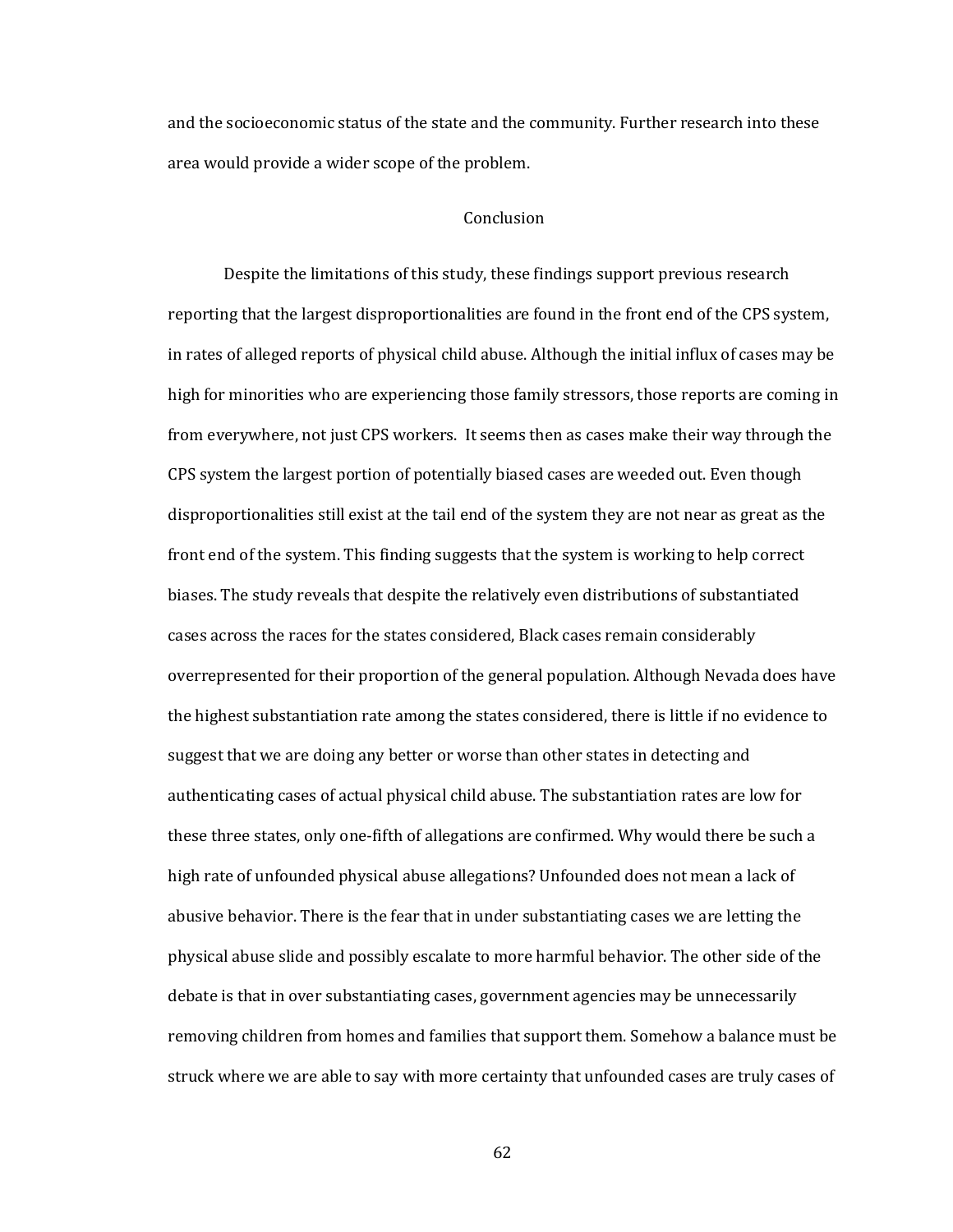and the socioeconomic status of the state and the community. Further research into these area would provide a wider scope of the problem.

# Conclusion

Despite the limitations of this study, these findings support previous research reporting that the largest disproportionalities are found in the front end of the CPS system, in rates of alleged reports of physical child abuse. Although the initial influx of cases may be high for minorities who are experiencing those family stressors, those reports are coming in from everywhere, not just CPS workers. It seems then as cases make their way through the CPS system the largest portion of potentially biased cases are weeded out. Even though disproportionalities still exist at the tail end of the system they are not near as great as the front end of the system. This finding suggests that the system is working to help correct biases. The study reveals that despite the relatively even distributions of substantiated cases across the races for the states considered, Black cases remain considerably overrepresented for their proportion of the general population. Although Nevada does have the highest substantiation rate among the states considered, there is little if no evidence to suggest that we are doing any better or worse than other states in detecting and authenticating cases of actual physical child abuse. The substantiation rates are low for these three states, only one-fifth of allegations are confirmed. Why would there be such a high rate of unfounded physical abuse allegations? Unfounded does not mean a lack of abusive behavior. There is the fear that in under substantiating cases we are letting the physical abuse slide and possibly escalate to more harmful behavior. The other side of the debate is that in over substantiating cases, government agencies may be unnecessarily removing children from homes and families that support them. Somehow a balance must be struck where we are able to say with more certainty that unfounded cases are truly cases of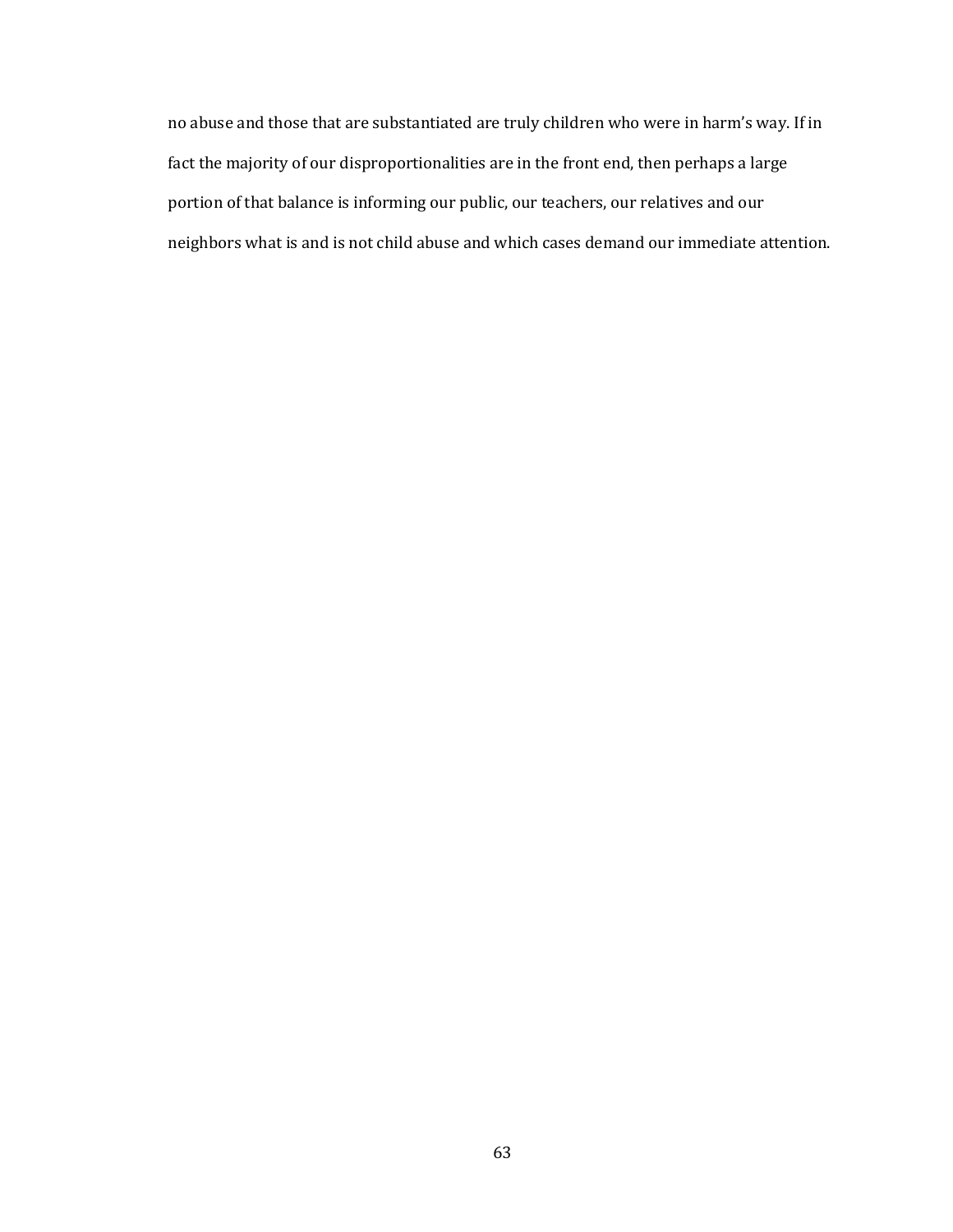no abuse and those that are substantiated are truly children who were in harm's way. If in fact the majority of our disproportionalities are in the front end, then perhaps a large portion of that balance is informing our public, our teachers, our relatives and our neighbors what is and is not child abuse and which cases demand our immediate attention.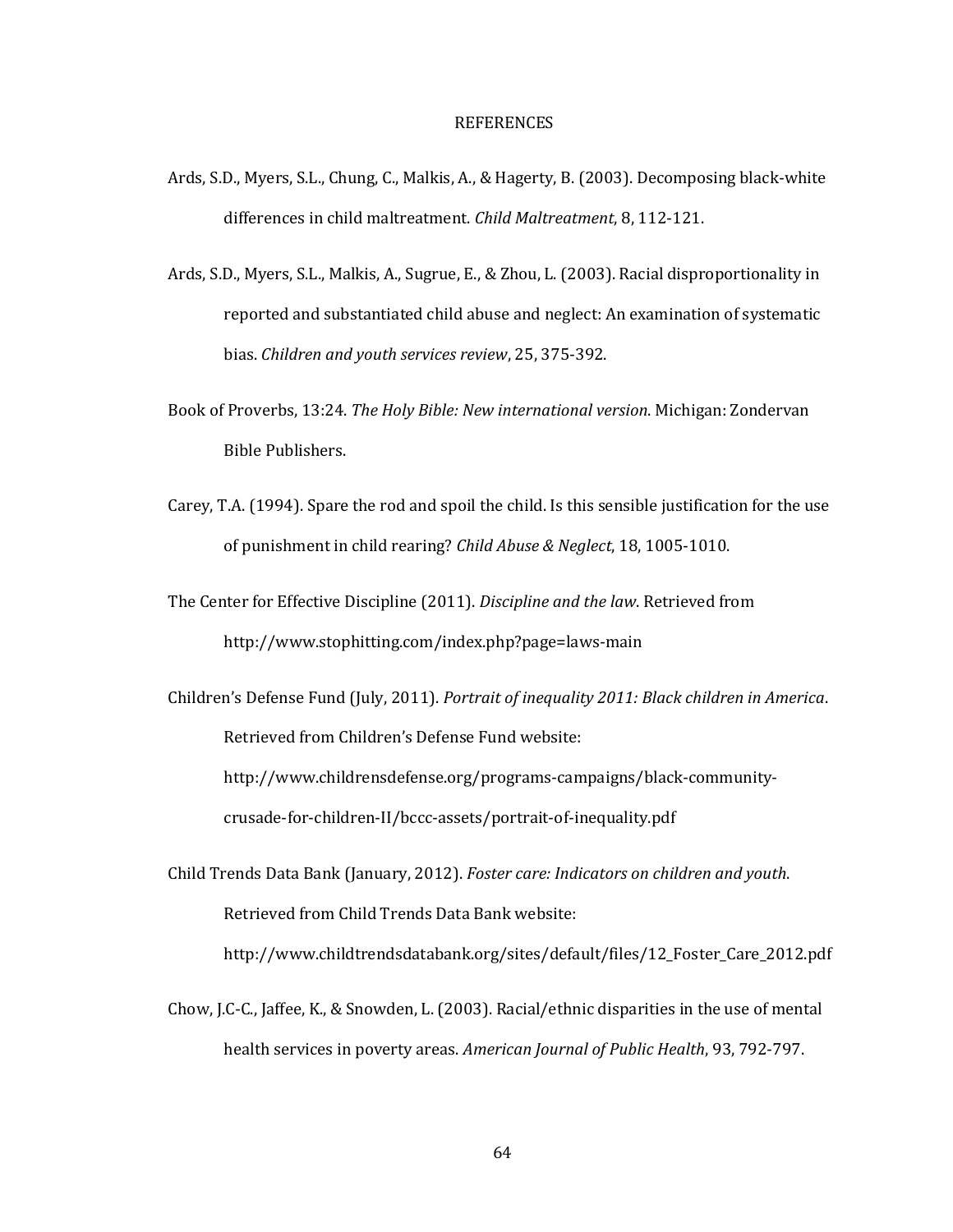#### REFERENCES

- Ards, S.D., Myers, S.L., Chung, C., Malkis, A., & Hagerty, B. (2003). Decomposing black-white differences in child maltreatment. *Child Maltreatment*, 8, 112-121.
- Ards, S.D., Myers, S.L., Malkis, A., Sugrue, E., & Zhou, L. (2003). Racial disproportionality in reported and substantiated child abuse and neglect: An examination of systematic bias. *Children and youth services review*, 25, 375-392.
- Book of Proverbs, 13:24. *The Holy Bible: New international version*. Michigan: Zondervan Bible Publishers.
- Carey, T.A. (1994). Spare the rod and spoil the child. Is this sensible justification for the use of punishment in child rearing? *Child Abuse & Neglect*, 18, 1005-1010.
- The Center for Effective Discipline (2011). *Discipline and the law*. Retrieved from http://www.stophitting.com/index.php?page=laws-main

Children's Defense Fund (July, 2011). *Portrait of inequality 2011: Black children in America*. Retrieved from Children's Defense Fund website: http://www.childrensdefense.org/programs-campaigns/black-communitycrusade-for-children-II/bccc-assets/portrait-of-inequality.pdf

- Child Trends Data Bank (January, 2012). *Foster care: Indicators on children and youth*. Retrieved from Child Trends Data Bank website: http://www.childtrendsdatabank.org/sites/default/files/12\_Foster\_Care\_2012.pdf
- Chow, J.C-C., Jaffee, K., & Snowden, L. (2003). Racial/ethnic disparities in the use of mental health services in poverty areas. *American Journal of Public Health*, 93, 792-797.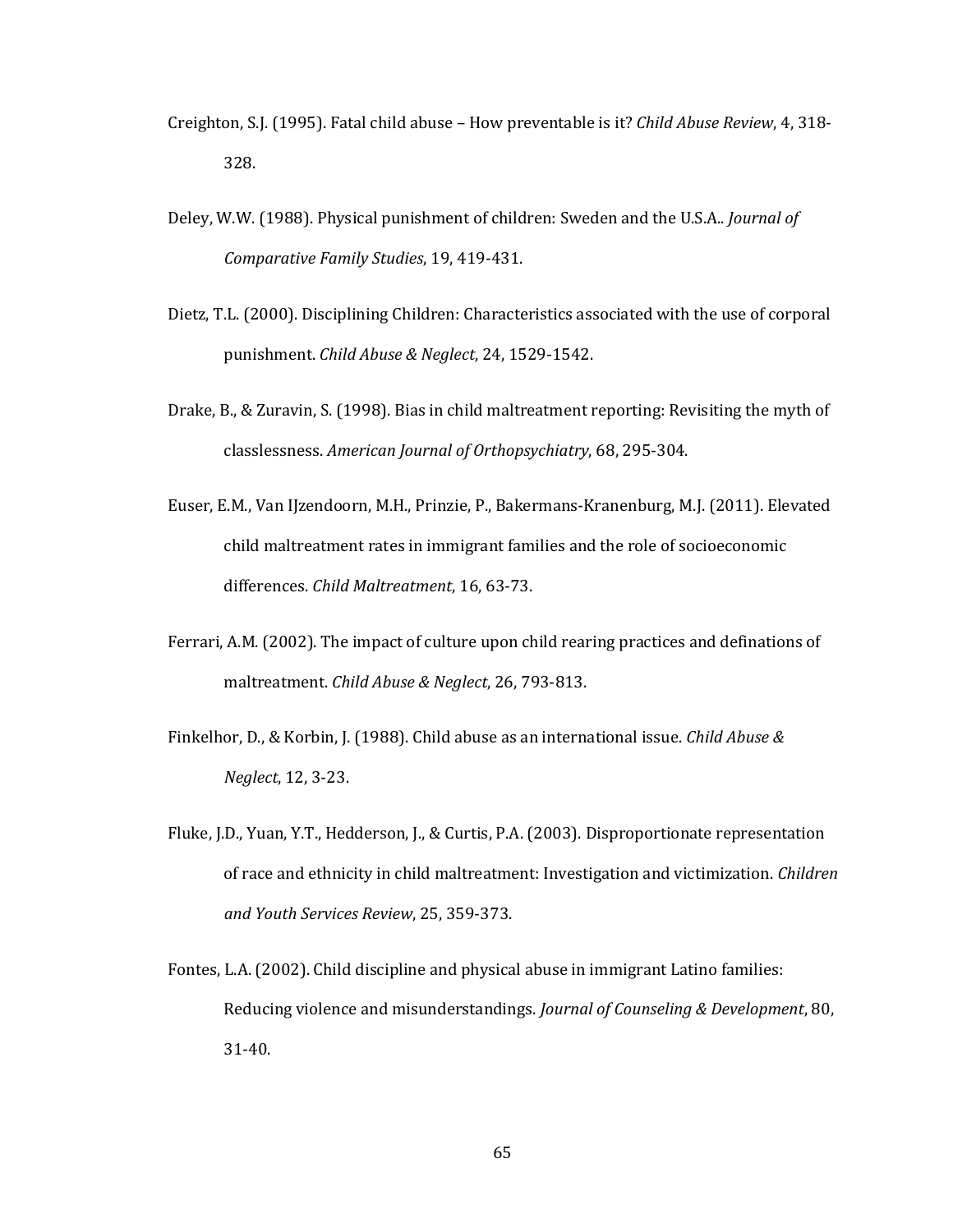- Creighton, S.J. (1995). Fatal child abuse How preventable is it? *Child Abuse Review*, 4, 318- 328.
- Deley, W.W. (1988). Physical punishment of children: Sweden and the U.S.A.. *Journal of Comparative Family Studies*, 19, 419-431.
- Dietz, T.L. (2000). Disciplining Children: Characteristics associated with the use of corporal punishment. *Child Abuse & Neglect*, 24, 1529-1542.
- Drake, B., & Zuravin, S. (1998). Bias in child maltreatment reporting: Revisiting the myth of classlessness. *American Journal of Orthopsychiatry*, 68, 295-304.
- Euser, E.M., Van IJzendoorn, M.H., Prinzie, P., Bakermans-Kranenburg, M.J. (2011). Elevated child maltreatment rates in immigrant families and the role of socioeconomic differences. *Child Maltreatment*, 16, 63-73.
- Ferrari, A.M. (2002). The impact of culture upon child rearing practices and definations of maltreatment. *Child Abuse & Neglect*, 26, 793-813.
- Finkelhor, D., & Korbin, J. (1988). Child abuse as an international issue. *Child Abuse & Neglect*, 12, 3-23.
- Fluke, J.D., Yuan, Y.T., Hedderson, J., & Curtis, P.A. (2003). Disproportionate representation of race and ethnicity in child maltreatment: Investigation and victimization. *Children and Youth Services Review*, 25, 359-373.
- Fontes, L.A. (2002). Child discipline and physical abuse in immigrant Latino families: Reducing violence and misunderstandings. *Journal of Counseling & Development*, 80, 31-40.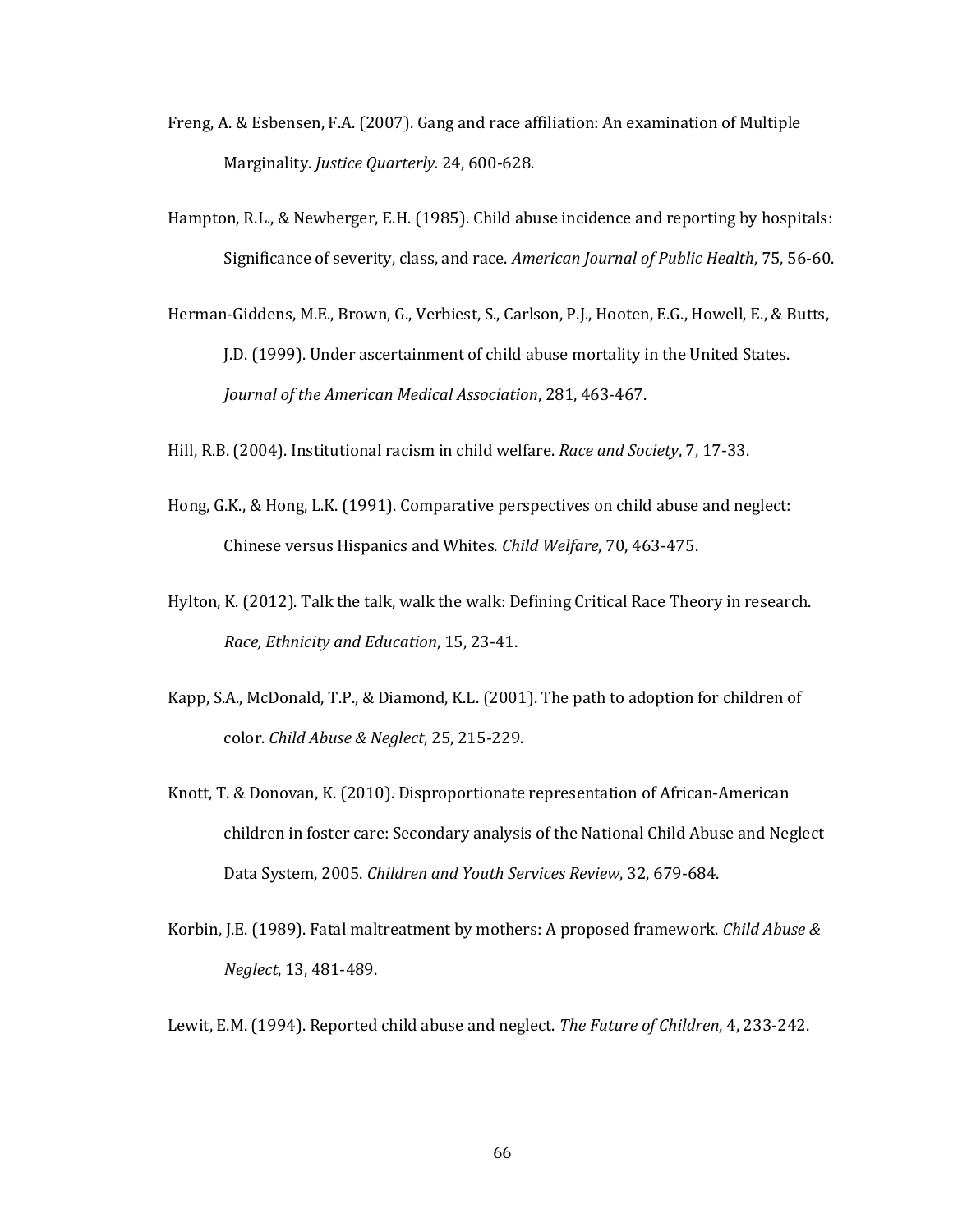- Freng, A. & Esbensen, F.A. (2007). Gang and race affiliation: An examination of Multiple Marginality. *Justice Quarterly.* 24, 600-628.
- Hampton, R.L., & Newberger, E.H. (1985). Child abuse incidence and reporting by hospitals: Significance of severity, class, and race. *American Journal of Public Health*, 75, 56-60.
- Herman-Giddens, M.E., Brown, G., Verbiest, S., Carlson, P.J., Hooten, E.G., Howell, E., & Butts, J.D. (1999). Under ascertainment of child abuse mortality in the United States. *Journal of the American Medical Association*, 281, 463-467.
- Hill, R.B. (2004). Institutional racism in child welfare. *Race and Society*, 7, 17-33.
- Hong, G.K., & Hong, L.K. (1991). Comparative perspectives on child abuse and neglect: Chinese versus Hispanics and Whites. *Child Welfare*, 70, 463-475.
- Hylton, K. (2012). Talk the talk, walk the walk: Defining Critical Race Theory in research. *Race, Ethnicity and Education*, 15, 23-41.
- Kapp, S.A., McDonald, T.P., & Diamond, K.L. (2001). The path to adoption for children of color. *Child Abuse & Neglect*, 25, 215-229.
- Knott, T. & Donovan, K. (2010). Disproportionate representation of African-American children in foster care: Secondary analysis of the National Child Abuse and Neglect Data System, 2005. *Children and Youth Services Review*, 32, 679-684.
- Korbin, J.E. (1989). Fatal maltreatment by mothers: A proposed framework. *Child Abuse & Neglect*, 13, 481-489.
- Lewit, E.M. (1994). Reported child abuse and neglect. *The Future of Children*, 4, 233-242.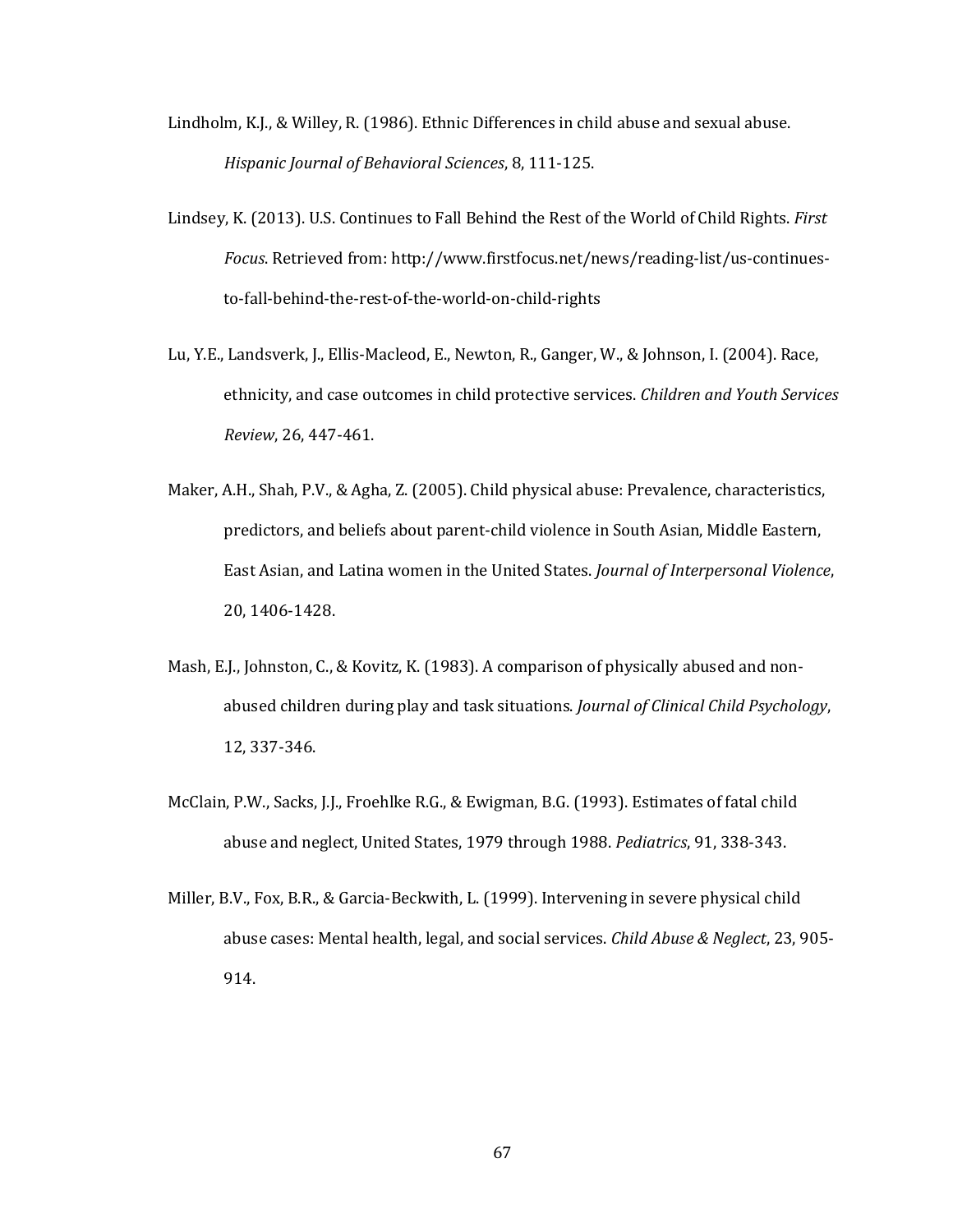- Lindholm, K.J., & Willey, R. (1986). Ethnic Differences in child abuse and sexual abuse. *Hispanic Journal of Behavioral Sciences*, 8, 111-125.
- Lindsey, K. (2013). U.S. Continues to Fall Behind the Rest of the World of Child Rights. *First Focus*. Retrieved from: http://www.firstfocus.net/news/reading-list/us-continuesto-fall-behind-the-rest-of-the-world-on-child-rights
- Lu, Y.E., Landsverk, J., Ellis-Macleod, E., Newton, R., Ganger, W., & Johnson, I. (2004). Race, ethnicity, and case outcomes in child protective services. *Children and Youth Services Review*, 26, 447-461.
- Maker, A.H., Shah, P.V., & Agha, Z. (2005). Child physical abuse: Prevalence, characteristics, predictors, and beliefs about parent-child violence in South Asian, Middle Eastern, East Asian, and Latina women in the United States. *Journal of Interpersonal Violence*, 20, 1406-1428.
- Mash, E.J., Johnston, C., & Kovitz, K. (1983). A comparison of physically abused and nonabused children during play and task situations. *Journal of Clinical Child Psychology*, 12, 337-346.
- McClain, P.W., Sacks, J.J., Froehlke R.G., & Ewigman, B.G. (1993). Estimates of fatal child abuse and neglect, United States, 1979 through 1988. *Pediatrics*, 91, 338-343.
- Miller, B.V., Fox, B.R., & Garcia-Beckwith, L. (1999). Intervening in severe physical child abuse cases: Mental health, legal, and social services. *Child Abuse & Neglect*, 23, 905- 914.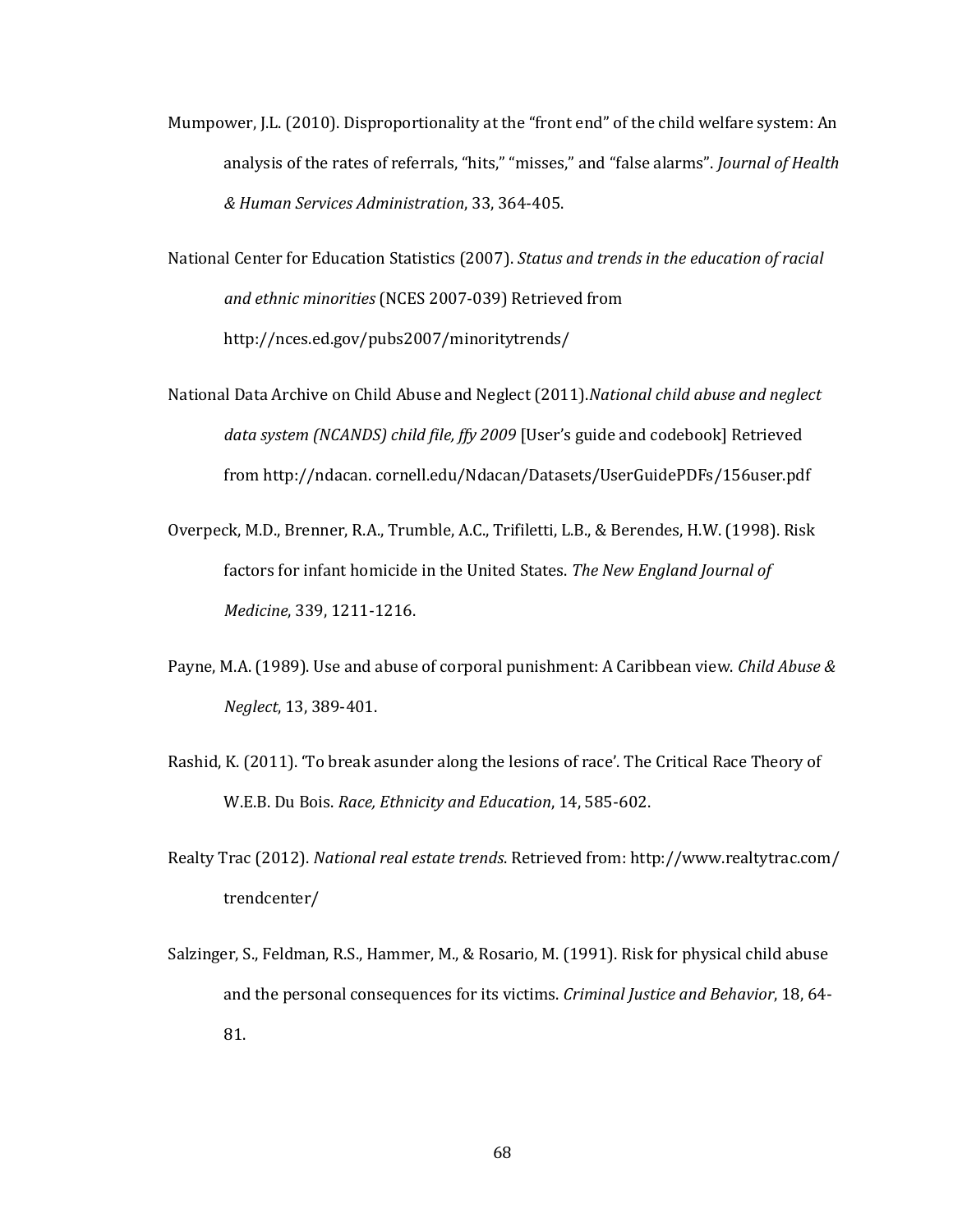Mumpower, J.L. (2010). Disproportionality at the "front end" of the child welfare system: An analysis of the rates of referrals, "hits," "misses," and "false alarms". *Journal of Health & Human Services Administration*, 33, 364-405.

National Center for Education Statistics (2007). *Status and trends in the education of racial and ethnic minorities* (NCES 2007-039) Retrieved from http://nces.ed.gov/pubs2007/minoritytrends/

- National Data Archive on Child Abuse and Neglect (2011).*National child abuse and neglect data system (NCANDS) child file, ffy 2009* [User's guide and codebook] Retrieved from http://ndacan. cornell.edu/Ndacan/Datasets/UserGuidePDFs/156user.pdf
- Overpeck, M.D., Brenner, R.A., Trumble, A.C., Trifiletti, L.B., & Berendes, H.W. (1998). Risk factors for infant homicide in the United States. *The New England Journal of Medicine*, 339, 1211-1216.
- Payne, M.A. (1989). Use and abuse of corporal punishment: A Caribbean view. *Child Abuse & Neglect*, 13, 389-401.
- Rashid, K. (2011). 'To break asunder along the lesions of race'. The Critical Race Theory of W.E.B. Du Bois. *Race, Ethnicity and Education*, 14, 585-602.
- Realty Trac (2012). *National real estate trends*. Retrieved from: http://www.realtytrac.com/ trendcenter/
- Salzinger, S., Feldman, R.S., Hammer, M., & Rosario, M. (1991). Risk for physical child abuse and the personal consequences for its victims. *Criminal Justice and Behavior*, 18, 64- 81.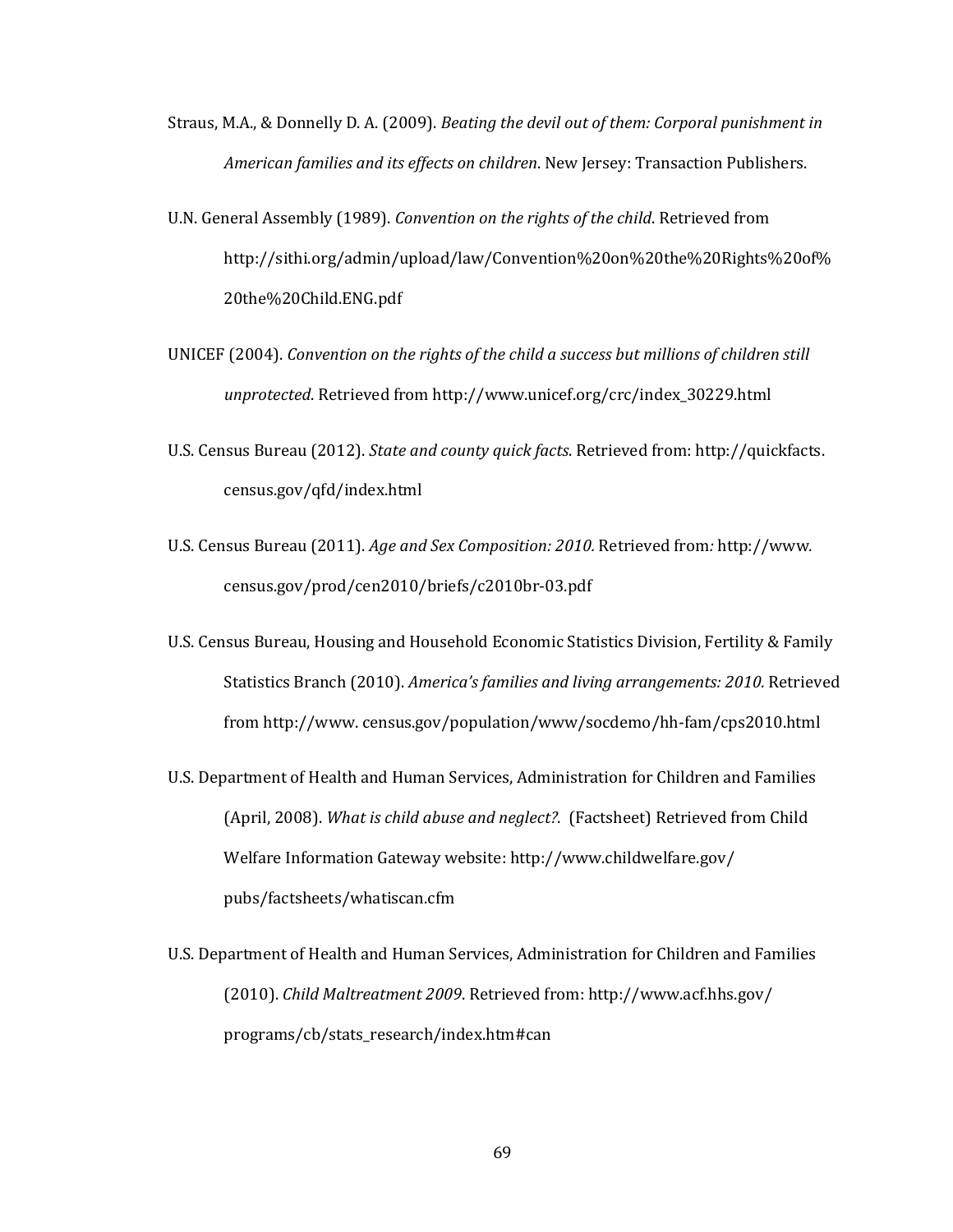- Straus, M.A., & Donnelly D. A. (2009). *Beating the devil out of them: Corporal punishment in American families and its effects on children*. New Jersey: Transaction Publishers.
- U.N. General Assembly (1989). *Convention on the rights of the child*. Retrieved from http://sithi.org/admin/upload/law/Convention%20on%20the%20Rights%20of% 20the%20Child.ENG.pdf
- UNICEF (2004). *Convention on the rights of the child a success but millions of children still unprotected*. Retrieved from http://www.unicef.org/crc/index\_30229.html
- U.S. Census Bureau (2012). *State and county quick facts*. Retrieved from: http://quickfacts. census.gov/qfd/index.html
- U.S. Census Bureau (2011). *Age and Sex Composition: 2010.* Retrieved from*:* [http://www](http://www/)*.* census.gov/prod/cen2010/briefs/c2010br-03.pdf
- U.S. Census Bureau, Housing and Household Economic Statistics Division, Fertility & Family Statistics Branch (2010). *America's families and living arrangements: 2010.* Retrieved from http://www. census.gov/population/www/socdemo/hh-fam/cps2010.html
- U.S. Department of Health and Human Services, Administration for Children and Families (April, 2008). *What is child abuse and neglect?*. (Factsheet) Retrieved from Child Welfare Information Gateway website: [http://www.childwelfare.gov/](http://www.childwelfare.gov/%20pubs/factsheets/whatiscan.cfm)  [pubs/factsheets/whatiscan.cfm](http://www.childwelfare.gov/%20pubs/factsheets/whatiscan.cfm)
- U.S. Department of Health and Human Services, Administration for Children and Families (2010). *Child Maltreatment 2009*. Retrieved from: http://www.acf.hhs.gov/ programs/cb/stats\_research/index.htm#can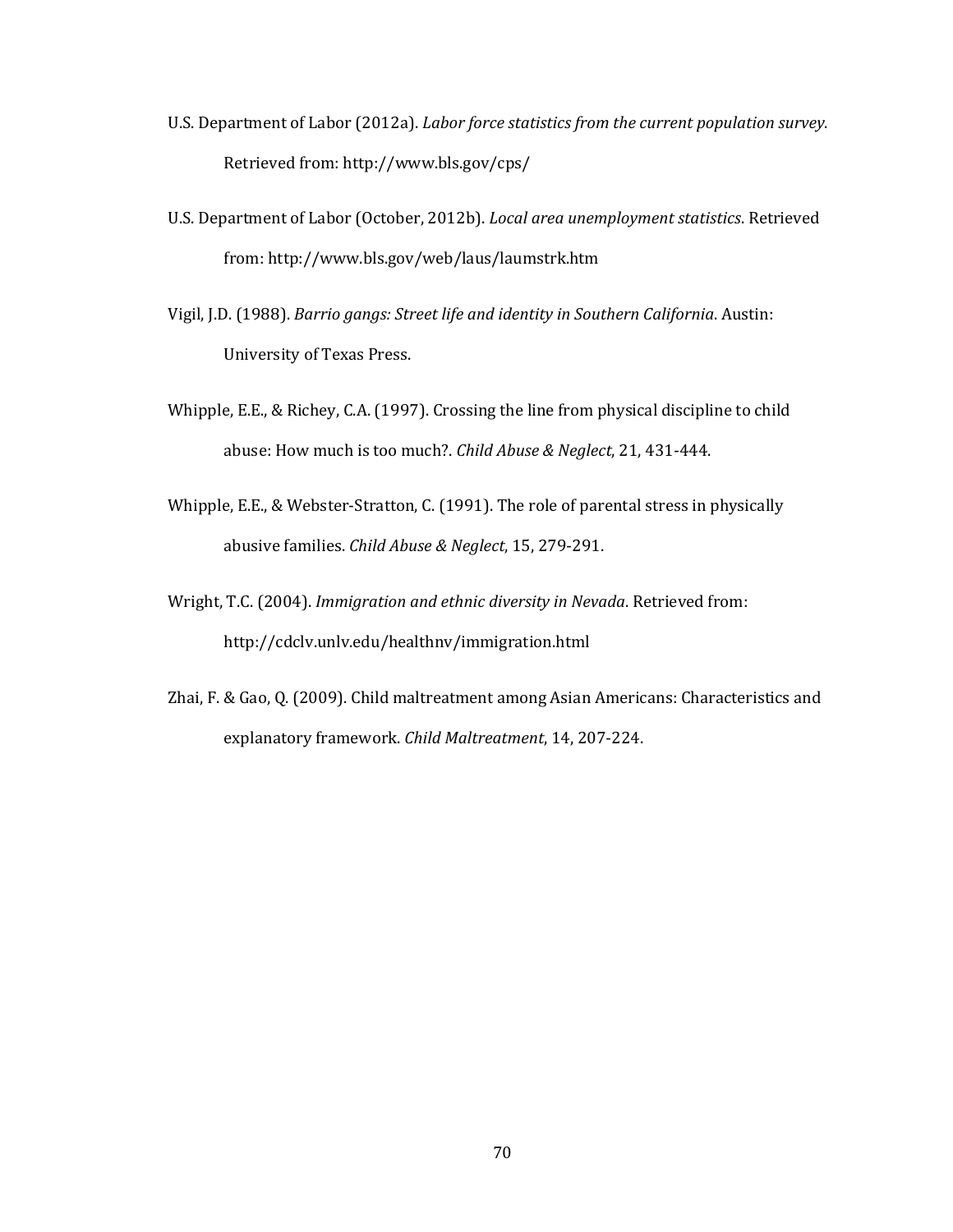- U.S. Department of Labor (2012a). *Labor force statistics from the current population survey*. Retrieved from: http://www.bls.gov/cps/
- U.S. Department of Labor (October, 2012b). *Local area unemployment statistics*. Retrieved from: http://www.bls.gov/web/laus/laumstrk.htm
- Vigil, J.D. (1988). *Barrio gangs: Street life and identity in Southern California*. Austin: University of Texas Press.
- Whipple, E.E., & Richey, C.A. (1997). Crossing the line from physical discipline to child abuse: How much is too much?. *Child Abuse & Neglect*, 21, 431-444.
- Whipple, E.E., & Webster-Stratton, C. (1991). The role of parental stress in physically abusive families. *Child Abuse & Neglect*, 15, 279-291.
- Wright, T.C. (2004). *Immigration and ethnic diversity in Nevada*. Retrieved from: http://cdclv.unlv.edu/healthnv/immigration.html
- Zhai, F. & Gao, Q. (2009). Child maltreatment among Asian Americans: Characteristics and explanatory framework. *Child Maltreatment*, 14, 207-224.